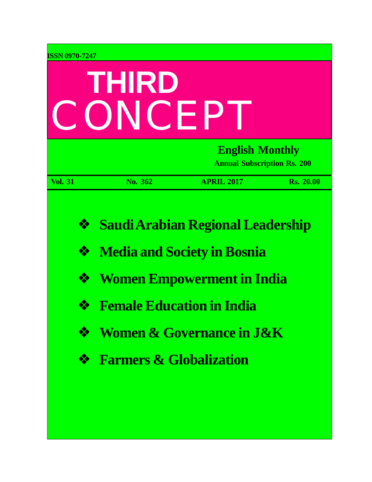| <b>ISSN 0970-7247</b> | THIRD<br>CONCEP                    |                                                                                                                                                         |                  |
|-----------------------|------------------------------------|---------------------------------------------------------------------------------------------------------------------------------------------------------|------------------|
|                       |                                    | <b>English Monthly</b><br><b>Annual Subscription Rs. 200</b>                                                                                            |                  |
| <b>Vol. 31</b>        | No. 362                            | <b>APRIL 2017</b>                                                                                                                                       | <b>Rs. 20.00</b> |
| ❖<br>❖<br>❖<br>❖      |                                    | <b>Saudi Arabian Regional Leadership</b><br><b>Media and Society in Bosnia</b><br><b>Women Empowerment in India</b><br><b>Female Education in India</b> |                  |
| ❖                     |                                    | <b>Women &amp; Governance in J&amp;K</b>                                                                                                                |                  |
| ❖                     | <b>Farmers &amp; Globalization</b> |                                                                                                                                                         |                  |
|                       |                                    |                                                                                                                                                         |                  |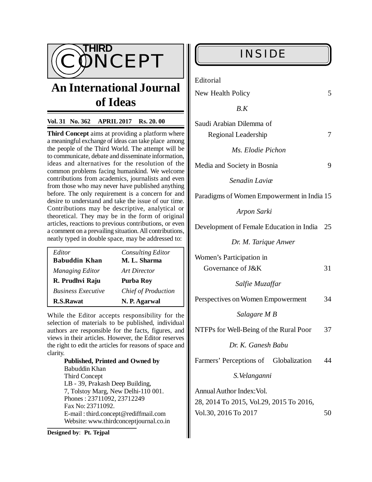

# **An International Journal of Ideas**

### **Vol. 31 No. 362 APRIL 2017 Rs. 20. 00**

**Third Concept** aims at providing a platform where a meaningful exchange of ideas can take place among the people of the Third World. The attempt will be to communicate, debate and disseminate information, ideas and alternatives for the resolution of the common problems facing humankind. We welcome contributions from academics, journalists and even from those who may never have published anything before. The only requirement is a concern for and desire to understand and take the issue of our time. Contributions may be descriptive, analytical or theoretical. They may be in the form of original articles, reactions to previous contributions, or even a comment on a prevailing situation. All contributions, neatly typed in double space, may be addressed to:

| Editor                    | <b>Consulting Editor</b>   |
|---------------------------|----------------------------|
| <b>Babuddin Khan</b>      | M. L. Sharma               |
| <b>Managing Editor</b>    | Art Director               |
| R. Prudhvi Raju           | Purba Roy                  |
| <b>Business Executive</b> | <b>Chief of Production</b> |
| <b>R.S.Rawat</b>          | N. P. Agarwal              |

While the Editor accepts responsibility for the selection of materials to be published, individual authors are responsible for the facts, figures, and views in their articles. However, the Editor reserves the right to edit the articles for reasons of space and clarity.

> **Published, Printed and Owned by** Babuddin Khan Third Concept LB - 39, Prakash Deep Building, 7, Tolstoy Marg, New Delhi-110 001. Phones : 23711092, 23712249 Fax No: 23711092. E-mail : [third.concept@rediffmail.com](mailto:third.concept@rediffmail.com) Website: [www.thirdconceptjournal.co.in](http://www.thirdconceptjournal.co.in)

**Designed by**: **Pt. Tejpal**

Editorial

| New Health Policy |  |  |
|-------------------|--|--|
|                   |  |  |

 *B.K*

| Saudi Arabian Dilemma of |  |
|--------------------------|--|
| Regional Leadership      |  |
| Ms. Elodie Pichon        |  |

Media and Society in Bosnia 9

 *Senadin Laviæ*

Paradigms of Women Empowerment in India 15

 *Arpon Sarki*

Development of Female Education in India 25

 *Dr. M. Tarique Anwer*

| Women's Participation in |    |
|--------------------------|----|
| Governance of J&K        | 31 |

 *Salfie Muzaffar*

Perspectives on Women Empowerment 34

 *Salagare M B*

NTFPs for Well-Being of the Rural Poor 37

 *Dr. K. Ganesh Babu*

Farmers' Perceptions of Globalization 44

 *S.Velanganni*

Annual Author Index:Vol. 28, 2014 To 2015, Vol.29, 2015 To 2016, Vol.30, 2016 To 2017 50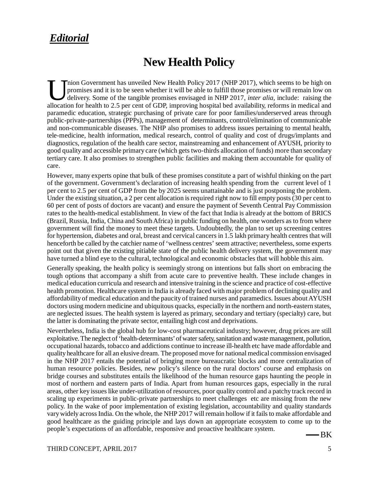# *Editorial*

# **New Health Policy**

Inion Government has unveiled New Health Policy 2017 (NHP 2017), which seems to be high on promises and it is to be seen whether it will be able to fulfill those promises or will remain low on delivery. Some of the tangibl nion Government has unveiled New Health Policy 2017 (NHP 2017), which seems to be high on promises and it is to be seen whether it will be able to fulfill those promises or will remain low on delivery. Some of the tangible promises envisaged in NHP 2017, *inter alia*, include: raising the paramedic education, strategic purchasing of private care for poor families/underserved areas through public-private-partnerships (PPPs), management of determinants, control/elimination of communicable and non-communicable diseases. The NHP also promises to address issues pertaining to mental health, tele-medicine, health information, medical research, control of quality and cost of drugs/implants and diagnostics, regulation of the health care sector, mainstreaming and enhancement of AYUSH, priority to good quality and accessible primary care (which gets two-thirds allocation of funds) more than secondary tertiary care. It also promises to strengthen public facilities and making them accountable for quality of care.

However, many experts opine that bulk of these promises constitute a part of wishful thinking on the part of the government. Government's declaration of increasing health spending from the current level of 1 per cent to 2.5 per cent of GDP from the by 2025 seems unattainable and is just postponing the problem. Under the existing situation, a 2 per cent allocation is required right now to fill empty posts (30 per cent to 60 per cent of posts of doctors are vacant) and ensure the payment of Seventh Central Pay Commission rates to the health-medical establishment. In view of the fact that India is already at the bottom of BRICS (Brazil, Russia, India, China and South Africa) in public funding on health, one wonders as to from where government will find the money to meet these targets. Undoubtedly, the plan to set up screening centres for hypertension, diabetes and oral, breast and cervical cancers in 1.5 lakh primary health centres that will henceforth be called by the catchier name of 'wellness centres' seem attractive; nevertheless, some experts point out that given the existing pitiable state of the public health delivery system, the government may have turned a blind eye to the cultural, technological and economic obstacles that will hobble this aim.

Generally speaking, the health policy is seemingly strong on intentions but falls short on embracing the tough options that accompany a shift from acute care to preventive health. These include changes in medical education curricula and research and intensive training in the science and practice of cost-effective health promotion. Healthcare system in India is already faced with major problem of declining quality and affordability of medical education and the paucity of trained nurses and paramedics. Issues about AYUSH doctors using modern medicine and ubiquitous quacks, especially in the northern and north-eastern states, are neglected issues. The health system is layered as primary, secondary and tertiary (specialty) care, but the latter is dominating the private sector, entailing high cost and deprivations.

Nevertheless, India is the global hub for low-cost pharmaceutical industry; however, drug prices are still exploitative. The neglect of 'health-determinants' of water safety, sanitation and waste management, pollution, occupational hazards, tobacco and addictions continue to increase ill-health etc have made affordable and quality healthcare for all an elusive dream. The proposed move for national medical commission envisaged in the NHP 2017 entails the potential of bringing more bureaucratic blocks and more centralization of human resource policies. Besides, new policy's silence on the rural doctors' course and emphasis on bridge courses and substitutes entails the likelihood of the human resource gaps haunting the people in most of northern and eastern parts of India. Apart from human resources gaps, especially in the rural areas, other key issues like under-utilization of resources, poor quality control and a patchy track record in scaling up experiments in public-private partnerships to meet challenges etc are missing from the new policy. In the wake of poor implementation of existing legislation, accountability and quality standards vary widely across India. On the whole, the NHP 2017 will remain hollow if it fails to make affordable and good healthcare as the guiding principle and lays down an appropriate ecosystem to come up to the people's expectations of an affordable, responsive and proactive healthcare system.

-BK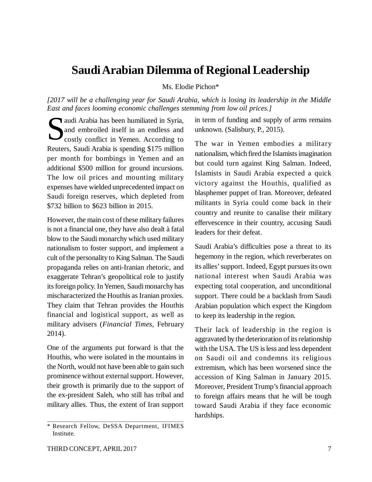# **Saudi Arabian Dilemma of Regional Leadership**

Ms. Elodie Pichon\*

*[2017 will be a challenging year for Saudi Arabia, which is losing its leadership in the Middle East and faces looming economic challenges stemming from low oil prices.]*

audi Arabia has been humiliated in Syria,<br>and embroiled itself in an endless and<br>costly conflict in Yemen. According to and embroiled itself in an endless and costly conflict in Yemen. According to Reuters, Saudi Arabia is spending \$175 million per month for bombings in Yemen and an additional \$500 million for ground incursions. The low oil prices and mounting military expenses have wielded unprecedented impact on Saudi foreign reserves, which depleted from \$732 billion to \$623 billion in 2015.

However, the main cost of these military failures is not a financial one, they have also dealt à fatal blow to the Saudi monarchy which used military nationalism to foster support, and implement a cult of the personality to King Salman. The Saudi propaganda relies on anti-Iranian rhetoric, and exaggerate Tehran's geopolitical role to justify its foreign policy. In Yemen, Saudi monarchy has mischaracterized the Houthis as Iranian proxies. They claim that Tehran provides the Houthis financial and logistical support, as well as military advisers (*Financial Times*, February 2014).

One of the arguments put forward is that the Houthis, who were isolated in the mountains in the North, would not have been able to gain such prominence without external support. However, their growth is primarily due to the support of the ex-president Saleh, who still has tribal and military allies. Thus, the extent of Iran support

in term of funding and supply of arms remains unknown. (Salisbury, P., 2015).

The war in Yemen embodies a military nationalism, which fired the Islamists imagination but could turn against King Salman. Indeed, Islamists in Saudi Arabia expected a quick victory against the Houthis, qualified as blasphemer puppet of Iran. Moreover, defeated militants in Syria could come back in their country and reunite to canalise their military effervescence in their country, accusing Saudi leaders for their defeat.

Saudi Arabia's difficulties pose a threat to its hegemony in the region, which reverberates on its allies' support. Indeed, Egypt pursues its own national interest when Saudi Arabia was expecting total cooperation, and unconditional support. There could be a backlash from Saudi Arabian population which expect the Kingdom to keep its leadership in the region.

Their lack of leadership in the region is aggravated by the deterioration of its relationship with the USA. The US is less and less dependent on Saudi oil and condemns its religious extremism, which has been worsened since the accession of King Salman in January 2015. Moreover, President Trump's financial approach to foreign affairs means that he will be tough toward Saudi Arabia if they face economic hardships.

<sup>\*</sup> Research Fellow, DeSSA Department, IFIMES Institute.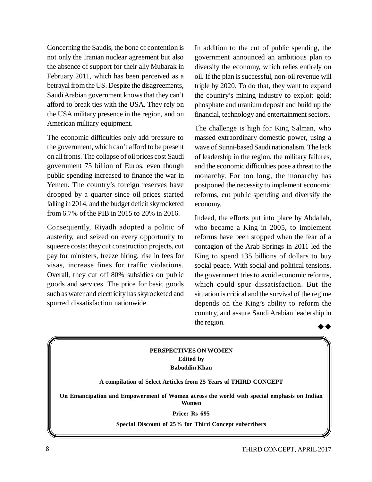Concerning the Saudis, the bone of contention is not only the Iranian nuclear agreement but also the absence of support for their ally Mubarak in February 2011, which has been perceived as a betrayal from the US. Despite the disagreements, Saudi Arabian government knows that they can't afford to break ties with the USA. They rely on the USA military presence in the region, and on American military equipment.

The economic difficulties only add pressure to the government, which can't afford to be present on all fronts. The collapse of oil prices cost Saudi government 75 billion of Euros, even though public spending increased to finance the war in Yemen. The country's foreign reserves have dropped by a quarter since oil prices started falling in 2014, and the budget deficit skyrocketed from 6.7% of the PIB in 2015 to 20% in 2016.

Consequently, Riyadh adopted a politic of austerity, and seized on every opportunity to squeeze costs: they cut construction projects, cut pay for ministers, freeze hiring, rise in fees for visas, increase fines for traffic violations. Overall, they cut off 80% subsidies on public goods and services. The price for basic goods such as water and electricity has skyrocketed and spurred dissatisfaction nationwide.

In addition to the cut of public spending, the government announced an ambitious plan to diversify the economy, which relies entirely on oil. If the plan is successful, non-oil revenue will triple by 2020. To do that, they want to expand the country's mining industry to exploit gold; phosphate and uranium deposit and build up the financial, technology and entertainment sectors.

The challenge is high for King Salman, who massed extraordinary domestic power, using a wave of Sunni-based Saudi nationalism. The lack of leadership in the region, the military failures, and the economic difficulties pose a threat to the monarchy. For too long, the monarchy has postponed the necessity to implement economic reforms, cut public spending and diversify the economy.

Indeed, the efforts put into place by Abdallah, who became a King in 2005, to implement reforms have been stopped when the fear of a contagion of the Arab Springs in 2011 led the King to spend 135 billions of dollars to buy social peace. With social and political tensions, the government tries to avoid economic reforms, which could spur dissatisfaction. But the situation is critical and the survival of the regime depends on the King's ability to reform the country, and assure Saudi Arabian leadership in the region.

### **PERSPECTIVES ON WOMEN Edited by Babuddin Khan**

**A compilation of Select Articles from 25 Years of THIRD CONCEPT**

**On Emancipation and Empowerment of Women across the world with special emphasis on Indian Women**

#### **Price: Rs 695**

**Special Discount of 25% for Third Concept subscribers**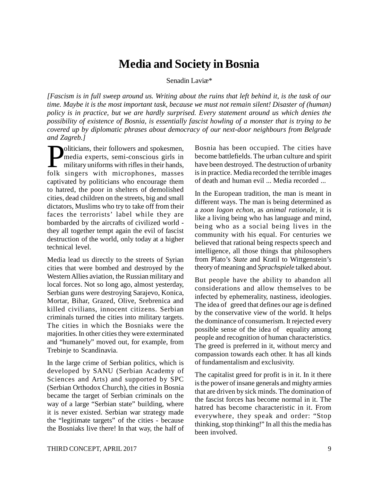# **Media and Society in Bosnia**

Senadin Laviæ\*

*[Fascism is in full sweep around us. Writing about the ruins that left behind it, is the task of our time. Maybe it is the most important task, because we must not remain silent! Disaster of (human) policy is in practice, but we are hardly surprised. Every statement around us which denies the possibility of existence of Bosnia, is essentially fascist howling of a monster that is trying to be covered up by diplomatic phrases about democracy of our next-door neighbours from Belgrade and Zagreb.]*

**Politicians, their followers and spokesmen,**<br>
media experts, semi-conscious girls in<br>
military uniforms with rifles in their hands,<br>
folk singers with microphones masses media experts, semi-conscious girls in military uniforms with rifles in their hands, folk singers with microphones, masses captivated by politicians who encourage them to hatred, the poor in shelters of demolished cities, dead children on the streets, big and small dictators, Muslims who try to take off from their faces the terrorists' label while they are bombarded by the aircrafts of civilized world they all together tempt again the evil of fascist destruction of the world, only today at a higher technical level.

Media lead us directly to the streets of Syrian cities that were bombed and destroyed by the Western Allies aviation, the Russian military and local forces. Not so long ago, almost yesterday, Serbian guns were destroying Sarajevo, Konica, Mortar, Bihar, Grazed, Olive, Srebrenica and killed civilians, innocent citizens. Serbian criminals turned the cities into military targets. The cities in which the Bosniaks were the majorities. In other cities they were exterminated and "humanely" moved out, for example, from Trebinje to Scandinavia.

In the large crime of Serbian politics, which is developed by SANU (Serbian Academy of Sciences and Arts) and supported by SPC (Serbian Orthodox Church), the cities in Bosnia became the target of Serbian criminals on the way of a large "Serbian state" building, where it is never existed. Serbian war strategy made the "legitimate targets" of the cities - because the Bosniaks live there! In that way, the half of Bosnia has been occupied. The cities have become battlefields. The urban culture and spirit have been destroyed. The destruction of urbanity is in practice. Media recorded the terrible images of death and human evil ... Media recorded ...

In the European tradition, the man is meant in different ways. The man is being determined as a *zoon logon echon*, as *animal rationale*, it is like a living being who has language and mind, being who as a social being lives in the community with his equal. For centuries we believed that rational being respects speech and intelligence, all those things that philosophers from Plato's *State* and Kratil to Wittgenstein's theory of meaning and *Sprachspiele* talked about.

But people have the ability to abandon all considerations and allow themselves to be infected by ephemerality, nastiness, ideologies. The idea of greed that defines our age is defined by the conservative view of the world. It helps the dominance of consumerism. It rejected every possible sense of the idea of equality among people and recognition of human characteristics. The greed is preferred in it, without mercy and compassion towards each other. It has all kinds of fundamentalism and exclusivity.

The capitalist greed for profit is in it. In it there is the power of insane generals and mighty armies that are driven by sick minds. The domination of the fascist forces has become normal in it. The hatred has become characteristic in it. From everywhere, they speak and order: "Stop thinking, stop thinking!" In all this the media has been involved.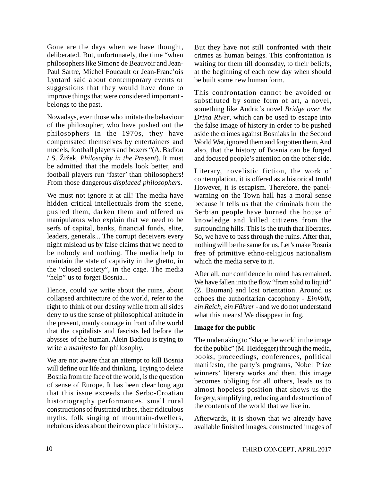Gone are the days when we have thought, deliberated. But, unfortunately, the time "when philosophers like Simone de Beauvoir and Jean-Paul Sartre, Michel Foucault or Jean-Franc'ois Lyotard said about contemporary events or suggestions that they would have done to improve things that were considered important belongs to the past.

Nowadays, even those who imitate the behaviour of the philosopher, who have pushed out the philosophers in the 1970s, they have compensated themselves by entertainers and models, football players and boxers "(A. Badiou / S. Žižek, *Philosophy in the Present*). It must be admitted that the models look better, and football players run 'faster' than philosophers! From those dangerous *displaced philosophers*.

We must not ignore it at all! The media have hidden critical intellectuals from the scene, pushed them, darken them and offered us manipulators who explain that we need to be serfs of capital, banks, financial funds, elite, leaders, generals... The corrupt deceivers every night mislead us by false claims that we need to be nobody and nothing. The media help to maintain the state of captivity in the ghetto, in the "closed society", in the cage. The media "help" us to forget Bosnia...

Hence, could we write about the ruins, about collapsed architecture of the world, refer to the right to think of our destiny while from all sides deny to us the sense of philosophical attitude in the present, manly courage in front of the world that the capitalists and fascists led before the abysses of the human. Alein Badiou is trying to write a *manifesto* for philosophy.

We are not aware that an attempt to kill Bosnia will define our life and thinking. Trying to delete Bosnia from the face of the world, is the question of sense of Europe. It has been clear long ago that this issue exceeds the Serbo-Croatian historiography performances, small rural constructions of frustrated tribes, their ridiculous myths, folk singing of mountain-dwellers, nebulous ideas about their own place in history... But they have not still confronted with their crimes as human beings. This confrontation is waiting for them till doomsday, to their beliefs, at the beginning of each new day when should be built some new human form.

This confrontation cannot be avoided or substituted by some form of art, a novel, something like Andric's novel *Bridge over the Drina River*, which can be used to escape into the false image of history in order to be pushed aside the crimes against Bosniaks in the Second World War, ignored them and forgotten them. And also, that the history of Bosnia can be forged and focused people's attention on the other side.

Literary, novelistic fiction, the work of contemplation, it is offered as a historical truth! However, it is escapism. Therefore, the panelwarning on the Town hall has a moral sense because it tells us that the criminals from the Serbian people have burned the house of knowledge and killed citizens from the surrounding hills. This is the truth that liberates. So, we have to pass through the ruins. After that, nothing will be the same for us. Let's make Bosnia free of primitive ethno-religious nationalism which the media serve to it.

After all, our confidence in mind has remained. We have fallen into the flow "from solid to liquid" (Z. Bauman) and lost orientation. Around us echoes the authoritarian cacophony - *EinVolk*, *ein Reich, ein Führer* - and we do not understand what this means! We disappear in fog.

### **Image for the public**

The undertaking to "shape the world in the image for the public" (M. Heidegger) through the media, books, proceedings, conferences, political manifesto, the party's programs, Nobel Prize winners' literary works and then, this image becomes obliging for all others, leads us to almost hopeless position that shows us the forgery, simplifying, reducing and destruction of the contents of the world that we live in.

Afterwards, it is shown that we already have available finished images, constructed images of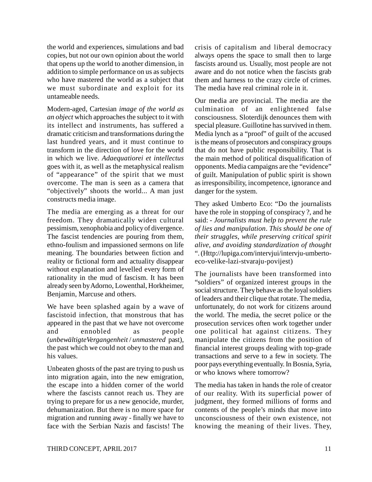the world and experiences, simulations and bad copies, but not our own opinion about the world that opens up the world to another dimension, in addition to simple performance on us as subjects who have mastered the world as a subject that we must subordinate and exploit for its untameable needs.

Modern-aged, Cartesian *image of the world as an object* which approaches the subject to it with its intellect and instruments, has suffered a dramatic criticism and transformations during the last hundred years, and it must continue to transform in the direction of love for the world in which we live. *Adaequatiorei et intellectus* goes with it, as well as the metaphysical realism of "appearance" of the spirit that we must overcome. The man is seen as a camera that "objectively" shoots the world... A man just constructs media image.

The media are emerging as a threat for our freedom. They dramatically widen cultural pessimism, xenophobia and policy of divergence. The fascist tendencies are pouring from them, ethno-foulism and impassioned sermons on life meaning. The boundaries between fiction and reality or fictional form and actuality disappear without explanation and levelled every form of rationality in the mud of fascism. It has been already seen by Adorno, Lowenthal, Horkheimer, Benjamin, Marcuse and others.

We have been splashed again by a wave of fascistoid infection, that monstrous that has appeared in the past that we have not overcome and ennobled as people (*unbewältigteVergangenheit* / *unmastered* past), the past which we could not obey to the man and his values.

Unbeaten ghosts of the past are trying to push us into migration again, into the new emigration, the escape into a hidden corner of the world where the fascists cannot reach us. They are trying to prepare for us a new genocide, murder, dehumanization. But there is no more space for migration and running away - finally we have to face with the Serbian Nazis and fascists! The crisis of capitalism and liberal democracy always opens the space to small then to large fascists around us. Usually, most people are not aware and do not notice when the fascists grab them and harness to the crazy circle of crimes. The media have real criminal role in it.

Our media are provincial. The media are the culmination of an enlightened false consciousness. Sloterdijk denounces them with special pleasure. Guillotine has survived in them. Media lynch as a "proof" of guilt of the accused is the means of prosecutors and conspiracy groups that do not have public responsibility. That is the main method of political disqualification of opponents. Media campaigns are the "evidence" of guilt. Manipulation of public spirit is shown as irresponsibility, incompetence, ignorance and danger for the system.

They asked Umberto Eco: "Do the journalists have the role in stopping of conspiracy ?, and he said: - *Journalists must help to prevent the rule of lies and manipulation*. *This should be one of their struggles, while preserving critical spirit alive, and avoiding standardization of thought* ". (Http://lupiga.com/intervjui/intervju-umbertoeco-velike-lazi-stvaraju-povijest)

The journalists have been transformed into "soldiers" of organized interest groups in the social structure. They behave as the loyal soldiers of leaders and their clique that rotate. The media, unfortunately, do not work for citizens around the world. The media, the secret police or the prosecution services often work together under one political hat against citizens. They manipulate the citizens from the position of financial interest groups dealing with top-grade transactions and serve to a few in society. The poor pays everything eventually. In Bosnia, Syria, or who knows where tomorrow?

The media has taken in hands the role of creator of our reality. With its superficial power of judgment, they formed millions of forms and contents of the people's minds that move into unconsciousness of their own existence, not knowing the meaning of their lives. They,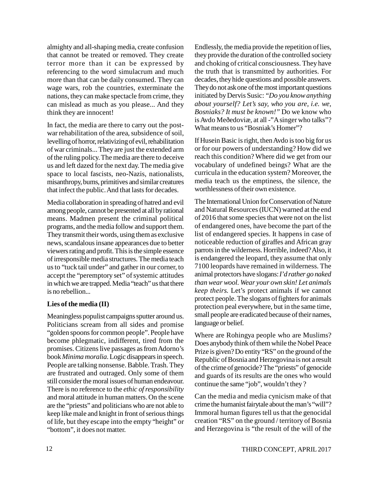almighty and all-shaping media, create confusion that cannot be treated or removed. They create terror more than it can be expressed by referencing to the word simulacrum and much more than that can be daily consumed. They can wage wars, rob the countries, exterminate the nations, they can make spectacle from crime, they can mislead as much as you please... And they think they are innocent!

In fact, the media are there to carry out the postwar rehabilitation of the area, subsidence of soil, levelling of horror, relativizing of evil, rehabilitation of war criminals... They are just the extended arm of the ruling policy. The media are there to deceive us and left dazed for the next day. The media give space to local fascists, neo-Nazis, nationalists, misanthropy, bums, primitives and similar creatures that infect the public. And that lasts for decades.

Media collaboration in spreading of hatred and evil among people, cannot be presented at all by rational means. Madmen present the criminal political programs, and the media follow and support them. They transmit their words, using them as exclusive news, scandalous insane appearances due to better viewers rating and profit. This is the simple essence of irresponsible media structures. The media teach us to "tuck tail under" and gather in our corner, to accept the "peremptory set" of systemic attitudes in which we are trapped. Media "teach" us that there is no rebellion...

### **Lies of the media (II)**

Meaningless populist campaigns sputter around us. Politicians scream from all sides and promise "golden spoons for common people". People have become phlegmatic, indifferent, tired from the promises. Citizens live passages as from Adorno's book *Minima moralia*. Logic disappears in speech. People are talking nonsense. Babble. Trash. They are frustrated and outraged. Only some of them still consider the moral issues of human endeavour. There is no reference to the *ethic of responsibility* and moral attitude in human matters. On the scene are the "priests" and politicians who are not able to keep like male and knight in front of serious things of life, but they escape into the empty "height" or "bottom", it does not matter.

Endlessly, the media provide the repetition of lies, they provide the duration of the controlled society and choking of critical consciousness. They have the truth that is transmitted by authorities. For decades, they hide questions and possible answers. They do not ask one of the most important questions initiated by Dervis Susic: *"Do you know anything about yourself? Let's say, who you are, i.e. we, Bosniaks? It must be known!"* Do we know who is Avdo Meðedoviæ, at all -"A singer who talks"? What means to us "Bosniak's Homer"?

If Husein Basic is right, then Avdo is too big for us or for our powers of understanding? How did we reach this condition? Where did we get from our vocabulary of undefined beings? What are the curricula in the education system? Moreover, the media teach us the emptiness, the silence, the worthlessness of their own existence.

The International Union for Conservation of Nature and Natural Resources (IUCN) warned at the end of 2016 that some species that were not on the list of endangered ones, have become the part of the list of endangered species. It happens in case of noticeable reduction of giraffes and African gray parrots in the wilderness. Horrible, indeed? Also, it is endangered the leopard, they assume that only 7100 leopards have remained in wilderness. The animal protectors have slogans: *I'd rather go naked than wear wool. Wear your own skin! Let animals keep theirs.* Let's protect animals if we cannot protect people. The slogans of fighters for animals protection peal everywhere, but in the same time, small people are eradicated because of their names, language or belief.

Where are Rohingya people who are Muslims? Does anybody think of them while the Nobel Peace Prize is given? Do entity "RS" on the ground of the Republic of Bosnia and Herzegovina is not a result of the crime of genocide? The "priests" of genocide and guards of its results are the ones who would continue the same "job", wouldn't they ?

Can the media and media cynicism make of that crime the humanist fairytale about the man's "will"? Immoral human figures tell us that the genocidal creation "RS" on the ground / territory of Bosnia and Herzegovina is "the result of the will of the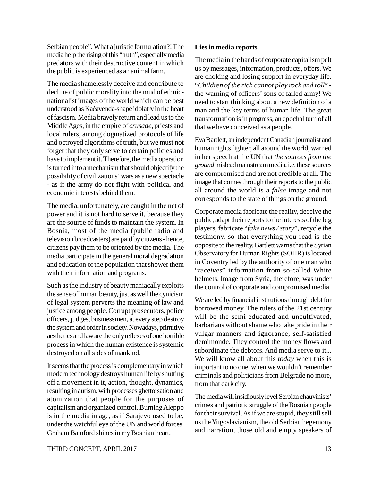Serbian people". What a juristic formulation?! The media help the rising of this "truth", especially media predators with their destructive content in which the public is experienced as an animal farm.

The media shamelessly deceive and contribute to decline of public morality into the mud of ethnicnationalist images of the world which can be best understood as Kaèavenda-shape idolatry in the heart of fascism. Media bravely return and lead us to the Middle Ages, in the empire of *crusade*, priests and local rulers, among dogmatized protocols of life and octroyed algorithms of truth, but we must not forget that they only serve to certain policies and have to implement it. Therefore, the media operation is turned into a mechanism that should objectify the possibility of civilizations' wars as a new spectacle - as if the army do not fight with political and economic interests behind them.

The media, unfortunately, are caught in the net of power and it is not hard to serve it, because they are the source of funds to maintain the system. In Bosnia, most of the media (public radio and television broadcasters) are paid by citizens - hence, citizens pay them to be oriented by the media. The media participate in the general moral degradation and education of the population that shower them with their information and programs.

Such as the industry of beauty maniacally exploits the sense of human beauty, just as well the cynicism of legal system perverts the meaning of law and justice among people. Corrupt prosecutors, police officers, judges, businessmen, at every step destroy the system and order in society. Nowadays, primitive aesthetics and law are the only reflexes of one horrible process in which the human existence is systemic destroyed on all sides of mankind.

It seems that the process is complementary in which modern technology destroys human life by shutting off a movement in it, action, thought, dynamics, resulting in autism, with processes ghettoisation and atomization that people for the purposes of capitalism and organized control. Burning Aleppo is in the media image, as if Sarajevo used to be, under the watchful eye of the UN and world forces. Graham Bamford shines in my Bosnian heart.

### **Lies in media reports**

The media in the hands of corporate capitalism pelt us by messages, information, products, offers. We are choking and losing support in everyday life. "*Children of the rich cannot play rock and roll*" the warning of officers' sons of failed army! We need to start thinking about a new definition of a man and the key terms of human life. The great transformation is in progress, an epochal turn of all that we have conceived as a people.

Eva Bartlett, an independent Canadian journalist and human rights fighter, all around the world, warned in her speech at the UN that *the sources from the ground* mislead mainstream media, i.e. these sources are compromised and are not credible at all. The image that comes through their reports to the public all around the world is a *false* image and not corresponds to the state of things on the ground.

Corporate media fabricate the reality, deceive the public, adapt their reports to the interests of the big players, fabricate "*fake news / story*", recycle the testimony, so that everything you read is the opposite to the reality. Bartlett warns that the Syrian Observatory for Human Rights (SOHR) is located in Coventry led by the authority of one man who "*receives*" information from so-called White helmets. Image from Syria, therefore, was under the control of corporate and compromised media.

We are led by financial institutions through debt for borrowed money. The rulers of the 21st century will be the semi-educated and uncultivated. barbarians without shame who take pride in their vulgar manners and ignorance, self-satisfied demimonde. They control the money flows and subordinate the debtors. And media serve to it... We will know all about this *today* when this is important to no one, when we wouldn't remember criminals and politicians from Belgrade no more, from that dark city.

The media will insidiously level Serbian chauvinists' crimes and patriotic struggle of the Bosnian people for their survival. As if we are stupid, they still sell us the Yugoslavianism, the old Serbian hegemony and narration, those old and empty speakers of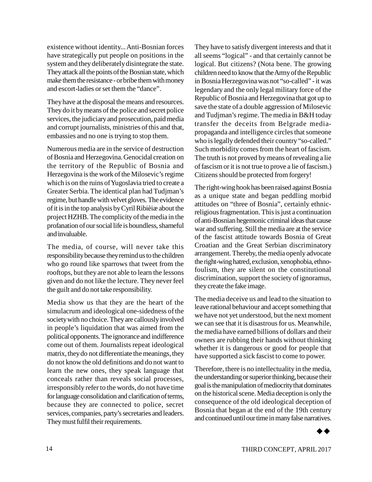existence without identity... Anti-Bosnian forces have strategically put people on positions in the system and they deliberately disintegrate the state. They attack all the points of the Bosnian state, which make them the resistance - or bribe them with money and escort-ladies or set them the "dance".

They have at the disposal the means and resources. They do it by means of the police and secret police services, the judiciary and prosecution, paid media and corrupt journalists, ministries of this and that, embassies and no one is trying to stop them.

Numerous media are in the service of destruction of Bosnia and Herzegovina. Genocidal creation on the territory of the Republic of Bosnia and Herzegovina is the work of the Milosevic's regime which is on the ruins of Yugoslavia tried to create a Greater Serbia. The identical plan had Tudjman's regime, but handle with velvet gloves. The evidence of it is in the top analysis by Cyril Ribièiæ about the project HZHB. The complicity of the media in the profanation of our social life is boundless, shameful and invaluable.

The media, of course, will never take this responsibility because they remind us to the children who go round like sparrows that tweet from the rooftops, but they are not able to learn the lessons given and do not like the lecture. They never feel the guilt and do not take responsibility.

Media show us that they are the heart of the simulacrum and ideological one-sidedness of the society with no choice. They are callously involved in people's liquidation that was aimed from the political opponents. The ignorance and indifference come out of them. Journalists repeat ideological matrix, they do not differentiate the meanings, they do not know the old definitions and do not want to learn the new ones, they speak language that conceals rather than reveals social processes, irresponsibly refer to the words, do not have time for language consolidation and clarification of terms, because they are connected to police, secret services, companies, party's secretaries and leaders. They must fulfil their requirements.

They have to satisfy divergent interests and that it all seems "logical" - and that certainly cannot be logical. But citizens? (Nota bene. The growing children need to know that the Army of the Republic in Bosnia Herzegovina was not "so-called" - it was legendary and the only legal military force of the Republic of Bosnia and Herzegovina that got up to save the state of a double aggression of Milosevic and Tudjman's regime. The media in B&H today transfer the deceits from Belgrade mediapropaganda and intelligence circles that someone who is legally defended their country "so-called." Such morbidity comes from the heart of fascism. The truth is not proved by means of revealing a lie of fascism or it is not true to prove a lie of fascism.) Citizens should be protected from forgery!

The right-wing hook has been raised against Bosnia as a unique state and began peddling morbid attitudes on "three of Bosnia", certainly ethnicreligious fragmentation. This is just a continuation of anti-Bosnian hegemonic criminal ideas that cause war and suffering. Still the media are at the service of the fascist attitude towards Bosnia of Great Croatian and the Great Serbian discriminatory arrangement. Thereby, the media openly advocate the right-wing hatred, exclusion, xenophobia, ethnofoulism, they are silent on the constitutional discrimination, support the society of ignoramus, they create the fake image.

The media deceive us and lead to the situation to leave rational behaviour and accept something that we have not yet understood, but the next moment we can see that it is disastrous for us. Meanwhile, the media have earned billions of dollars and their owners are rubbing their hands without thinking whether it is dangerous or good for people that have supported a sick fascist to come to power.

Therefore, there is no intellectuality in the media, the understanding or superior thinking, because their goal is the manipulation of mediocrity that dominates on the historical scene. Media deception is only the consequence of the old ideological deception of Bosnia that began at the end of the 19th century and continued until our time in many false narratives.

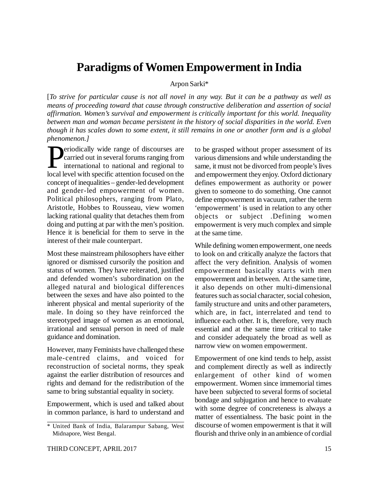# **Paradigms of Women Empowerment in India**

### Arpon Sarki\*

[*To strive for particular cause is not all novel in any way. But it can be a pathway as well as means of proceeding toward that cause through constructive deliberation and assertion of social affirmation. Women's survival and empowerment is critically important for this world. Inequality between man and woman became persistent in the history of social disparities in the world. Even though it has scales down to some extent, it still remains in one or another form and is a global phenomenon.]*

**Periodically wide range of discourses are carried out in several forums ranging from international to national and regional to local level with specific attention focused on the** carried out in several forums ranging from international to national and regional to local level with specific attention focused on the concept of inequalities – gender-led development and gender-led empowerment of women. Political philosophers, ranging from Plato, Aristotle, Hobbes to Rousseau, view women lacking rational quality that detaches them from doing and putting at par with the men's position. Hence it is beneficial for them to serve in the interest of their male counterpart.

Most these mainstream philosophers have either ignored or dismissed cursorily the position and status of women. They have reiterated, justified and defended women's subordination on the alleged natural and biological differences between the sexes and have also pointed to the inherent physical and mental superiority of the male. In doing so they have reinforced the stereotyped image of women as an emotional, irrational and sensual person in need of male guidance and domination.

However, many Feminists have challenged these male-centred claims, and voiced for reconstruction of societal norms, they speak against the earlier distribution of resources and rights and demand for the redistribution of the same to bring substantial equality in society.

Empowerment, which is used and talked about in common parlance, is hard to understand and to be grasped without proper assessment of its various dimensions and while understanding the same, it must not be divorced from people's lives and empowerment they enjoy. Oxford dictionary defines empowerment as authority or power given to someone to do something. One cannot define empowerment in vacuum, rather the term 'empowerment' is used in relation to any other objects or subject .Defining women empowerment is very much complex and simple at the same time.

While defining women empowerment, one needs to look on and critically analyze the factors that affect the very definition. Analysis of women empowerment basically starts with men empowerment and in between. At the same time, it also depends on other multi-dimensional features such as social character, social cohesion, family structure and units and other parameters, which are, in fact, interrelated and tend to influence each other. It is, therefore, very much essential and at the same time critical to take and consider adequately the broad as well as narrow view on women empowerment.

Empowerment of one kind tends to help, assist and complement directly as well as indirectly enlargement of other kind of women empowerment. Women since immemorial times have been subjected to several forms of societal bondage and subjugation and hence to evaluate with some degree of concreteness is always a matter of essentialness. The basic point in the discourse of women empowerment is that it will flourish and thrive only in an ambience of cordial

<sup>\*</sup> United Bank of India, Balarampur Sabang, West Midnapore, West Bengal.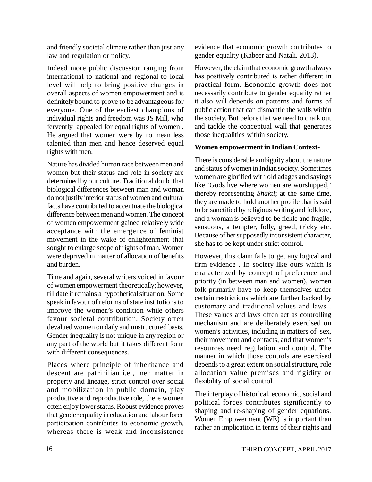and friendly societal climate rather than just any law and regulation or policy.

Indeed more public discussion ranging from international to national and regional to local level will help to bring positive changes in overall aspects of women empowerment and is definitely bound to prove to be advantageous for everyone. One of the earliest champions of individual rights and freedom was JS Mill, who fervently appealed for equal rights of women . He argued that women were by no mean less talented than men and hence deserved equal rights with men.

Nature has divided human race between men and women but their status and role in society are determined by our culture. Traditional doubt that biological differences between man and woman do not justify inferior status of women and cultural facts have contributed to accentuate the biological difference between men and women. The concept of women empowerment gained relatively wide acceptance with the emergence of feminist movement in the wake of enlightenment that sought to enlarge scope of rights of man. Women were deprived in matter of allocation of benefits and burden.

Time and again, several writers voiced in favour of women empowerment theoretically; however, till date it remains a hypothetical situation. Some speak in favour of reforms of state institutions to improve the women's condition while others favour societal contribution. Society often devalued women on daily and unstructured basis. Gender inequality is not unique in any region or any part of the world but it takes different form with different consequences.

Places where principle of inheritance and descent are patrinilian i.e., men matter in property and lineage, strict control over social and mobilization in public domain, play productive and reproductive role, there women often enjoy lower status. Robust evidence proves that gender equality in education and labour force participation contributes to economic growth, whereas there is weak and inconsistence evidence that economic growth contributes to gender equality (Kabeer and Natali, 2013).

However, the claim that economic growth always has positively contributed is rather different in practical form. Economic growth does not necessarily contribute to gender equality rather it also will depends on patterns and forms of public action that can dismantle the walls within the society. But before that we need to chalk out and tackle the conceptual wall that generates those inequalities within society.

### **Women empowerment in Indian Context-**

There is considerable ambiguity about the nature and status of women in Indian society. Sometimes women are glorified with old adages and sayings like 'Gods live where women are worshipped,' thereby representing *Shakti*; at the same time, they are made to hold another profile that is said to be sanctified by religious writing and folklore, and a woman is believed to be fickle and fragile, sensuous, a tempter, folly, greed, tricky etc. Because of her supposedly inconsistent character, she has to be kept under strict control.

However, this claim fails to get any logical and firm evidence . In society like ours which is characterized by concept of preference and priority (in between man and women), women folk primarily have to keep themselves under certain restrictions which are further backed by customary and traditional values and laws . These values and laws often act as controlling mechanism and are deliberately exercised on women's activities, including in matters of sex, their movement and contacts, and that women's resources need regulation and control. The manner in which those controls are exercised depends to a great extent on social structure, role allocation value premises and rigidity or flexibility of social control.

The interplay of historical, economic, social and political forces contributes significantly to shaping and re-shaping of gender equations. Women Empowerment (WE) is important than rather an implication in terms of their rights and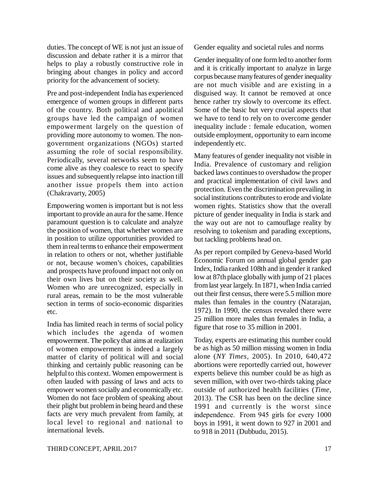duties. The concept of WE is not just an issue of discussion and debate rather it is a mirror that helps to play a robustly constructive role in bringing about changes in policy and accord priority for the advancement of society.

Pre and post-independent India has experienced emergence of women groups in different parts of the country. Both political and apolitical groups have led the campaign of women empowerment largely on the question of providing more autonomy to women. The nongovernment organizations (NGOs) started assuming the role of social responsibility. Periodically, several networks seem to have come alive as they coalesce to react to specify issues and subsequently relapse into inaction till another issue propels them into action (Chakravarty, 2005)

Empowering women is important but is not less important to provide an aura for the same. Hence paramount question is to calculate and analyze the position of women, that whether women are in position to utilize opportunities provided to them in real terms to enhance their empowerment in relation to others or not, whether justifiable or not, because women's choices, capabilities and prospects have profound impact not only on their own lives but on their society as well. Women who are unrecognized, especially in rural areas, remain to be the most vulnerable section in terms of socio-economic disparities etc.

India has limited reach in terms of social policy which includes the agenda of women empowerment. The policy that aims at realization of women empowerment is indeed a largely matter of clarity of political will and social thinking and certainly public reasoning can be helpful to this context. Women empowerment is often lauded with passing of laws and acts to empower women socially and economically etc. Women do not face problem of speaking about their plight but problem in being heard and these facts are very much prevalent from family, at local level to regional and national to international levels.

Gender equality and societal rules and norms

Gender inequality of one form led to another form and it is critically important to analyze in large corpus because many features of gender inequality are not much visible and are existing in a disguised way. It cannot be removed at once hence rather try slowly to overcome its effect. Some of the basic but very crucial aspects that we have to tend to rely on to overcome gender inequality include : female education, women outside employment, opportunity to earn income independently etc.

Many features of gender inequality not visible in India. Prevalence of customary and religion backed laws continues to overshadow the proper and practical implementation of civil laws and protection. Even the discrimination prevailing in social institutions contributes to erode and violate women rights. Statistics show that the overall picture of gender inequality in India is stark and the way out are not to camouflage reality by resolving to tokenism and parading exceptions, but tackling problems head on.

As per report compiled by Geneva-based World Economic Forum on annual global gender gap Index, India ranked 108th and in gender it ranked low at 87th place globally with jump of 21 places from last year largely. In 1871, when India carried out their first census, there were 5.5 million more males than females in the country (Natarajan, 1972). In 1990, the census revealed there were 25 million more males than females in India, a figure that rose to 35 million in 2001.

Today, experts are estimating this number could be as high as 50 million missing women in India alone (*NY Times*, 2005). In 2010, 640,472 abortions were reportedly carried out, however experts believe this number could be as high as seven million, with over two-thirds taking place outside of authorized health facilities (*Time*, 2013). The CSR has been on the decline since 1991 and currently is the worst since independence. From 945 girls for every 1000 boys in 1991, it went down to 927 in 2001 and to 918 in 2011 (Dubbudu, 2015).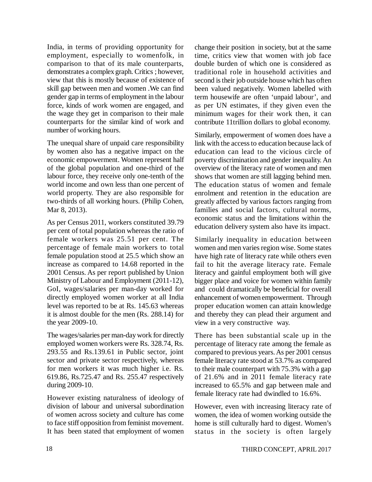India, in terms of providing opportunity for employment, especially to womenfolk, in comparison to that of its male counterparts, demonstrates a complex graph. Critics ; however, view that this is mostly because of existence of skill gap between men and women .We can find gender gap in terms of employment in the labour force, kinds of work women are engaged, and the wage they get in comparison to their male counterparts for the similar kind of work and number of working hours.

The unequal share of unpaid care responsibility by women also has a negative impact on the economic empowerment. Women represent half of the global population and one-third of the labour force, they receive only one-tenth of the world income and own less than one percent of world property. They are also responsible for two-thirds of all working hours. (Philip Cohen, Mar 8, 2013).

As per Census 2011, workers constituted 39.79 per cent of total population whereas the ratio of female workers was 25.51 per cent. The percentage of female main workers to total female population stood at 25.5 which show an increase as compared to 14.68 reported in the 2001 Census. As per report published by Union Ministry of Labour and Employment (2011-12), GoI, wages/salaries per man-day worked for directly employed women worker at all India level was reported to be at Rs. 145.63 whereas it is almost double for the men (Rs. 288.14) for the year 2009-10.

The wages/salaries per man-day work for directly employed women workers were Rs. 328.74, Rs. 293.55 and Rs.139.61 in Public sector, joint sector and private sector respectively, whereas for men workers it was much higher i.e. Rs. 619.86, Rs.725.47 and Rs. 255.47 respectively during 2009-10.

However existing naturalness of ideology of division of labour and universal subordination of women across society and culture has come to face stiff opposition from feminist movement. It has been stated that employment of women

change their position in society, but at the same time, critics view that women with job face double burden of which one is considered as traditional role in household activities and second is their job outside house which has often been valued negatively. Women labelled with term housewife are often 'unpaid labour', and as per UN estimates, if they given even the minimum wages for their work then, it can contribute 11trillion dollars to global economy.

Similarly, empowerment of women does have a link with the access to education because lack of education can lead to the vicious circle of poverty discrimination and gender inequality. An overview of the literacy rate of women and men shows that women are still lagging behind men. The education status of women and female enrolment and retention in the education are greatly affected by various factors ranging from families and social factors, cultural norms, economic status and the limitations within the education delivery system also have its impact.

Similarly inequality in education between women and men varies region wise. Some states have high rate of literacy rate while others even fail to hit the average literacy rate. Female literacy and gainful employment both will give bigger place and voice for women within family and could dramatically be beneficial for overall enhancement of women empowerment. Through proper education women can attain knowledge and thereby they can plead their argument and view in a very constructive way.

There has been substantial scale up in the percentage of literacy rate among the female as compared to previous years. As per 2001 census female literacy rate stood at 53.7% as compared to their male counterpart with 75.3% with a gap of 21.6% and in 2011 female literacy rate increased to 65.5% and gap between male and female literacy rate had dwindled to 16.6%.

However, even with increasing literacy rate of women, the idea of women working outside the home is still culturally hard to digest. Women's status in the society is often largely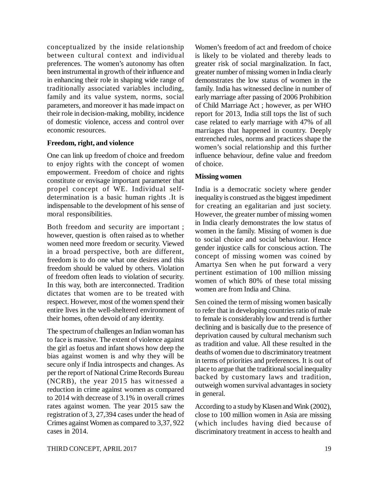conceptualized by the inside relationship between cultural context and individual preferences. The women's autonomy has often been instrumental in growth of their influence and in enhancing their role in shaping wide range of traditionally associated variables including, family and its value system, norms, social parameters, and moreover it has made impact on their role in decision-making, mobility, incidence of domestic violence, access and control over economic resources.

### **Freedom, right, and violence**

One can link up freedom of choice and freedom to enjoy rights with the concept of women empowerment. Freedom of choice and rights constitute or envisage important parameter that propel concept of WE. Individual selfdetermination is a basic human rights .It is indispensable to the development of his sense of moral responsibilities.

Both freedom and security are important ; however, question is often raised as to whether women need more freedom or security. Viewed in a broad perspective, both are different, freedom is to do one what one desires and this freedom should be valued by others. Violation of freedom often leads to violation of security. In this way, both are interconnected. Tradition dictates that women are to be treated with respect. However, most of the women spend their entire lives in the well-sheltered environment of their homes, often devoid of any identity.

The spectrum of challenges an Indian woman has to face is massive. The extent of violence against the girl as foetus and infant shows how deep the bias against women is and why they will be secure only if India introspects and changes. As per the report of National Crime Records Bureau (NCRB), the year 2015 has witnessed a reduction in crime against women as compared to 2014 with decrease of 3.1% in overall crimes rates against women. The year 2015 saw the registration of 3, 27,394 cases under the head of Crimes against Women as compared to 3,37, 922 cases in 2014.

Women's freedom of act and freedom of choice is likely to be violated and thereby leads to greater risk of social marginalization. In fact, greater number of missing women in India clearly demonstrates the low status of women in the family. India has witnessed decline in number of early marriage after passing of 2006 Prohibition of Child Marriage Act ; however, as per WHO report for 2013, India still tops the list of such case related to early marriage with 47% of all marriages that happened in country. Deeply entrenched rules, norms and practices shape the women's social relationship and this further influence behaviour, define value and freedom of choice.

### **Missing women**

India is a democratic society where gender inequality is construed as the biggest impediment for creating an egalitarian and just society. However, the greater number of missing women in India clearly demonstrates the low status of women in the family. Missing of women is due to social choice and social behaviour. Hence gender injustice calls for conscious action. The concept of missing women was coined by Amartya Sen when he put forward a very pertinent estimation of 100 million missing women of which 80% of these total missing women are from India and China.

Sen coined the term of missing women basically to refer that in developing countries ratio of male to female is considerably low and trend is further declining and is basically due to the presence of deprivation caused by cultural mechanism such as tradition and value. All these resulted in the deaths of women due to discriminatory treatment in terms of priorities and preferences. It is out of place to argue that the traditional social inequality backed by customary laws and tradition, outweigh women survival advantages in society in general.

According to a study by Klasen and Wink (2002), close to 100 million women in Asia are missing (which includes having died because of discriminatory treatment in access to health and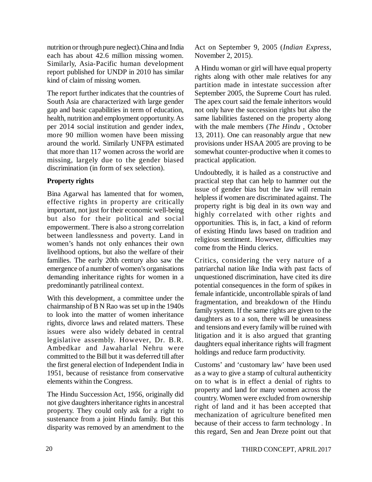nutrition or through pure neglect).China and India each has about 42.6 million missing women. Similarly, Asia-Pacific human development report published for UNDP in 2010 has similar kind of claim of missing women.

The report further indicates that the countries of South Asia are characterized with large gender gap and basic capabilities in term of education, health, nutrition and employment opportunity. As per 2014 social institution and gender index, more 90 million women have been missing around the world. Similarly UNFPA estimated that more than 117 women across the world are missing, largely due to the gender biased discrimination (in form of sex selection).

# **Property rights**

Bina Agarwal has lamented that for women, effective rights in property are critically important, not just for their economic well-being but also for their political and social empowerment. There is also a strong correlation between landlessness and poverty. Land in women's hands not only enhances their own livelihood options, but also the welfare of their families. The early 20th century also saw the emergence of a number of women's organisations demanding inheritance rights for women in a predominantly patrilineal context.

With this development, a committee under the chairmanship of B N Rao was set up in the 1940s to look into the matter of women inheritance rights, divorce laws and related matters. These issues were also widely debated in central legislative assembly. However, Dr. B.R. Ambedkar and Jawaharlal Nehru were committed to the Bill but it was deferred till after the first general election of Independent India in 1951, because of resistance from conservative elements within the Congress.

The Hindu Succession Act, 1956, originally did not give daughters inheritance rights in ancestral property. They could only ask for a right to sustenance from a joint Hindu family. But this disparity was removed by an amendment to the Act on September 9, 2005 (*Indian Express*, November 2, 2015).

A Hindu woman or girl will have equal property rights along with other male relatives for any partition made in intestate succession after September 2005, the Supreme Court has ruled. The apex court said the female inheritors would not only have the succession rights but also the same liabilities fastened on the property along with the male members (*The Hindu* , October 13, 2011). One can reasonably argue that new provisions under HSAA 2005 are proving to be somewhat counter-productive when it comes to practical application.

Undoubtedly, it is hailed as a constructive and practical step that can help to hammer out the issue of gender bias but the law will remain helpless if women are discriminated against. The property right is big deal in its own way and highly correlated with other rights and opportunities. This is, in fact, a kind of reform of existing Hindu laws based on tradition and religious sentiment. However, difficulties may come from the Hindu clerics.

Critics, considering the very nature of a patriarchal nation like India with past facts of unquestioned discrimination, have cited its dire potential consequences in the form of spikes in female infanticide, uncontrollable spirals of land fragmentation, and breakdown of the Hindu family system. If the same rights are given to the daughters as to a son, there will be uneasiness and tensions and every family will be ruined with litigation and it is also argued that granting daughters equal inheritance rights will fragment holdings and reduce farm productivity.

Customs' and 'customary law' have been used as a way to give a stamp of cultural authenticity on to what is in effect a denial of rights to property and land for many women across the country. Women were excluded from ownership right of land and it has been accepted that mechanization of agriculture benefited men because of their access to farm technology . In this regard, Sen and Jean Dreze point out that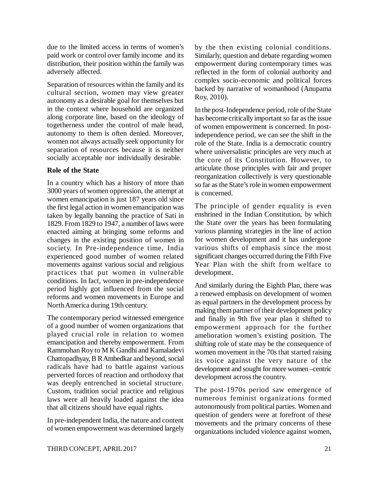due to the limited access in terms of women's paid work or control over family income and its distribution, their position within the family was adversely affected.

Separation of resources within the family and its cultural section, women may view greater autonomy as a desirable goal for themselves but in the context where household are organized along corporate line, based on the ideology of togetherness under the control of male head, autonomy to them is often denied. Moreover, women not always actually seek opportunity for separation of resources because it is neither socially acceptable nor individually desirable.

### **Role of the State**

In a country which has a history of more than 3000 years of women oppression, the attempt at women emancipation is just 187 years old since the first legal action in women emancipation was taken by legally banning the practice of Sati in 1829. From 1829 to 1947, a number of laws were enacted aiming at bringing some reforms and changes in the existing position of women in society. In Pre-independence time, India experienced good number of women related movements against various social and religious practices that put women in vulnerable conditions. In fact, women in pre-independence period highly got influenced from the social reforms and women movements in Europe and North America during 19th century.

The contemporary period witnessed emergence of a good number of women organizations that played crucial role in relation to women emancipation and thereby empowerment. From Rammohan Roy to M K Gandhi and Kamaladevi Chattopadhyay, B R Ambedkar and beyond, social radicals have had to battle against various perverted forces of reaction and orthodoxy that was deeply entrenched in societal structure. Custom, tradition social practice and religious laws were all heavily loaded against the idea that all citizens should have equal rights.

In pre-independent India, the nature and content of women empowerment was determined largely by the then existing colonial conditions. Similarly, question and debate regarding women empowerment during contemporary times was reflected in the form of colonial authority and complex socio-economic and political forces backed by narrative of womanhood (Anupama Roy, 2010).

In the post-Independence period, role of the State has become critically important so far as the issue of women empowerment is concerned. In postindependence period, we can see the shift in the role of the State. India is a democratic country where universalistic principles are very much at the core of its Constitution. However, to articulate those principles with fair and proper reorganization collectively is very questionable so far as the State's role in women empowerment is concerned.

The principle of gender equality is even enshrined in the Indian Constitution, by which the State over the years has been formulating various planning strategies in the line of action for women development and it has undergone various shifts of emphasis since the most significant changes occurred during the Fifth Five Year Plan with the shift from welfare to development.

And similarly during the Eighth Plan, there was a renewed emphasis on development of women as equal partners in the development process by making them partner of their development policy and finally in 9th five year plan it shifted to empowerment approach for the further amelioration women's existing position. The shifting role of state may be the consequence of women movement in the 70s that started raising its voice against the very nature of the development and sought for more women –centric development across the country.

The post-1970s period saw emergence of numerous feminist organizations formed autonomously from political parties. Women and question of genders were at forefront of these movements and the primary concerns of these organizations included violence against women,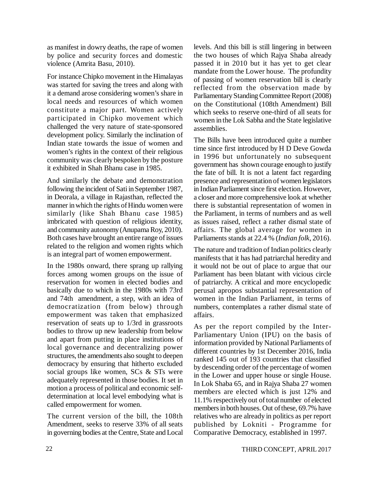as manifest in dowry deaths, the rape of women by police and security forces and domestic violence (Amrita Basu, 2010).

For instance Chipko movement in the Himalayas was started for saving the trees and along with it a demand arose considering women's share in local needs and resources of which women constitute a major part. Women actively participated in Chipko movement which challenged the very nature of state-sponsored development policy. Similarly the inclination of Indian state towards the issue of women and women's rights in the context of their religious community was clearly bespoken by the posture it exhibited in Shah Bhanu case in 1985.

And similarly the debate and demonstration following the incident of Sati in September 1987, in Deorala, a village in Rajasthan, reflected the manner in which the rights of Hindu women were similarly (like Shah Bhanu case 1985) imbricated with question of religious identity, and community autonomy (Anupama Roy, 2010). Both cases have brought an entire range of issues related to the religion and women rights which is an integral part of women empowerment.

In the 1980s onward, there sprang up rallying forces among women groups on the issue of reservation for women in elected bodies and basically due to which in the 1980s with 73rd and 74th amendment, a step, with an idea of democratization (from below) through empowerment was taken that emphasized reservation of seats up to 1/3rd in grassroots bodies to throw up new leadership from below and apart from putting in place institutions of local governance and decentralizing power structures, the amendments also sought to deepen democracy by ensuring that hitherto excluded social groups like women, SCs & STs were adequately represented in those bodies. It set in motion a process of political and economic selfdetermination at local level embodying what is called empowerment for women.

The current version of the bill, the 108th Amendment, seeks to reserve 33% of all seats in governing bodies at the Centre, State and Local levels. And this bill is still lingering in between the two houses of which Rajya Shaba already passed it in 2010 but it has yet to get clear mandate from the Lower house. The profundity of passing of women reservation bill is clearly reflected from the observation made by Parliamentary Standing Committee Report (2008) on the Constitutional (108th Amendment) Bill which seeks to reserve one-third of all seats for women in the Lok Sabha and the State legislative assemblies.

The Bills have been introduced quite a number time since first introduced by H D Deve Gowda in 1996 but unfortunately no subsequent government has shown courage enough to justify the fate of bill*.* It is not a latent fact regarding presence and representation of women legislators in Indian Parliament since first election. However, a closer and more comprehensive look at whether there is substantial representation of women in the Parliament, in terms of numbers and as well as issues raised, reflect a rather dismal state of affairs. The global average for women in Parliaments stands at 22.4 % (*Indian folk*, 2016).

The nature and tradition of Indian politics clearly manifests that it has had patriarchal heredity and it would not be out of place to argue that our Parliament has been blatant with vicious circle of patriarchy. A critical and more encyclopedic perusal apropos substantial representation of women in the Indian Parliament, in terms of numbers, contemplates a rather dismal state of affairs.

As per the report compiled by the Inter-Parliamentary Union (IPU) on the basis of information provided by National Parliaments of different countries by 1st December 2016, India ranked 145 out of 193 countries that classified by descending order of the percentage of women in the Lower and upper house or single House. In Lok Shaba 65, and in Rajya Shaba 27 women members are elected which is just 12% and 11.1% respectively out of total number of elected members in both houses. Out of these, 69.7% have relatives who are already in politics as per report published by Lokniti - Programme for Comparative Democracy, established in 1997.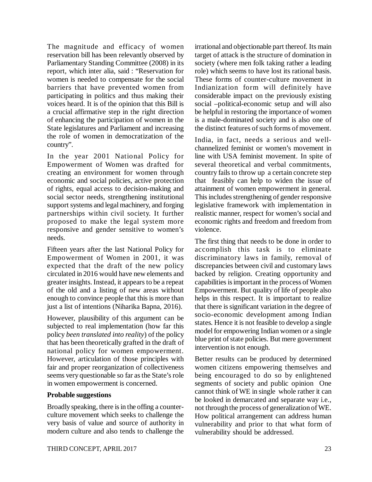The magnitude and efficacy of women reservation bill has been relevantly observed by Parliamentary Standing Committee (2008) in its report, which inter alia, said : "Reservation for women is needed to compensate for the social barriers that have prevented women from participating in politics and thus making their voices heard. It is of the opinion that this Bill is a crucial affirmative step in the right direction of enhancing the participation of women in the State legislatures and Parliament and increasing the role of women in democratization of the country".

In the year 2001 National Policy for Empowerment of Women was drafted for creating an environment for women through economic and social policies, active protection of rights, equal access to decision-making and social sector needs, strengthening institutional support systems and legal machinery, and forging partnerships within civil society. It further proposed to make the legal system more responsive and gender sensitive to women's needs.

Fifteen years after the last National Policy for Empowerment of Women in 2001, it was expected that the draft of the new policy circulated in 2016 would have new elements and greater insights. Instead, it appears to be a repeat of the old and a listing of new areas without enough to convince people that this is more than just a list of intentions (Niharika Bapna, 2016).

However, plausibility of this argument can be subjected to real implementation (how far this policy *been translated into reality*) of the policy that has been theoretically grafted in the draft of national policy for women empowerment. However, articulation of those principles with fair and proper reorganization of collectiveness seems very questionable so far as the State's role in women empowerment is concerned.

### **Probable suggestions**

Broadly speaking, there is in the offing a counterculture movement which seeks to challenge the very basis of value and source of authority in modern culture and also tends to challenge the irrational and objectionable part thereof. Its main target of attack is the structure of domination in society (where men folk taking rather a leading role) which seems to have lost its rational basis. These forms of counter-culture movement in Indianization form will definitely have considerable impact on the previously existing social –political-economic setup and will also be helpful in restoring the importance of women is a male-dominated society and is also one of the distinct features of such forms of movement.

India, in fact, needs a serious and wellchannelized feminist or women's movement in line with USA feminist movement. In spite of several theoretical and verbal commitments, country fails to throw up a certain concrete step that feasibly can help to widen the issue of attainment of women empowerment in general. This includes strengthening of gender responsive legislative framework with implementation in realistic manner, respect for women's social and economic rights and freedom and freedom from violence.

The first thing that needs to be done in order to accomplish this task is to eliminate discriminatory laws in family, removal of discrepancies between civil and customary laws backed by religion. Creating opportunity and capabilities is important in the process of Women Empowerment. But quality of life of people also helps in this respect. It is important to realize that there is significant variation in the degree of socio-economic development among Indian states. Hence it is not feasible to develop a single model for empowering Indian women or a single blue print of state policies. But mere government intervention is not enough.

Better results can be produced by determined women citizens empowering themselves and being encouraged to do so by enlightened segments of society and public opinion One cannot think of WE in single whole rather it can be looked in demarcated and separate way i.e., not through the process of generalization of WE. How political arrangement can address human vulnerability and prior to that what form of vulnerability should be addressed.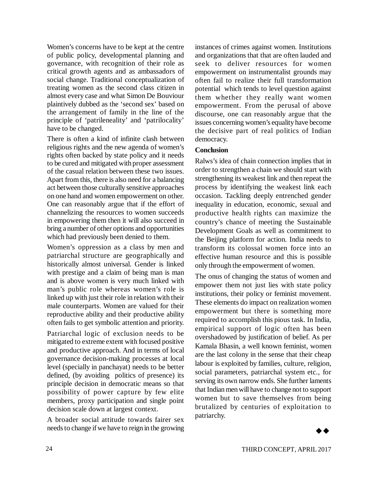Women's concerns have to be kept at the centre of public policy, developmental planning and governance, with recognition of their role as critical growth agents and as ambassadors of social change. Traditional conceptualization of treating women as the second class citizen in almost every case and what Simon De Bouviour plaintively dubbed as the 'second sex' based on the arrangement of family in the line of the principle of 'patrileneality' and 'patrilocality' have to be changed.

There is often a kind of infinite clash between religious rights and the new agenda of women's rights often backed by state policy and it needs to be cured and mitigated with proper assessment of the casual relation between these two issues. Apart from this, there is also need for a balancing act between those culturally sensitive approaches on one hand and women empowerment on other. One can reasonably argue that if the effort of channelizing the resources to women succeeds in empowering them then it will also succeed in bring a number of other options and opportunities which had previously been denied to them.

Women's oppression as a class by men and patriarchal structure are geographically and historically almost universal. Gender is linked with prestige and a claim of being man is man and is above women is very much linked with man's public role whereas women's role is linked up with just their role in relation with their male counterparts. Women are valued for their reproductive ability and their productive ability often fails to get symbolic attention and priority.

Patriarchal logic of exclusion needs to be mitigated to extreme extent with focused positive and productive approach. And in terms of local governance decision-making processes at local level (specially in panchayat) needs to be better defined, (by avoiding politics of presence) its principle decision in democratic means so that possibility of power capture by few elite members, proxy participation and single point decision scale down at largest context.

A broader social attitude towards fairer sex needs to change if we have to reign in the growing instances of crimes against women. Institutions and organizations that that are often lauded and seek to deliver resources for women empowerment on instrumentalist grounds may often fail to realize their full transformation potential which tends to level question against them whether they really want women empowerment. From the perusal of above discourse, one can reasonably argue that the issues concerning women's equality have become the decisive part of real politics of Indian democracy.

### **Conclusion**

Ralws's idea of chain connection implies that in order to strengthen a chain we should start with strengthening its weakest link and then repeat the process by identifying the weakest link each occasion. Tackling deeply entrenched gender inequality in education, economic, sexual and productive health rights can maximize the country's chance of meeting the Sustainable Development Goals as well as commitment to the Beijing platform for action. India needs to transform its colossal women force into an effective human resource and this is possible only through the empowerment of women.

The onus of changing the status of women and empower them not just lies with state policy institutions, their policy or feminist movement. These elements do impact on realization women empowerment but there is something more required to accomplish this pious task. In India, empirical support of logic often has been overshadowed by justification of belief. As per Kamala Bhasin, a well known feminist, women are the last colony in the sense that their cheap labour is exploited by families, culture, religion, social parameters, patriarchal system etc., for serving its own narrow ends. She further laments that Indian men will have to change not to support women but to save themselves from being brutalized by centuries of exploitation to patriarchy.

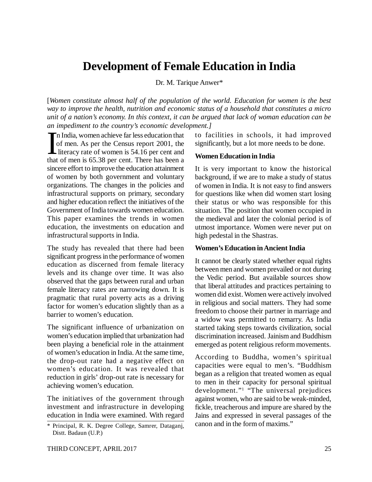# **Development of Female Education in India**

Dr. M. Tarique Anwer\*

[*Women constitute almost half of the population of the world. Education for women is the best way to improve the health, nutrition and economic status of a household that constitutes a micro unit of a nation's economy. In this context, it can be argued that lack of woman education can be an impediment to the country's economic development.]*

 $\sum_{\text{that}}$ n India, women achieve far less education that of men. As per the Census report 2001, the literacy rate of women is 54.16 per cent and that of men is 65.38 per cent. There has been a sincere effort to improve the education attainment of women by both government and voluntary organizations. The changes in the policies and infrastructural supports on primary, secondary and higher education reflect the initiatives of the Government of India towards women education. This paper examines the trends in women education, the investments on education and infrastructural supports in India.

The study has revealed that there had been significant progress in the performance of women education as discerned from female literacy levels and its change over time. It was also observed that the gaps between rural and urban female literacy rates are narrowing down. It is pragmatic that rural poverty acts as a driving factor for women's education slightly than as a barrier to women's education.

The significant influence of urbanization on women's education implied that urbanization had been playing a beneficial role in the attainment of women's education in India. At the same time, the drop-out rate had a negative effect on women's education. It was revealed that reduction in girls' drop-out rate is necessary for achieving women's education.

The initiatives of the government through investment and infrastructure in developing education in India were examined. With regard to facilities in schools, it had improved significantly, but a lot more needs to be done.

### **Women Education in India**

It is very important to know the historical background, if we are to make a study of status of women in India. It is not easy to find answers for questions like when did women start losing their status or who was responsible for this situation. The position that women occupied in the medieval and later the colonial period is of utmost importance. Women were never put on high pedestal in the Shastras.

### **Women's Education in Ancient India**

It cannot be clearly stated whether equal rights between men and women prevailed or not during the Vedic period. But available sources show that liberal attitudes and practices pertaining to women did exist. Women were actively involved in religious and social matters. They had some freedom to choose their partner in marriage and a widow was permitted to remarry. As India started taking steps towards civilization, social discrimination increased. Jainism and Buddhism emerged as potent religious reform movements.

According to Buddha, women's spiritual capacities were equal to men's. "Buddhism began as a religion that treated women as equal to men in their capacity for personal spiritual development."<sup>1</sup> "The universal prejudices against women, who are said to be weak-minded, fickle, treacherous and impure are shared by the Jains and expressed in several passages of the canon and in the form of maxims."

<sup>\*</sup> Principal, R. K. Degree College, Samrer, Dataganj, Distt. Badaun (U.P.)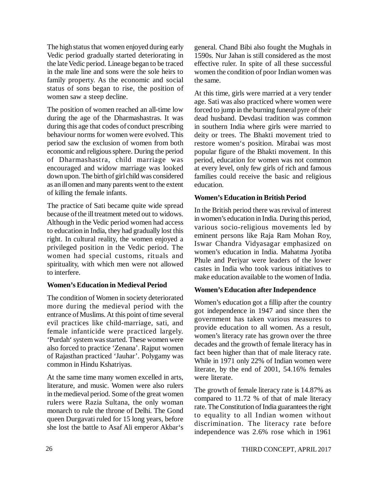The high status that women enjoyed during early Vedic period gradually started deteriorating in the late Vedic period. Lineage began to be traced in the male line and sons were the sole heirs to family property. As the economic and social status of sons began to rise, the position of women saw a steep decline.

The position of women reached an all-time low during the age of the Dharmashastras. It was during this age that codes of conduct prescribing behaviour norms for women were evolved. This period saw the exclusion of women from both economic and religious sphere. During the period of Dharmashastra, child marriage was encouraged and widow marriage was looked down upon. The birth of girl child was considered as an ill omen and many parents went to the extent of killing the female infants.

The practice of Sati became quite wide spread because of the ill treatment meted out to widows. Although in the Vedic period women had access to education in India, they had gradually lost this right. In cultural reality, the women enjoyed a privileged position in the Vedic period. The women had special customs, rituals and spirituality, with which men were not allowed to interfere.

### **Women's Education in Medieval Period**

The condition of Women in society deteriorated more during the medieval period with the entrance of Muslims. At this point of time several evil practices like child-marriage, sati, and female infanticide were practiced largely. 'Purdah' system was started. These women were also forced to practice 'Zenana'. Rajput women of Rajasthan practiced 'Jauhar'. Polygamy was common in Hindu Kshatriyas.

At the same time many women excelled in arts, literature, and music. Women were also rulers in the medieval period. Some of the great women rulers were Razia Sultana, the only woman monarch to rule the throne of Delhi. The Gond queen Durgavati ruled for 15 long years, before she lost the battle to Asaf Ali emperor Akbar's general. Chand Bibi also fought the Mughals in 1590s. Nur Jahan is still considered as the most effective ruler. In spite of all these successful women the condition of poor Indian women was the same.

At this time, girls were married at a very tender age. Sati was also practiced where women were forced to jump in the burning funeral pyre of their dead husband. Devdasi tradition was common in southern India where girls were married to deity or trees. The Bhakti movement tried to restore women's position. Mirabai was most popular figure of the Bhakti movement. In this period, education for women was not common at every level, only few girls of rich and famous families could receive the basic and religious education.

# **Women's Education in British Period**

In the British period there was revival of interest in women's education in India. During this period, various socio-religious movements led by eminent persons like Raja Ram Mohan Roy, Iswar Chandra Vidyasagar emphasized on women's education in India. Mahatma Jyotiba Phule and Periyar were leaders of the lower castes in India who took various initiatives to make education available to the women of India.

# **Women's Education after Independence**

Women's education got a fillip after the country got independence in 1947 and since then the government has taken various measures to provide education to all women. As a result, women's literacy rate has grown over the three decades and the growth of female literacy has in fact been higher than that of male literacy rate. While in 1971 only 22% of Indian women were literate, by the end of 2001, 54.16% females were literate.

The growth of female literacy rate is 14.87% as compared to 11.72 % of that of male literacy rate. The Constitution of India guarantees the right to equality to all Indian women without discrimination. The literacy rate before independence was 2.6% rose which in 1961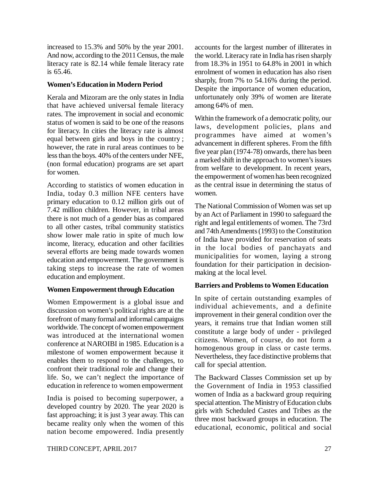increased to 15.3% and 50% by the year 2001. And now, according to the 2011 Census, the male literacy rate is 82.14 while female literacy rate is 65.46.

### **Women's Education in Modern Period**

Kerala and Mizoram are the only states in India that have achieved universal female literacy rates. The improvement in social and economic status of women is said to be one of the reasons for literacy. In cities the literacy rate is almost equal between girls and boys in the country ; however, the rate in rural areas continues to be less than the boys. 40% of the centers under NFE, (non formal education) programs are set apart for women.

According to statistics of women education in India, today 0.3 million NFE centers have primary education to 0.12 million girls out of 7.42 million children. However, in tribal areas there is not much of a gender bias as compared to all other castes, tribal community statistics show lower male ratio in spite of much low income, literacy, education and other facilities several efforts are being made towards women education and empowerment. The government is taking steps to increase the rate of women education and employment.

# **Women Empowerment through Education**

Women Empowerment is a global issue and discussion on women's political rights are at the forefront of many formal and informal campaigns worldwide. The concept of women empowerment was introduced at the international women conference at NAROIBI in 1985. Education is a milestone of women empowerment because it enables them to respond to the challenges, to confront their traditional role and change their life. So, we can't neglect the importance of education in reference to women empowerment

India is poised to becoming superpower, a developed country by 2020. The year 2020 is fast approaching; it is just 3 year away. This can became reality only when the women of this nation become empowered. India presently accounts for the largest number of illiterates in the world. Literacy rate in India has risen sharply from 18.3% in 1951 to 64.8% in 2001 in which enrolment of women in education has also risen sharply, from 7% to 54.16% during the period. Despite the importance of women education, unfortunately only 39% of women are literate among 64% of men.

Within the framework of a democratic polity, our laws, development policies, plans and programmes have aimed at women's advancement in different spheres. From the fifth five year plan (1974-78) onwards, there has been a marked shift in the approach to women's issues from welfare to development. In recent years, the empowerment of women has been recognized as the central issue in determining the status of women.

The National Commission of Women was set up by an Act of Parliament in 1990 to safeguard the right and legal entitlements of women. The 73rd and 74th Amendments (1993) to the Constitution of India have provided for reservation of seats in the local bodies of panchayats and municipalities for women, laying a strong foundation for their participation in decisionmaking at the local level.

# **Barriers and Problems to Women Education**

In spite of certain outstanding examples of individual achievements, and a definite improvement in their general condition over the years, it remains true that Indian women still constitute a large body of under - privileged citizens. Women, of course, do not form a homogenous group in class or caste terms. Nevertheless, they face distinctive problems that call for special attention.

The Backward Classes Commission set up by the Government of India in 1953 classified women of India as a backward group requiring special attention. The Ministry of Education clubs girls with Scheduled Castes and Tribes as the three most backward groups in education. The educational, economic, political and social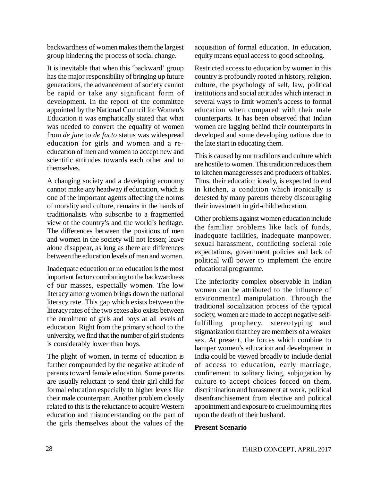backwardness of women makes them the largest group hindering the process of social change.

It is inevitable that when this 'backward' group has the major responsibility of bringing up future generations, the advancement of society cannot be rapid or take any significant form of development. In the report of the committee appointed by the National Council for Women's Education it was emphatically stated that what was needed to convert the equality of women from *de jure* to *de facto* status was widespread education for girls and women and a reeducation of men and women to accept new and scientific attitudes towards each other and to themselves.

A changing society and a developing economy cannot make any headway if education, which is one of the important agents affecting the norms of morality and culture, remains in the hands of traditionalists who subscribe to a fragmented view of the country's and the world's heritage. The differences between the positions of men and women in the society will not lessen; leave alone disappear, as long as there are differences between the education levels of men and women.

Inadequate education or no education is the most important factor contributing to the backwardness of our masses, especially women. The low literacy among women brings down the national literacy rate. This gap which exists between the literacy rates of the two sexes also exists between the enrolment of girls and boys at all levels of education. Right from the primary school to the university, we find that the number of girl students is considerably lower than boys.

The plight of women, in terms of education is further compounded by the negative attitude of parents toward female education. Some parents are usually reluctant to send their girl child for formal education especially to higher levels like their male counterpart. Another problem closely related to this is the reluctance to acquire Western education and misunderstanding on the part of the girls themselves about the values of the

acquisition of formal education. In education, equity means equal access to good schooling.

Restricted access to education by women in this country is profoundly rooted in history, religion, culture, the psychology of self, law, political institutions and social attitudes which interact in several ways to limit women's access to formal education when compared with their male counterparts. It has been observed that Indian women are lagging behind their counterparts in developed and some developing nations due to the late start in educating them.

This is caused by our traditions and culture which are hostile to women. This tradition reduces them to kitchen manageresses and producers of babies. Thus, their education ideally, is expected to end in kitchen, a condition which ironically is detested by many parents thereby discouraging their investment in girl-child education.

Other problems against women education include the familiar problems like lack of funds, inadequate facilities, inadequate manpower, sexual harassment, conflicting societal role expectations, government policies and lack of political will power to implement the entire educational programme.

The inferiority complex observable in Indian women can be attributed to the influence of environmental manipulation. Through the traditional socialization process of the typical society, women are made to accept negative selffulfilling prophecy, stereotyping and stigmatization that they are members of a weaker sex. At present, the forces which combine to hamper women's education and development in India could be viewed broadly to include denial of access to education, early marriage, confinement to solitary living, subjugation by culture to accept choices forced on them, discrimination and harassment at work, political disenfranchisement from elective and political appointment and exposure to cruel mourning rites upon the death of their husband.

### **Present Scenario**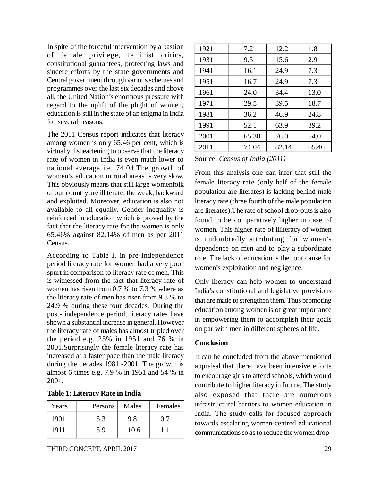In spite of the forceful intervention by a bastion of female privilege, feminist critics, constitutional guarantees, protecting laws and sincere efforts by the state governments and Central government through various schemes and programmes over the last six decades and above all, the United Nation's enormous pressure with regard to the uplift of the plight of women, education is still in the state of an enigma in India for several reasons.

The 2011 Census report indicates that literacy among women is only 65.46 per cent, which is virtually disheartening to observe that the literacy rate of women in India is even much lower to national average i.e. 74.04.The growth of women's education in rural areas is very slow. This obviously means that still large womenfolk of our country are illiterate, the weak, backward and exploited. Moreover, education is also not available to all equally. Gender inequality is reinforced in education which is proved by the fact that the literacy rate for the women is only 65.46% against 82.14% of men as per 2011 Census.

According to Table I, in pre-Independence period literacy rate for women had a very poor spurt in comparison to literacy rate of men. This is witnessed from the fact that literacy rate of women has risen from 0.7 % to 7.3 % where as the literacy rate of men has risen from 9.8 % to 24.9 % during these four decades. During the post- independence period, literacy rates have shown a substantial increase in general. However the literacy rate of males has almost tripled over the period e.g. 25% in 1951 and 76 % in 2001.Surprisingly the female literacy rate has increased at a faster pace than the male literacy during the decades 1981 -2001. The growth is almost 6 times e.g. 7.9 % in 1951 and 54 % in 2001.

| <b>Table 1: Literacy Rate in India</b> |  |  |
|----------------------------------------|--|--|
|----------------------------------------|--|--|

| Years | Persons | Males | Females |  |
|-------|---------|-------|---------|--|
| 1901  | 5.3     | 9.8   | 07      |  |
| 1911  | 5.9     | 10.6  |         |  |

| 1921 | 7.2   | 12.2  | 1.8   |
|------|-------|-------|-------|
| 1931 | 9.5   | 15.6  | 2.9   |
| 1941 | 16.1  | 24.9  | 7.3   |
| 1951 | 16.7  | 24.9  | 7.3   |
| 1961 | 24.0  | 34.4  | 13.0  |
| 1971 | 29.5  | 39.5  | 18.7  |
| 1981 | 36.2  | 46.9  | 24.8  |
| 1991 | 52.1  | 63.9  | 39.2  |
| 2001 | 65.38 | 76.0  | 54.0  |
| 2011 | 74.04 | 82.14 | 65.46 |

Source: *Census of India (2011)*

From this analysis one can infer that still the female literacy rate (only half of the female population are literates) is lacking behind male literacy rate (three fourth of the male population are literates).The rate of school drop-outs is also found to be comparatively higher in case of women. This higher rate of illiteracy of women is undoubtedly attributing for women's dependence on men and to play a subordinate role. The lack of education is the root cause for women's exploitation and negligence.

Only literacy can help women to understand India's constitutional and legislative provisions that are made to strengthen them. Thus promoting education among women is of great importance in empowering them to accomplish their goals on par with men in different spheres of life.

# **Conclusion**

It can be concluded from the above mentioned appraisal that there have been intensive efforts to encourage girls to attend schools, which would contribute to higher literacy in future. The study also exposed that there are numerous infrastructural barriers to women education in India. The study calls for focused approach towards escalating women-centred educational communications so as to reduce the women drop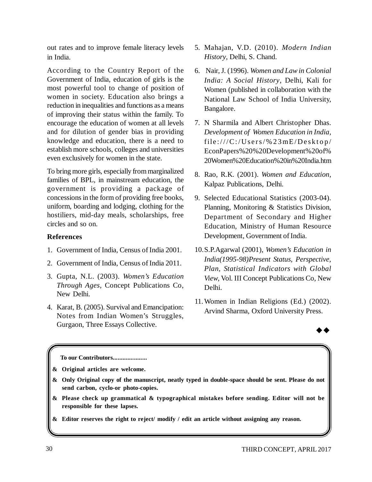out rates and to improve female literacy levels in India.

According to the Country Report of the Government of India, education of girls is the most powerful tool to change of position of women in society. Education also brings a reduction in inequalities and functions as a means of improving their status within the family. To encourage the education of women at all levels and for dilution of gender bias in providing knowledge and education, there is a need to establish more schools, colleges and universities even exclusively for women in the state.

To bring more girls, especially from marginalized families of BPL, in mainstream education, the government is providing a package of concessions in the form of providing free books, uniform, boarding and lodging, clothing for the hostiliers, mid-day meals, scholarships, free circles and so on.

# **References**

- 1. Government of India, Census of India 2001.
- 2. Government of India, Census of India 2011.
- 3. Gupta, N.L. (2003). *Women's Education Through Ages*, Concept Publications Co, New Delhi.
- 4. Karat, B. (2005). Survival and Emancipation: Notes from Indian Women's Struggles, Gurgaon, Three Essays Collective.
- 5. Mahajan, V.D. (2010). *Modern Indian History*, Delhi, S. Chand.
- 6. Nair, J. (1996). *Women and Law in Colonial India: A Social History*, Delhi, Kali for Women (published in collaboration with the National Law School of India University, Bangalore.
- 7. N Sharmila and Albert Christopher Dhas. *Development of Women Education in India*,  $file://C://Users/\%23mE/Desktop/$ EconPapers%20%20Development%20of% 20Women%20Education%20in%20India.htm
- 8. Rao, R.K. (2001). *Women and Education*, Kalpaz Publications, Delhi.
- 9. Selected Educational Statistics (2003-04). Planning, Monitoring & Statistics Division, Department of Secondary and Higher Education, Ministry of Human Resource Development, Government of India.
- 10.S.P.Agarwal (2001), *Women's Education in India(1995-98)Present Status, Perspective, Plan, Statistical Indicators with Global View*, Vol. III Concept Publications Co, New Delhi.
- 11.Women in Indian Religions (Ed.) (2002). Arvind Sharma, Oxford University Press.



**To our Contributors.....................**

**& Original articles are welcome.**

- **& Only Original copy of the manuscript, neatly typed in double-space should be sent. Please do not send carbon, cyclo-or photo-copies.**
- **& Please check up grammatical & typographical mistakes before sending. Editor will not be responsible for these lapses.**
- **& Editor reserves the right to reject/ modify / edit an article without assigning any reason.**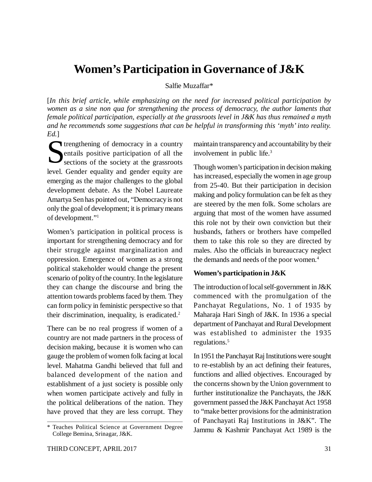# **Women's Participation in Governance of J&K**

Salfie Muzaffar\*

[*In this brief article, while emphasizing on the need for increased political participation by women as a sine non qua for strengthening the process of democracy, the author laments that female political participation, especially at the grassroots level in J&K has thus remained a myth and he recommends some suggestions that can be helpful in transforming this 'myth' into reality. Ed.*]

Survey trengthening of democracy in a country<br>
entails positive participation of all the<br>
sections of the society at the grassroots entails positive participation of all the sections of the society at the grassroots level. Gender equality and gender equity are emerging as the major challenges to the global development debate. As the Nobel Laureate Amartya Sen has pointed out, "Democracy is not only the goal of development; it is primary means of development."<sup>1</sup>

Women's participation in political process is important for strengthening democracy and for their struggle against marginalization and oppression. Emergence of women as a strong political stakeholder would change the present scenario of polity of the country. In the legislature they can change the discourse and bring the attention towards problems faced by them. They can form policy in feministic perspective so that their discrimination, inequality, is eradicated. $2$ 

There can be no real progress if women of a country are not made partners in the process of decision making, because it is women who can gauge the problem of women folk facing at local level. Mahatma Gandhi believed that full and balanced development of the nation and establishment of a just society is possible only when women participate actively and fully in the political deliberations of the nation. They have proved that they are less corrupt. They maintain transparency and accountability by their involvement in public life.<sup>3</sup>

Though women's participation in decision making has increased, especially the women in age group from 25-40. But their participation in decision making and policy formulation can be felt as they are steered by the men folk. Some scholars are arguing that most of the women have assumed this role not by their own conviction but their husbands, fathers or brothers have compelled them to take this role so they are directed by males. Also the officials in bureaucracy neglect the demands and needs of the poor women.<sup>4</sup>

### **Women's participation in J&K**

The introduction of local self-government in J&K commenced with the promulgation of the Panchayat Regulations, No. 1 of 1935 by Maharaja Hari Singh of J&K. In 1936 a special department of Panchayat and Rural Development was established to administer the 1935 regulations.<sup>5</sup>

In 1951 the Panchayat Raj Institutions were sought to re-establish by an act defining their features, functions and allied objectives. Encouraged by the concerns shown by the Union government to further institutionalize the Panchayats, the J&K government passed the J&K Panchayat Act 1958 to "make better provisions for the administration of Panchayati Raj Institutions in J&K". The Jammu & Kashmir Panchayat Act 1989 is the

<sup>\*</sup> Teaches Political Science at Government Degree College Bemina, Srinagar, J&K.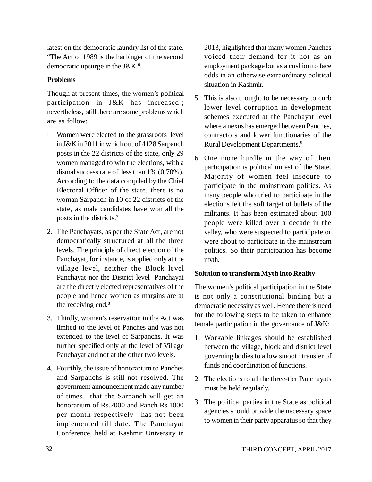latest on the democratic laundry list of the state. "The Act of 1989 is the harbinger of the second democratic upsurge in the J&K.<sup>6</sup>

# **Problems**

Though at present times, the women's political participation in J&K has increased ; nevertheless, still there are some problems which are as follow:

- l Women were elected to the grassroots level in J&K in 2011 in which out of 4128 Sarpanch posts in the 22 districts of the state, only 29 women managed to win the elections, with a dismal success rate of less than 1% (0.70%). According to the data compiled by the Chief Electoral Officer of the state, there is no woman Sarpanch in 10 of 22 districts of the state, as male candidates have won all the posts in the districts.<sup>7</sup>
- 2. The Panchayats, as per the State Act, are not democratically structured at all the three levels. The principle of direct election of the Panchayat, for instance, is applied only at the village level, neither the Block level Panchayat nor the District level Panchayat are the directly elected representatives of the people and hence women as margins are at the receiving end.<sup>8</sup>
- 3. Thirdly, women's reservation in the Act was limited to the level of Panches and was not extended to the level of Sarpanchs. It was further specified only at the level of Village Panchayat and not at the other two levels.
- 4. Fourthly, the issue of honorarium to Panches and Sarpanchs is still not resolved. The government announcement made any number of times—that the Sarpanch will get an honorarium of Rs.2000 and Panch Rs.1000 per month respectively—has not been implemented till date. The Panchayat Conference, held at Kashmir University in

2013, highlighted that many women Panches voiced their demand for it not as an employment package but as a cushion to face odds in an otherwise extraordinary political situation in Kashmir.

- 5. This is also thought to be necessary to curb lower level corruption in development schemes executed at the Panchayat level where a nexus has emerged between Panches, contractors and lower functionaries of the Rural Development Departments.<sup>9</sup>
- 6. One more hurdle in the way of their participation is political unrest of the State. Majority of women feel insecure to participate in the mainstream politics. As many people who tried to participate in the elections felt the soft target of bullets of the militants. It has been estimated about 100 people were killed over a decade in the valley, who were suspected to participate or were about to participate in the mainstream politics. So their participation has become myth.

# **Solution to transform Myth into Reality**

The women's political participation in the State is not only a constitutional binding but a democratic necessity as well. Hence there is need for the following steps to be taken to enhance female participation in the governance of J&K:

- 1. Workable linkages should be established between the village, block and district level governing bodies to allow smooth transfer of funds and coordination of functions.
- 2. The elections to all the three-tier Panchayats must be held regularly.
- 3. The political parties in the State as political agencies should provide the necessary space to women in their party apparatus so that they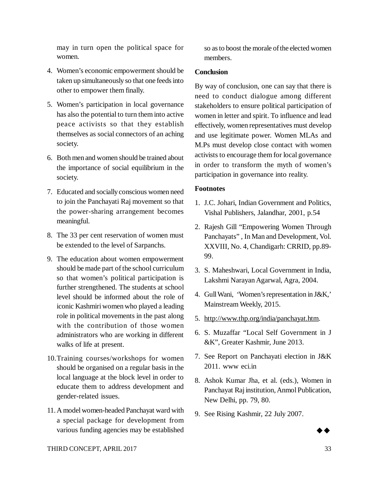may in turn open the political space for women.

- 4. Women's economic empowerment should be taken up simultaneously so that one feeds into other to empower them finally.
- 5. Women's participation in local governance has also the potential to turn them into active peace activists so that they establish themselves as social connectors of an aching society.
- 6. Both men and women should be trained about the importance of social equilibrium in the society.
- 7. Educated and socially conscious women need to join the Panchayati Raj movement so that the power-sharing arrangement becomes meaningful.
- 8. The 33 per cent reservation of women must be extended to the level of Sarpanchs.
- 9. The education about women empowerment should be made part of the school curriculum so that women's political participation is further strengthened. The students at school level should be informed about the role of iconic Kashmiri women who played a leading role in political movements in the past along with the contribution of those women administrators who are working in different walks of life at present.
- 10.Training courses/workshops for women should be organised on a regular basis in the local language at the block level in order to educate them to address development and gender-related issues.
- 11.A model women-headed Panchayat ward with a special package for development from various funding agencies may be established

so as to boost the morale of the elected women members.

# **Conclusion**

By way of conclusion, one can say that there is need to conduct dialogue among different stakeholders to ensure political participation of women in letter and spirit. To influence and lead effectively, women representatives must develop and use legitimate power. Women MLAs and M.Ps must develop close contact with women activists to encourage them for local governance in order to transform the myth of women's participation in governance into reality.

# **Footnotes**

- 1. J.C. Johari, Indian Government and Politics, Vishal Publishers, Jalandhar, 2001, p.54
- 2. Rajesh Gill "Empowering Women Through Panchayats" , In Man and Development, Vol. XXVIII, No. 4, Chandigarh: CRRID, pp.89- 99.
- 3. S. Maheshwari, Local Government in India, Lakshmi Narayan Agarwal, Agra, 2004.
- 4. Gull Wani, 'Women's representation in J&K,' Mainstream Weekly, 2015.
- 5. <http://www.thp.org/india/panchayat.htm.>
- 6. S. Muzaffar "Local Self Government in J &K", Greater Kashmir, June 2013.
- 7. See Report on Panchayati election in J&K 2011. www eci.in
- 8. Ashok Kumar Jha, et al. (eds.), Women in Panchayat Raj institution, Anmol Publication, New Delhi, pp. 79, 80.
- 9. See Rising Kashmir, 22 July 2007.

 $\blacktriangleright$  4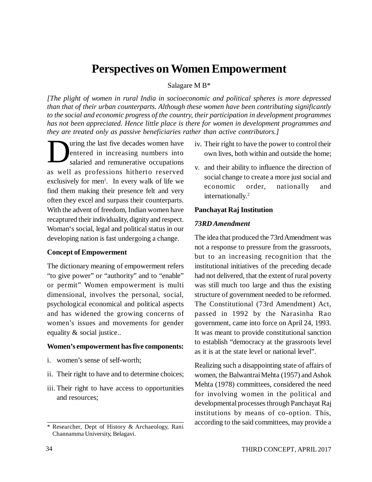# **Perspectives on Women Empowerment**

#### Salagare M B\*

*[The plight of women in rural India in socioeconomic and political spheres is more depressed than that of their urban counterparts. Although these women have been contributing significantly to the social and economic progress of the country, their participation in development programmes has not been appreciated. Hence little place is there for women in development programmes and they are treated only as passive beneficiaries rather than active contributors.]*

D uring the last five decades women have entered in increasing numbers into salaried and remunerative occupations as well as professions hitherto reserved exclusively for men<sup>1</sup>. In every walk of life we find them making their presence felt and very often they excel and surpass their counterparts. With the advent of freedom, Indian women have recaptured their individuality, dignity and respect. Woman's social, legal and political status in our developing nation is fast undergoing a change.

#### **Concept of Empowerment**

The dictionary meaning of empowerment refers "to give power" or "authority" and to "enable" or permit" Women empowerment is multi dimensional, involves the personal, social, psychological economical and political aspects and has widened the growing concerns of women's issues and movements for gender equality & social justice..

#### **Women's empowerment has five components:**

- i. women's sense of self-worth;
- ii. Their right to have and to determine choices;
- iii. Their right to have access to opportunities and resources;
- iv. Their right to have the power to control their own lives, both within and outside the home;
- v. and their ability to influence the direction of social change to create a more just social and economic order, nationally and internationally.<sup>2</sup>

#### **Panchayat Raj Institution**

### *73RD Amendment*

The idea that produced the 73rd Amendment was not a response to pressure from the grassroots, but to an increasing recognition that the institutional initiatives of the preceding decade had not delivered, that the extent of rural poverty was still much too large and thus the existing structure of government needed to be reformed. The Constitutional (73rd Amendment) Act, passed in 1992 by the Narasinha Rao government, came into force on April 24, 1993. It was meant to provide constitutional sanction to establish "democracy at the grassroots level as it is at the state level or national level".

Realizing such a disappointing state of affairs of women, the Balwantrai Mehta (1957) and Ashok Mehta (1978) committees, considered the need for involving women in the political and developmental processes through Panchayat Raj institutions by means of co-option. This, according to the said committees, may provide a

<sup>\*</sup> Researcher, Dept of History & Archaeology, Rani Channamma University, Belagavi.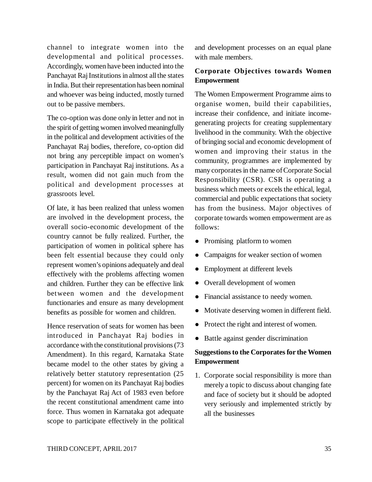channel to integrate women into the developmental and political processes. Accordingly, women have been inducted into the Panchayat Raj Institutions in almost all the states in India. But their representation has been nominal and whoever was being inducted, mostly turned out to be passive members.

The co-option was done only in letter and not in the spirit of getting women involved meaningfully in the political and development activities of the Panchayat Raj bodies, therefore, co-option did not bring any perceptible impact on women's participation in Panchayat Raj institutions. As a result, women did not gain much from the political and development processes at grassroots level.

Of late, it has been realized that unless women are involved in the development process, the overall socio-economic development of the country cannot be fully realized. Further, the participation of women in political sphere has been felt essential because they could only represent women's opinions adequately and deal effectively with the problems affecting women and children. Further they can be effective link between women and the development functionaries and ensure as many development benefits as possible for women and children.

Hence reservation of seats for women has been introduced in Panchayat Raj bodies in accordance with the constitutional provisions (73 Amendment). In this regard, Karnataka State became model to the other states by giving a relatively better statutory representation (25 percent) for women on its Panchayat Raj bodies by the Panchayat Raj Act of 1983 even before the recent constitutional amendment came into force. Thus women in Karnataka got adequate scope to participate effectively in the political

and development processes on an equal plane with male members.

# **Corporate Objectives towards Women Empowerment**

The Women Empowerment Programme aims to organise women, build their capabilities, increase their confidence, and initiate incomegenerating projects for creating supplementary livelihood in the community. With the objective of bringing social and economic development of women and improving their status in the community, programmes are implemented by many corporates in the name of Corporate Social Responsibility (CSR). CSR is operating a business which meets or excels the ethical, legal, commercial and public expectations that society has from the business. Major objectives of corporate towards women empowerment are as follows:

- Promising platform to women
- Campaigns for weaker section of women
- Employment at different levels
- Overall development of women
- Financial assistance to needy women.
- Motivate deserving women in different field.
- Protect the right and interest of women.
- Battle against gender discrimination

# **Suggestions to the Corporates for the Women Empowerment**

1. Corporate social responsibility is more than merely a topic to discuss about changing fate and face of society but it should be adopted very seriously and implemented strictly by all the businesses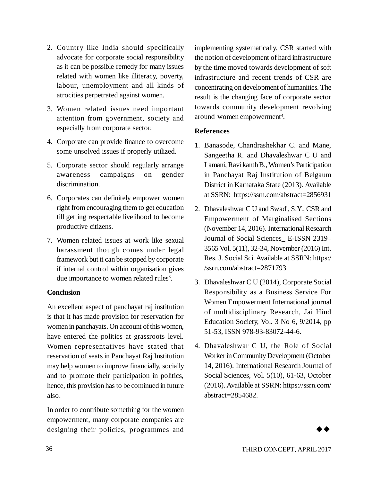- 2. Country like India should specifically advocate for corporate social responsibility as it can be possible remedy for many issues related with women like illiteracy, poverty, labour, unemployment and all kinds of atrocities perpetrated against women.
- 3. Women related issues need important attention from government, society and especially from corporate sector.
- 4. Corporate can provide finance to overcome some unsolved issues if properly utilized.
- 5. Corporate sector should regularly arrange awareness campaigns on gender discrimination.
- 6. Corporates can definitely empower women right from encouraging them to get education till getting respectable livelihood to become productive citizens.
- 7. Women related issues at work like sexual harassment though comes under legal framework but it can be stopped by corporate if internal control within organisation gives due importance to women related rules<sup>3</sup>.

# **Conclusion**

An excellent aspect of panchayat raj institution is that it has made provision for reservation for women in panchayats. On account of this women, have entered the politics at grassroots level. Women representatives have stated that reservation of seats in Panchayat Raj Institution may help women to improve financially, socially and to promote their participation in politics, hence, this provision has to be continued in future also.

In order to contribute something for the women empowerment, many corporate companies are designing their policies, programmes and

implementing systematically. CSR started with the notion of development of hard infrastructure by the time moved towards development of soft infrastructure and recent trends of CSR are concentrating on development of humanities. The result is the changing face of corporate sector towards community development revolving around women empowerment<sup>4</sup>.

# **References**

- 1. Banasode, Chandrashekhar C. and Mane, Sangeetha R. and Dhavaleshwar C U and Lamani, Ravi kanth B., Women's Participation in Panchayat Raj Institution of Belgaum District in Karnataka State (2013). Available at SSRN: <https://ssrn.com/abstract=2856931>
- 2. Dhavaleshwar C U and Swadi, S.Y., CSR and Empowerment of Marginalised Sections (November 14, 2016). International Research Journal of Social Sciences\_ E-ISSN 2319– 3565 Vol. 5(11), 32-34, November (2016) Int. Res. J. Social Sci. Available at SSRN: https:/ /ssrn.com/abstract=2871793
- 3. Dhavaleshwar C U (2014), Corporate Social Responsibility as a Business Service For Women Empowerment International journal of multidisciplinary Research, Jai Hind Education Society, Vol. 3 No 6, 9/2014, pp 51-53, ISSN 978-93-83072-44-6.
- 4. Dhavaleshwar C U, the Role of Social Worker in Community Development (October 14, 2016). International Research Journal of Social Sciences, Vol. 5(10), 61-63, October (2016). Available at SSRN:<https://ssrn.com/> abstract=2854682.

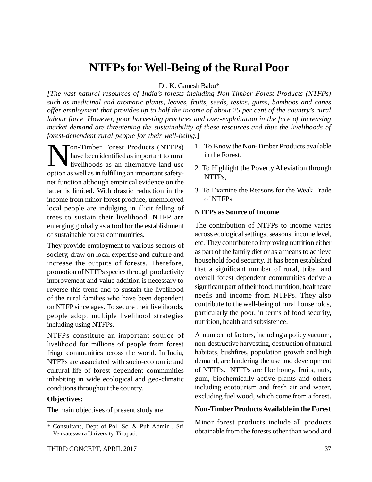# **NTFPs for Well-Being of the Rural Poor**

#### Dr. K. Ganesh Babu\*

*[The vast natural resources of India's forests including Non-Timber Forest Products (NTFPs) such as medicinal and aromatic plants, leaves, fruits, seeds, resins, gums, bamboos and canes offer employment that provides up to half the income of about 25 per cent of the country's rural labour force. However, poor harvesting practices and over-exploitation in the face of increasing market demand are threatening the sustainability of these resources and thus the livelihoods of forest-dependent rural people for their well-being.*]

**N** On-Timber Forest Products (NTFPs)<br>have been identified as important to rural<br>ivelihoods as an alternative land-use have been identified as important to rural livelihoods as an alternative land-use option as well as in fulfilling an important safetynet function although empirical evidence on the latter is limited. With drastic reduction in the income from minor forest produce, unemployed local people are indulging in illicit felling of trees to sustain their livelihood. NTFP are emerging globally as a tool for the establishment of sustainable forest communities.

They provide employment to various sectors of society, draw on local expertise and culture and increase the outputs of forests. Therefore, promotion of NTFPs species through productivity improvement and value addition is necessary to reverse this trend and to sustain the livelihood of the rural families who have been dependent on NTFP since ages. To secure their livelihoods, people adopt multiple livelihood strategies including using NTFPs.

NTFPs constitute an important source of livelihood for millions of people from forest fringe communities across the world. In India, NTFPs are associated with socio-economic and cultural life of forest dependent communities inhabiting in wide ecological and geo-climatic conditions throughout the country.

### **Objectives:**

The main objectives of present study are

- 1. To Know the Non-Timber Products available in the Forest,
- 2. To Highlight the Poverty Alleviation through NTFPs,
- 3. To Examine the Reasons for the Weak Trade of NTFPs.

### **NTFPs as Source of Income**

The contribution of NTFPs to income varies across ecological settings, seasons, income level, etc. They contribute to improving nutrition either as part of the family diet or as a means to achieve household food security. It has been established that a significant number of rural, tribal and overall forest dependent communities derive a significant part of their food, nutrition, healthcare needs and income from NTFPs. They also contribute to the well-being of rural households, particularly the poor, in terms of food security, nutrition, health and subsistence.

A number of factors, including a policy vacuum, non-destructive harvesting, destruction of natural habitats, bushfires, population growth and high demand, are hindering the use and development of NTFPs. NTFPs are like honey, fruits, nuts, gum, biochemically active plants and others including ecotourism and fresh air and water, excluding fuel wood, which come from a forest.

#### **Non-Timber Products Available in the Forest**

Minor forest products include all products obtainable from the forests other than wood and

<sup>\*</sup> Consultant, Dept of Pol. Sc. & Pub Admin., Sri Venkateswara University, Tirupati.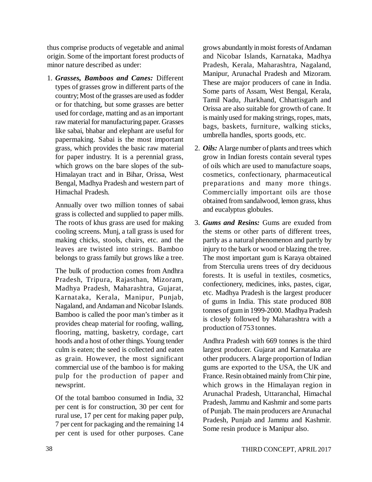thus comprise products of vegetable and animal origin. Some of the important forest products of minor nature described as under:

1. *Grasses, Bamboos and Canes:* Different types of grasses grow in different parts of the country; Most of the grasses are used as fodder or for thatching, but some grasses are better used for cordage, matting and as an important raw material for manufacturing paper. Grasses like sabai, bhabar and elephant are useful for papermaking. Sabai is the most important grass, which provides the basic raw material for paper industry. It is a perennial grass, which grows on the bare slopes of the sub-Himalayan tract and in Bihar, Orissa, West Bengal, Madhya Pradesh and western part of Himachal Pradesh.

Annually over two million tonnes of sabai grass is collected and supplied to paper mills. The roots of khus grass are used for making cooling screens. Munj, a tall grass is used for making chicks, stools, chairs, etc. and the leaves are twisted into strings. Bamboo belongs to grass family but grows like a tree.

The bulk of production comes from Andhra Pradesh, Tripura, Rajasthan, Mizoram, Madhya Pradesh, Maharashtra, Gujarat, Karnataka, Kerala, Manipur, Punjab, Nagaland, and Andaman and Nicobar Islands. Bamboo is called the poor man's timber as it provides cheap material for roofing, walling, flooring, matting, basketry, cordage, cart hoods and a host of other things. Young tender culm is eaten; the seed is collected and eaten as grain. However, the most significant commercial use of the bamboo is for making pulp for the production of paper and newsprint.

Of the total bamboo consumed in India, 32 per cent is for construction, 30 per cent for rural use, 17 per cent for making paper pulp, 7 per cent for packaging and the remaining 14 per cent is used for other purposes. Cane

grows abundantly in moist forests of Andaman and Nicobar Islands, Karnataka, Madhya Pradesh, Kerala, Maharashtra, Nagaland, Manipur, Arunachal Pradesh and Mizoram. These are major producers of cane in India. Some parts of Assam, West Bengal, Kerala, Tamil Nadu, Jharkhand, Chhattisgarh and Orissa are also suitable for growth of cane. It is mainly used for making strings, ropes, mats, bags, baskets, furniture, walking sticks, umbrella handles, sports goods, etc.

- 2. *Oils:* A large number of plants and trees which grow in Indian forests contain several types of oils which are used to manufacture soaps, cosmetics, confectionary, pharmaceutical preparations and many more things. Commercially important oils are those obtained from sandalwood, lemon grass, khus and eucalyptus globules.
- 3. *Gums and Resins:* Gums are exuded from the stems or other parts of different trees, partly as a natural phenomenon and partly by injury to the bark or wood or blazing the tree. The most important gum is Karaya obtained from Sterculia urens trees of dry deciduous forests. It is useful in textiles, cosmetics, confectionery, medicines, inks, pastes, cigar, etc. Madhya Pradesh is the largest producer of gums in India. This state produced 808 tonnes of gum in 1999-2000. Madhya Pradesh is closely followed by Maharashtra with a production of 753 tonnes.

Andhra Pradesh with 669 tonnes is the third largest producer. Gujarat and Karnataka are other producers. A large proportion of Indian gums are exported to the USA, the UK and France. Resin obtained mainly from Chir pine, which grows in the Himalayan region in Arunachal Pradesh, Uttaranchal, Himachal Pradesh, Jammu and Kashmir and some parts of Punjab. The main producers are Arunachal Pradesh, Punjab and Jammu and Kashmir. Some resin produce is Manipur also.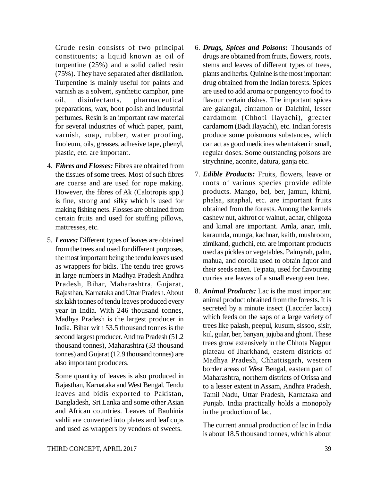Crude resin consists of two principal constituents; a liquid known as oil of turpentine (25%) and a solid called resin (75%). They have separated after distillation. Turpentine is mainly useful for paints and varnish as a solvent, synthetic camphor, pine oil, disinfectants, pharmaceutical preparations, wax, boot polish and industrial perfumes. Resin is an important raw material for several industries of which paper, paint, varnish, soap, rubber, water proofing, linoleum, oils, greases, adhesive tape, phenyl, plastic, etc. are important.

- 4. *Fibres and Flosses:* Fibres are obtained from the tissues of some trees. Most of such fibres are coarse and are used for rope making. However, the fibres of Ak (Calotropis spp.) is fine, strong and silky which is used for making fishing nets. Flosses are obtained from certain fruits and used for stuffing pillows, mattresses, etc.
- 5. *Leaves:* Different types of leaves are obtained from the trees and used for different purposes, the most important being the tendu leaves used as wrappers for bidis. The tendu tree grows in large numbers in Madhya Pradesh Andhra Pradesh, Bihar, Maharashtra, Gujarat, Rajasthan, Karnataka and Uttar Pradesh. About six lakh tonnes of tendu leaves produced every year in India. With 246 thousand tonnes, Madhya Pradesh is the largest producer in India. Bihar with 53.5 thousand tonnes is the second largest producer. Andhra Pradesh (51.2 thousand tonnes), Maharashtra (33 thousand tonnes) and Gujarat (12.9 thousand tonnes) are also important producers.

Some quantity of leaves is also produced in Rajasthan, Karnataka and West Bengal. Tendu leaves and bidis exported to Pakistan, Bangladesh, Sri Lanka and some other Asian and African countries. Leaves of Bauhinia vahlii are converted into plates and leaf cups and used as wrappers by vendors of sweets.

- 6. *Drugs, Spices and Poisons:* Thousands of drugs are obtained from fruits, flowers, roots, stems and leaves of different types of trees, plants and herbs. Quinine is the most important drug obtained from the Indian forests. Spices are used to add aroma or pungency to food to flavour certain dishes. The important spices are galangal, cinnamon or Dalchini, lesser cardamom (Chhoti Ilayachi), greater cardamom (Badi Ilayachi), etc. Indian forests produce some poisonous substances, which can act as good medicines when taken in small, regular doses. Some outstanding poisons are strychnine, aconite, datura, ganja etc.
- 7. *Edible Products:* Fruits, flowers, leave or roots of various species provide edible products. Mango, bel, ber, jamun, khirni, phalsa, sitaphal, etc. are important fruits obtained from the forests. Among the kernels cashew nut, akhrot or walnut, achar, chilgoza and kimal are important. Amla, anar, imli, karaunda, munga, kachnar, kaith, mushroom, zimikand, guchchi, etc. are important products used as pickles or vegetables. Palmyrah, palm, mahua, and corolla used to obtain liquor and their seeds eaten. Tejpata, used for flavouring curries are leaves of a small evergreen tree.
- 8. *Animal Products:* Lac is the most important animal product obtained from the forests. It is secreted by a minute insect (Laccifer lacca) which feeds on the saps of a large variety of trees like palash, peepul, kusum, sissoo, sisir, kul, gular, ber, banyan, jujuba and ghont. These trees grow extensively in the Chhota Nagpur plateau of Jharkhand, eastern districts of Madhya Pradesh, Chhattisgarh, western border areas of West Bengal, eastern part of Maharashtra, northern districts of Orissa and to a lesser extent in Assam, Andhra Pradesh, Tamil Nadu, Uttar Pradesh, Karnataka and Punjab. India practically holds a monopoly in the production of lac.

The current annual production of lac in India is about 18.5 thousand tonnes, which is about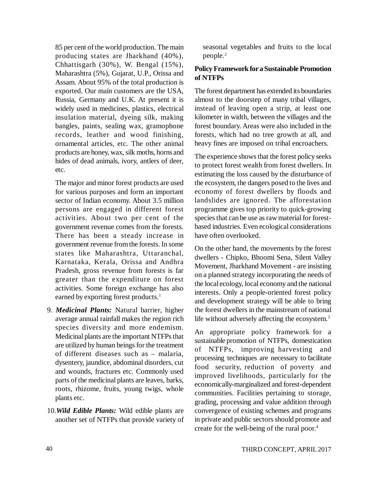85 per cent of the world production. The main producing states are Jharkhand (40%), Chhattisgarh (30%), W. Bengal (15%), Maharashtra (5%), Gujarat, U.P., Orissa and Assam. About 95% of the total production is exported. Our main customers are the USA, Russia, Germany and U.K. At present it is widely used in medicines, plastics, electrical insulation material, dyeing silk, making bangles, paints, sealing wax, gramophone records, leather and wood finishing, ornamental articles, etc. The other animal products are honey, wax, silk moths, horns and hides of dead animals, ivory, antlers of deer, etc.

The major and minor forest products are used for various purposes and form an important sector of Indian economy. About 3.5 million persons are engaged in different forest activities. About two per cent of the government revenue comes from the forests. There has been a steady increase in government revenue from the forests. In some states like Maharashtra, Uttaranchal, Karnataka, Kerala, Orissa and Andhra Pradesh, gross revenue from forests is far greater than the expenditure on forest activities. Some foreign exchange has also earned by exporting forest products.<sup>1</sup>

- 9. *Medicinal Plants:* Natural barrier, higher average annual rainfall makes the region rich species diversity and more endemism. Medicinal plants are the important NTFPs that are utilized by human beings for the treatment of different diseases such as – malaria, dysentery, jaundice, abdominal disorders, cut and wounds, fractures etc. Commonly used parts of the medicinal plants are leaves, barks, roots, rhizome, fruits, young twigs, whole plants etc.
- 10.*Wild Edible Plants:* Wild edible plants are another set of NTFPs that provide variety of

seasonal vegetables and fruits to the local people.<sup>2</sup>

# **Policy Framework for a Sustainable Promotion of NTFPs**

The forest department has extended its boundaries almost to the doorstep of many tribal villages, instead of leaving open a strip, at least one kilometer in width, between the villages and the forest boundary. Areas were also included in the forests, which had no tree growth at all, and heavy fines are imposed on tribal encroachers.

The experience shows that the forest policy seeks to protect forest wealth from forest dwellers. In estimating the loss caused by the disturbance of the ecosystem, the dangers posed to the lives and economy of forest dwellers by floods and landslides are ignored. The afforestation programme gives top priority to quick-growing species that can be use as raw material for forestbased industries. Even ecological considerations have often overlooked.

On the other hand, the movements by the forest dwellers - Chipko, Bhoomi Sena, Silent Valley Movement, Jharkhand Movement - are insisting on a planned strategy incorporating the needs of the local ecology, local economy and the national interests. Only a people-oriented forest policy and development strategy will be able to bring the forest dwellers in the mainstream of national life without adversely affecting the ecosystem.<sup>3</sup>

An appropriate policy framework for a sustainable promotion of NTFPs, domestication of NTFPs, improving harvesting and processing techniques are necessary to facilitate food security, reduction of poverty and improved livelihoods, particularly for the economically-marginalized and forest-dependent communities. Facilities pertaining to storage, grading, processing and value addition through convergence of existing schemes and programs in private and public sectors should promote and create for the well-being of the rural poor.<sup>4</sup>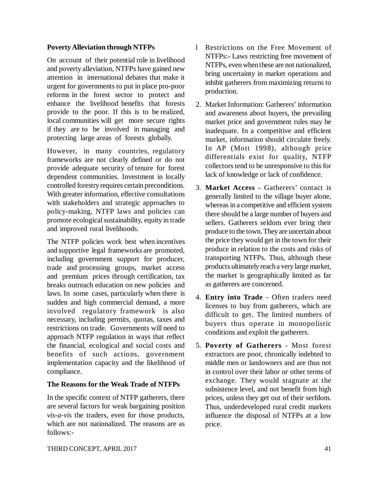# **Poverty Alleviation through NTFPs**

On account of their potential role in livelihood and poverty alleviation, NTFPs have gained new attention in international debates that make it urgent for governments to put in place pro-poor reforms in the forest sector to protect and enhance the livelihood benefits that forests provide to the poor. If this is to be realized, local communities will get more secure rights if they are to be involved in managing and protecting large areas of forests globally.

However, in many countries, regulatory frameworks are not clearly defined or do not provide adequate security of tenure for forest dependent communities. Investment in locally controlled forestry requires certain preconditions. With greater information, effective consultations with stakeholders and strategic approaches to policy-making, NTFP laws and policies can promote ecological sustainability, equity in trade and improved rural livelihoods.

The NTFP policies work best when incentives and supportive legal frameworks are promoted, including government support for producer, trade and processing groups, market access and premium prices through certification, tax breaks outreach education on new policies and laws. In some cases, particularly when there is sudden and high commercial demand, a more involved regulatory framework is also necessary, including permits, quotas, taxes and restrictions on trade. Governments will need to approach NTFP regulation in ways that reflect the financial, ecological and social costs and benefits of such actions, government implementation capacity and the likelihood of compliance.

### **The Reasons for the Weak Trade of NTFPs**

In the specific context of NTFP gatherers, there are several factors for weak bargaining position *vis-a-vis* the traders, even for those products, which are not nationalized. The reasons are as follows:-

- l Restrictions on the Free Movement of NTFPs:- Laws restricting free movement of NTFPs, even when these are not nationalized, bring uncertainty in market operations and inhibit gatherers from maximizing returns to production.
- 2. Market Information: Gatherers' information and awareness about buyers, the prevailing market price and government rules may be inadequate. In a competitive and efficient market, information should circulate freely. In AP (Mott 1998), although price differentials exist for quality, NTFP collectors tend to be unresponsive to this for lack of knowledge or lack of confidence.
- 3. **Market Access -** Gatherers' contact is generally limited to the village buyer alone, whereas in a competitive and efficient system there should be a large number of buyers and sellers. Gatherers seldom ever bring their produce to the town. They are uncertain about the price they would get in the town for their produce in relation to the costs and risks of transporting NTFPs. Thus, although these products ultimately reach a very large market, the market is geographically limited as far as gatherers are concerned.
- 4. **Entry into Trade**  Often traders need licenses to buy from gatherers, which are difficult to get. The limited numbers of buyers thus operate in monopolistic conditions and exploit the gatherers.
- 5. **Poverty of Gatherers** Most forest extractors are poor, chronically indebted to middle men or landowners and are thus not in control over their labor or other terms of exchange. They would stagnate at the subsistence level, and not benefit from high prices, unless they get out of their serfdom. Thus, underdeveloped rural credit markets influence the disposal of NTFPs at a low price.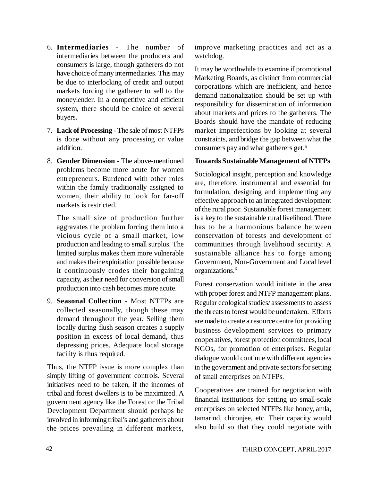- 6. **Intermediaries** The number of intermediaries between the producers and consumers is large, though gatherers do not have choice of many intermediaries. This may be due to interlocking of credit and output markets forcing the gatherer to sell to the moneylender. In a competitive and efficient system, there should be choice of several buyers.
- 7. **Lack of Processing** The sale of most NTFPs is done without any processing or value addition.
- 8. **Gender Dimension** The above-mentioned problems become more acute for women entrepreneurs. Burdened with other roles within the family traditionally assigned to women, their ability to look for far-off markets is restricted.

The small size of production further aggravates the problem forcing them into a vicious cycle of a small market, low production and leading to small surplus. The limited surplus makes them more vulnerable and makes their exploitation possible because it continuously erodes their bargaining capacity, as their need for conversion of small production into cash becomes more acute.

9. **Seasonal Collection** - Most NTFPs are collected seasonally, though these may demand throughout the year. Selling them locally during flush season creates a supply position in excess of local demand, thus depressing prices. Adequate local storage facility is thus required.

Thus, the NTFP issue is more complex than simply lifting of government controls. Several initiatives need to be taken, if the incomes of tribal and forest dwellers is to be maximized. A government agency like the Forest or the Tribal Development Department should perhaps be involved in informing tribal's and gatherers about the prices prevailing in different markets,

improve marketing practices and act as a watchdog.

It may be worthwhile to examine if promotional Marketing Boards, as distinct from commercial corporations which are inefficient, and hence demand nationalization should be set up with responsibility for dissemination of information about markets and prices to the gatherers. The Boards should have the mandate of reducing market imperfections by looking at several constraints, and bridge the gap between what the consumers pay and what gatherers get.<sup>5</sup>

### **Towards Sustainable Management of NTFPs**

Sociological insight, perception and knowledge are, therefore, instrumental and essential for formulation, designing and implementing any effective approach to an integrated development of the rural poor. Sustainable forest management is a key to the sustainable rural livelihood. There has to be a harmonious balance between conservation of forests and development of communities through livelihood security. A sustainable alliance has to forge among Government, Non-Government and Local level organizations.<sup>6</sup>

Forest conservation would initiate in the area with proper forest and NTFP management plans. Regular ecological studies/ assessments to assess the threats to forest would be undertaken. Efforts are made to create a resource centre for providing business development services to primary cooperatives, forest protection committees, local NGOs, for promotion of enterprises. Regular dialogue would continue with different agencies in the government and private sectors for setting of small enterprises on NTFPs.

Cooperatives are trained for negotiation with financial institutions for setting up small-scale enterprises on selected NTFPs like honey, amla, tamarind, chironjee, etc. Their capacity would also build so that they could negotiate with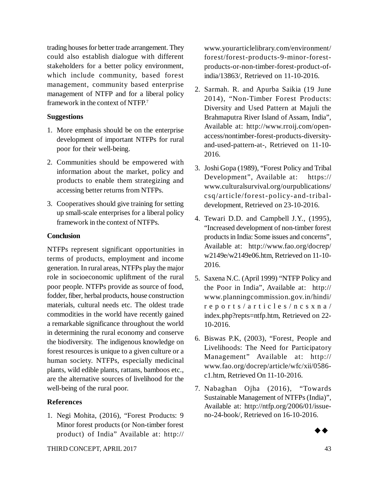trading houses for better trade arrangement. They could also establish dialogue with different stakeholders for a better policy environment, which include community, based forest management, community based enterprise management of NTFP and for a liberal policy framework in the context of NTFP.<sup>7</sup>

### **Suggestions**

- 1. More emphasis should be on the enterprise development of important NTFPs for rural poor for their well-being.
- 2. Communities should be empowered with information about the market, policy and products to enable them strategizing and accessing better returns from NTFPs.
- 3. Cooperatives should give training for setting up small-scale enterprises for a liberal policy framework in the context of NTFPs.

### **Conclusion**

NTFPs represent significant opportunities in terms of products, employment and income generation. In rural areas, NTFPs play the major role in socioeconomic upliftment of the rural poor people. NTFPs provide as source of food, fodder, fiber, herbal products, house construction materials, cultural needs etc. The oldest trade commodities in the world have recently gained a remarkable significance throughout the world in determining the rural economy and conserve the biodiversity. The indigenous knowledge on forest resources is unique to a given culture or a human society. NTFPs, especially medicinal plants, wild edible plants, rattans, bamboos etc., are the alternative sources of livelihood for the well-being of the rural poor.

# **References**

1. Negi Mohita, (2016), "Forest Products: 9 Minor forest products (or Non-timber forest product) of India" Available at: <http://>

[www.yourarticlelibrary.com/environment/](http://www.yourarticlelibrary.com/environment/) forest/forest-products-9-minor-forestproducts-or-non-timber-forest-product-ofindia/13863/, Retrieved on 11-10-2016.

- 2. Sarmah. R. and Apurba Saikia (19 June 2014), "Non-Timber Forest Products: Diversity and Used Pattern at Majuli the Brahmaputra River Island of Assam, India", Available at: [http://www.rroij.com/open](http://www.rroij.com/open-)access/nontimber-forest-products-diversityand-used-pattern-at-, Retrieved on 11-10- 2016.
- 3. Joshi Gopa (1989), "Forest Policy and Tribal Development", Available at: https:// [www.culturalsurvival.org/ourpublications/](http://www.culturalsurvival.org/ourpublications/) csq/article/forest- policy-and-tribaldevelopment, Retrieved on 23-10-2016.
- 4. Tewari D.D. and Campbell J.Y., (1995), "Increased development of non-timber forest products in India: Some issues and concerns", Available at: <http://www.fao.org/docrep/> w2149e/w2149e06.htm, Retrieved on 11-10- 2016.
- 5. Saxena N.C. (April 1999) "NTFP Policy and the Poor in India", Available at: <http://> www.planningcommission.gov.in/hindi/ r e p o r t s / a r t i c l e s / n c s x n a / index.php?repts=ntfp.htm, Retrieved on 22- 10-2016.
- 6. Biswas P.K, (2003), "Forest, People and Livelihoods: The Need for Participatory Management" Available at: http:// [www.fao.org/docrep/article/wfc/xii/0586](http://www.fao.org/docrep/article/wfc/xii/0586-) c1.htm, Retrieved On 11-10-2016.
- 7. Nabaghan Ojha (2016), "Towards Sustainable Management of NTFPs (India)", Available at: [http://ntfp.org/2006/01/issue](http://ntfp.org/2006/01/issue-)no-24-book/, Retrieved on 16-10-2016.

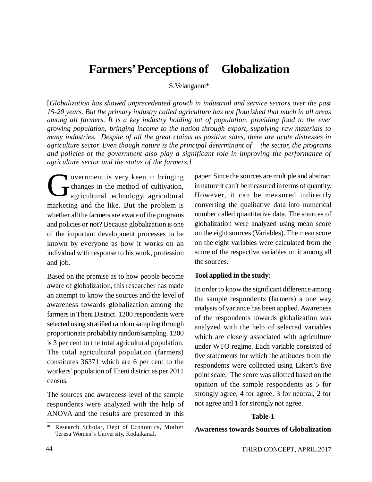# **Farmers' Perceptions of Globalization**

S.Velanganni\*

[*Globalization has showed unprecedented growth in industrial and service sectors over the past 15-20 years. But the primary industry called agriculture has not flourished that much in all areas among all farmers. It is a key industry holding lot of population, providing food to the ever growing population, bringing income to the nation through export, supplying raw materials to many industries. Despite of all the great claims as positive sides, there are acute distresses in agriculture sector. Even though nature is the principal determinant of the sector, the programs and policies of the government also play a significant role in improving the performance of agriculture sector and the status of the farmers.]*

G overnment is very keen in bringing changes in the method of cultivation, agricultural technology, agricultural marketing and the like. But the problem is whether all the farmers are aware of the programs and policies or not? Because globalization is one of the important development processes to be known by everyone as how it works on an individual with response to his work, profession and job.

Based on the premise as to how people become aware of globalization, this researcher has made an attempt to know the sources and the level of awareness towards globalization among the farmers in Theni District. 1200 respondents were selected using stratified random sampling through proportionate probability random sampling. 1200 is 3 per cent to the total agricultural population. The total agricultural population (farmers) constitutes 36371 which are 6 per cent to the workers' population of Theni district as per 2011 census.

The sources and awareness level of the sample respondents were analyzed with the help of ANOVA and the results are presented in this

paper. Since the sources are multiple and abstract in nature it can't be measured in terms of quantity. However, it can be measured indirectly converting the qualitative data into numerical number called quantitative data. The sources of globalization were analyzed using mean score on the eight sources (Variables). The mean score on the eight variables were calculated from the score of the respective variables on it among all the sources.

#### **Tool applied in the study:**

In order to know the significant difference among the sample respondents (farmers) a one way analysis of variance has been applied. Awareness of the respondents towards globalization was analyzed with the help of selected variables which are closely associated with agriculture under WTO regime. Each variable consisted of five statements for which the attitudes from the respondents were collected using Likert's five point scale. The score was allotted based on the opinion of the sample respondents as 5 for strongly agree, 4 for agree, 3 for neutral, 2 for not agree and 1 for strongly not agree.

### **Table-1**

#### **Awareness towards Sources of Globalization**

Research Scholar, Dept of Economics, Mother Teresa Women's University, Kodaikanal.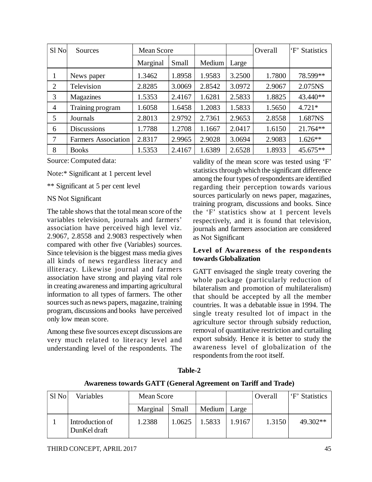| Sl <sub>No</sub> | Sources                    | <b>Mean Score</b> |        |        |        | Overall | 'F' Statistics |
|------------------|----------------------------|-------------------|--------|--------|--------|---------|----------------|
|                  |                            | Marginal          | Small  | Medium | Large  |         |                |
|                  | News paper                 | 1.3462            | 1.8958 | 1.9583 | 3.2500 | 1.7800  | 78.599**       |
| 2                | Television                 | 2.8285            | 3.0069 | 2.8542 | 3.0972 | 2.9067  | 2.075NS        |
| 3                | Magazines                  | 1.5353            | 2.4167 | 1.6281 | 2.5833 | 1.8825  | 43.440**       |
| $\overline{4}$   | Training program           | 1.6058            | 1.6458 | 1.2083 | 1.5833 | 1.5650  | $4.721*$       |
| 5                | Journals                   | 2.8013            | 2.9792 | 2.7361 | 2.9653 | 2.8558  | 1.687NS        |
| 6                | <b>Discussions</b>         | 1.7788            | 1.2708 | 1.1667 | 2.0417 | 1.6150  | 21.764**       |
| 7                | <b>Farmers Association</b> | 2.8317            | 2.9965 | 2.9028 | 3.0694 | 2.9083  | $1.626**$      |
| 8                | <b>Books</b>               | 1.5353            | 2.4167 | 1.6389 | 2.6528 | 1.8933  | 45.675**       |

Source: Computed data:

Note:\* Significant at 1 percent level

\*\* Significant at 5 per cent level

### NS Not Significant

The table shows that the total mean score of the variables television, journals and farmers' association have perceived high level viz. 2.9067, 2.8558 and 2.9083 respectively when compared with other five (Variables) sources. Since television is the biggest mass media gives all kinds of news regardless literacy and illiteracy. Likewise journal and farmers association have strong and playing vital role in creating awareness and imparting agricultural information to all types of farmers. The other sources such as news papers, magazine, training program, discussions and books have perceived only low mean score.

Among these five sources except discussions are very much related to literacy level and understanding level of the respondents. The

validity of the mean score was tested using 'F' statistics through which the significant difference among the four types of respondents are identified regarding their perception towards various sources particularly on news paper, magazines, training program, discussions and books. Since the 'F' statistics show at 1 percent levels respectively, and it is found that television, journals and farmers association are considered as Not Significant

### **Level of Awareness of the respondents towards Globalization**

GATT envisaged the single treaty covering the whole package (particularly reduction of bilateralism and promotion of multilateralism) that should be accepted by all the member countries. It was a debatable issue in 1994. The single treaty resulted lot of impact in the agriculture sector through subsidy reduction, removal of quantitative restriction and curtailing export subsidy. Hence it is better to study the awareness level of globalization of the respondents from the root itself.

| Awareness towards GAT I (General Agreement on Tariff and Trade) |                                 |            |        |        |        |         |                |
|-----------------------------------------------------------------|---------------------------------|------------|--------|--------|--------|---------|----------------|
| $S1$ No                                                         | Variables                       | Mean Score |        |        |        | Overall | 'F' Statistics |
|                                                                 |                                 | Marginal   | Small  | Medium | Large  |         |                |
|                                                                 | Introduction of<br>DunKel draft | 1.2388     | 1.0625 | 1.5833 | 1.9167 | 1.3150  | $49.302**$     |

**Table-2**

**Awareness towards GATT (General Agreement on Tariff and Trade)**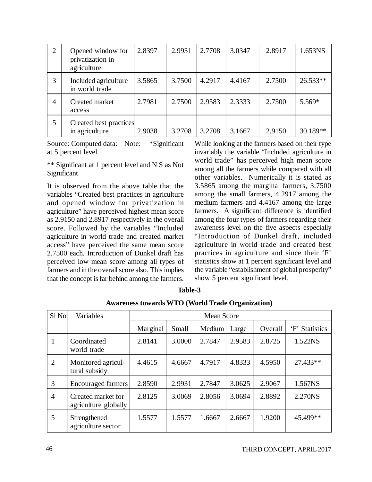| $\overline{2}$ | Opened window for<br>privatization in<br>agriculture | 2.8397 | 2.9931 | 2.7708 | 3.0347 | 2.8917 | 1.653NS    |
|----------------|------------------------------------------------------|--------|--------|--------|--------|--------|------------|
| 3              | Included agriculture<br>in world trade               | 3.5865 | 3.7500 | 4.2917 | 4.4167 | 2.7500 | $26.533**$ |
| 4              | Created market<br>access                             | 2.7981 | 2.7500 | 2.9583 | 2.3333 | 2.7500 | 5.569*     |
| 5              | Created best practices<br>in agriculture             | 2.9038 | 3.2708 | 3.2708 | 3.1667 | 2.9150 | 30.189**   |

Source: Computed data: Note: \*Significant at 5 percent level

\*\* Significant at 1 percent level and N S as Not Significant

It is observed from the above table that the variables "Created best practices in agriculture and opened window for privatization in agriculture" have perceived highest mean score as 2.9150 and 2.8917 respectively in the overall score. Followed by the variables "Included agriculture in world trade and created market access" have perceived the same mean score 2.7500 each. Introduction of Dunkel draft has perceived low mean score among all types of farmers and in the overall score also. This implies that the concept is far behind among the farmers. While looking at the farmers based on their type invariably the variable "Included agriculture in world trade" has perceived high mean score among all the farmers while compared with all other variables. Numerically it is stated as 3.5865 among the marginal farmers, 3.7500 among the small farmers, 4.2917 among the medium farmers and 4.4167 among the large farmers. A significant difference is identified among the four types of farmers regarding their awareness level on the five aspects especially "Introduction of Dunkel draft, included agriculture in world trade and created best practices in agriculture and since their 'F' statistics show at 1 percent significant level and the variable "establishment of global prosperity" show 5 percent significant level.

| Sl <sub>No</sub> | Variables                                  | <b>Mean Score</b> |        |        |        |         |                |
|------------------|--------------------------------------------|-------------------|--------|--------|--------|---------|----------------|
|                  |                                            | Marginal          | Small  | Medium | Large  | Overall | 'F' Statistics |
|                  | Coordinated<br>world trade                 | 2.8141            | 3.0000 | 2.7847 | 2.9583 | 2.8725  | 1.522NS        |
| 2                | Monitored agricul-<br>tural subsidy        | 4.4615            | 4.6667 | 4.7917 | 4.8333 | 4.5950  | 27.433**       |
| 3                | <b>Encouraged farmers</b>                  | 2.8590            | 2.9931 | 2.7847 | 3.0625 | 2.9067  | 1.567NS        |
| $\overline{4}$   | Created market for<br>agriculture globally | 2.8125            | 3.0069 | 2.8056 | 3.0694 | 2.8892  | 2.270NS        |
| 5                | Strengthened<br>agriculture sector         | 1.5577            | 1.5577 | 1.6667 | 2.6667 | 1.9200  | 45.499**       |

**Table-3**

**Awareness towards WTO (World Trade Organization)**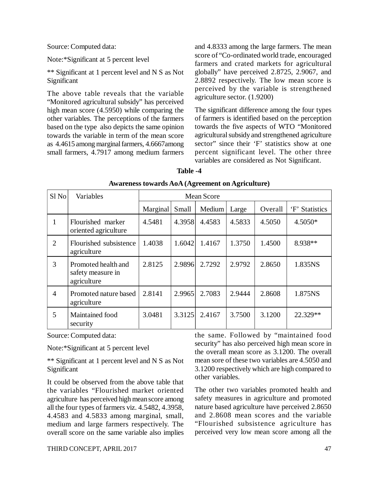Source: Computed data:

Note:\*Significant at 5 percent level

\*\* Significant at 1 percent level and N S as Not Significant

The above table reveals that the variable "Monitored agricultural subsidy" has perceived high mean score (4.5950) while comparing the other variables. The perceptions of the farmers based on the type also depicts the same opinion towards the variable in term of the mean score as 4.4615 among marginal farmers, 4.6667among small farmers, 4.7917 among medium farmers

and 4.8333 among the large farmers. The mean score of "Co-ordinated world trade, encouraged farmers and crated markets for agricultural globally" have perceived 2.8725, 2.9067, and 2.8892 respectively. The low mean score is perceived by the variable is strengthened agriculture sector. (1.9200)

The significant difference among the four types of farmers is identified based on the perception towards the five aspects of WTO "Monitored agricultural subsidy and strengthened agriculture sector" since their 'F' statistics show at one percent significant level. The other three variables are considered as Not Significant.

### **Table -4**

| $S1$ No        | Variables                                               | <b>Mean Score</b> |        |        |        |         |                |
|----------------|---------------------------------------------------------|-------------------|--------|--------|--------|---------|----------------|
|                |                                                         | Marginal          | Small  | Medium | Large  | Overall | 'F' Statistics |
| 1              | Flourished marker<br>oriented agriculture               | 4.5481            | 4.3958 | 4.4583 | 4.5833 | 4.5050  | $4.5050*$      |
| 2              | Flourished subsistence<br>agriculture                   | 1.4038            | 1.6042 | 1.4167 | 1.3750 | 1.4500  | 8.938**        |
| 3              | Promoted health and<br>safety measure in<br>agriculture | 2.8125            | 2.9896 | 2.7292 | 2.9792 | 2.8650  | 1.835NS        |
| $\overline{4}$ | Promoted nature based<br>agriculture                    | 2.8141            | 2.9965 | 2.7083 | 2.9444 | 2.8608  | 1.875NS        |
| 5              | Maintained food<br>security                             | 3.0481            | 3.3125 | 2.4167 | 3.7500 | 3.1200  | 22.329**       |

Source: Computed data:

Note:\*Significant at 5 percent level

\*\* Significant at 1 percent level and N S as Not Significant

It could be observed from the above table that the variables "Flourished market oriented agriculture has perceived high mean score among all the four types of farmers viz. 4.5482, 4.3958, 4.4583 and 4.5833 among marginal, small, medium and large farmers respectively. The overall score on the same variable also implies the same. Followed by "maintained food security" has also perceived high mean score in the overall mean score as 3.1200. The overall mean sore of these two variables are 4.5050 and 3.1200 respectively which are high compared to other variables.

The other two variables promoted health and safety measures in agriculture and promoted nature based agriculture have perceived 2.8650 and 2.8608 mean scores and the variable "Flourished subsistence agriculture has perceived very low mean score among all the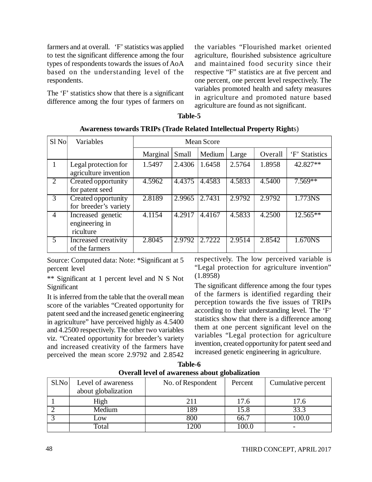farmers and at overall. 'F' statistics was applied to test the significant difference among the four types of respondents towards the issues of AoA based on the understanding level of the respondents.

The 'F' statistics show that there is a significant difference among the four types of farmers on the variables "Flourished market oriented agriculture, flourished subsistence agriculture and maintained food security since their respective "F" statistics are at five percent and one percent, one percent level respectively. The variables promoted health and safety measures in agriculture and promoted nature based agriculture are found as not significant.

| able |  |
|------|--|
|------|--|

| Sl <sub>No</sub>            | Variables                                        | <b>Mean Score</b> |        |        |        |         |                |
|-----------------------------|--------------------------------------------------|-------------------|--------|--------|--------|---------|----------------|
|                             |                                                  | Marginal          | Small  | Medium | Large  | Overall | 'F' Statistics |
|                             | Legal protection for<br>agriculture invention    | 1.5497            | 2.4306 | 1.6458 | 2.5764 | 1.8958  | 42.827**       |
| $\mathcal{D}_{\mathcal{L}}$ | Created opportunity<br>for patent seed           | 4.5962            | 4.4375 | 4.4583 | 4.5833 | 4.5400  | $7.569**$      |
| 3                           | Created opportunity<br>for breeder's variety     | 2.8189            | 2.9965 | 2.7431 | 2.9792 | 2.9792  | 1.773NS        |
| 4                           | Increased genetic<br>engineering in<br>riculture | 4.1154            | 4.2917 | 4.4167 | 4.5833 | 4.2500  | $12.565**$     |
| 5                           | Increased creativity<br>of the farmers           | 2.8045            | 2.9792 | 2.7222 | 2.9514 | 2.8542  | 1.670NS        |

**Awareness towards TRIPs (Trade Related Intellectual Property Right**s)

Source: Computed data: Note: \*Significant at 5 percent level

\*\* Significant at 1 percent level and N S Not Significant

It is inferred from the table that the overall mean score of the variables "Created opportunity for patent seed and the increased genetic engineering in agriculture" have perceived highly as 4.5400 and 4.2500 respectively. The other two variables viz. "Created opportunity for breeder's variety and increased creativity of the farmers have perceived the mean score 2.9792 and 2.8542 respectively. The low perceived variable is "Legal protection for agriculture invention" (1.8958)

The significant difference among the four types of the farmers is identified regarding their perception towards the five issues of TRIPs according to their understanding level. The 'F' statistics show that there is a difference among them at one percent significant level on the variables "Legal protection for agriculture invention, created opportunity for patent seed and increased genetic engineering in agriculture.

| <b>Table-6</b>                                 |
|------------------------------------------------|
| Overall level of awareness about globalization |

| $S1$ . No | Level of awareness<br>about globalization | No. of Respondent | Percent | Cumulative percent |
|-----------|-------------------------------------------|-------------------|---------|--------------------|
|           | High                                      | 211               | 17.6    | 17.6               |
|           | Medium                                    | 89                | 15.8    | 33.3               |
|           | $_{\rm{.0W}}$                             | 800               | 66.7    | 100.0              |
|           | Total                                     | ാവ                | 00.     |                    |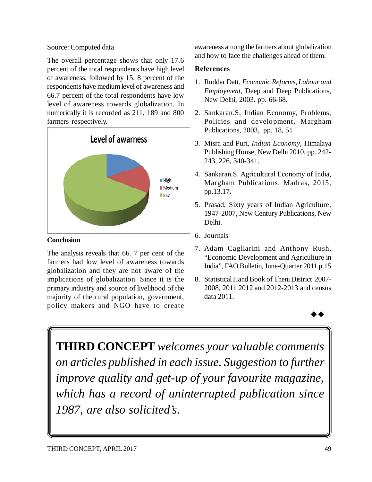# Source: Computed data

The overall percentage shows that only 17.6 percent of the total respondents have high level of awareness, followed by 15. 8 percent of the respondents have medium level of awareness and 66.7 percent of the total respondents have low level of awareness towards globalization. In numerically it is recorded as 211, 189 and 800 farmers respectively.



# **Conclusion**

The analysis reveals that 66. 7 per cent of the farmers had low level of awareness towards globalization and they are not aware of the implications of globalization. Since it is the primary industry and source of livelihood of the majority of the rural population, government, policy makers and NGO have to create awareness among the farmers about globalization and how to face the challenges ahead of them.

# **References**

- 1. Ruddar Datt, *Economic Reforms, Labour and Employment*, Deep and Deep Publications, New Delhi, 2003. pp. 66-68.
- 2. Sankaran.S, Indian Economy, Problems, Policies and development, Margham Publications, 2003, pp. 18, 51
- 3. Misra and Puri, *Indian Economy*, Himalaya Publishing House, New Delhi 2010, pp. 242- 243, 226, 340-341.
- 4. Sankaran.S. Agricultural Economy of India, Margham Publications, Madras, 2015, pp.13.17.
- 5. Prasad, Sixty years of Indian Agriculture, 1947-2007, New Century Publications, New Delhi.
- 6. Journals
- 7. Adam Cagliarini and Anthony Rush, "Economic Development and Agriculture in India", FAO Bulletin, June-Quarter 2011 p.15
- 8. Statistical Hand Book of Theni District 2007- 2008, 2011 2012 and 2012-2013 and census data 2011.



**THIRD CONCEPT** *welcomes your valuable comments on articles published in each issue. Suggestion to further improve quality and get-up of your favourite magazine, which has a record of uninterrupted publication since 1987, are also solicited's.*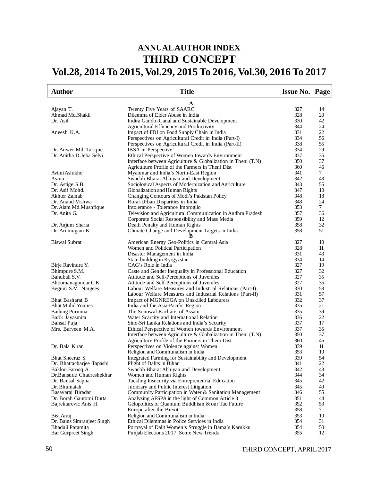# **ANNUAL AUTHOR INDEX THIRD CONCEPT Vol.28, 2014 To 2015, Vol.29, 2015 To 2016, Vol.30, 2016 To 2017**

| <b>Author</b>              | <b>Title</b>                                                      | <b>Issue No. Page</b> |    |
|----------------------------|-------------------------------------------------------------------|-----------------------|----|
|                            | A                                                                 |                       |    |
| Ajayan T.                  | Twenty Five Years of SAARC                                        | 327                   | 14 |
| Ahmad Md.Shakil            | Dilemma of Elder Abuse in India                                   | 328                   | 20 |
| Dr. Asif                   | Indira Gandhi Canal and Sustainable Development                   | 330                   | 42 |
|                            | Agricultural Efficiency and Productivity                          | 344                   | 24 |
| Aneesh K.A.                | Impact of FDI on Food Supply Chain in India                       | 331                   | 22 |
|                            | Perspectives on Agricultural Credit in India (Part-I)             | 334                   | 56 |
|                            | Perspectives on Agricultural Credit in India (Part-II)            | 338                   | 55 |
| Dr. Anwer Md. Tarique      | <b>IBSA</b> in Perspective                                        | 334                   | 29 |
| Dr. Anitha D.Jeba Selvi    | Ethical Perspective of Women towards Environment                  | 337                   | 35 |
|                            | Interface between Agriculture & Globalization in Theni (T.N)      | 350                   | 37 |
|                            | Agriculture Profile of the Farmers in Theni Dist                  | 360                   | 46 |
| Aviini Ashikho             | Myanmar and India's North-East Region                             | 341                   | 7  |
| Asma                       | Swachh Bharat Abhiyan and Development                             | 342                   | 43 |
| Dr. Astige S.B.            | Sociological Aspects of Modernization and Agriculture             | 343                   | 55 |
| Dr. Asif Mohd.             | Globalization and Human Rights                                    | 347                   | 10 |
| Akhter Zainab              | Changing Contours of Modi's Pakistan Policy                       | 348                   | 18 |
| Dr. Anand Vishwa           | Rural-Urban Disparities in India                                  | 348                   | 24 |
| Dr. Alam Md. Mushfique     | Intolerance - Tolerance Imbroglio                                 | 353                   | 7  |
| Dr. Anita G.               | Television and Agricultural Communication in Andhra Pradesh       | 357                   | 36 |
|                            | Corporate Social Responsibility and Mass Media                    | 359                   | 12 |
| Dr. Anjum Sharia           | Death Penalty and Human Rights                                    | 358                   | 32 |
| Dr. Arumugam K             | Climate Change and Development Targets in India                   | 358                   | 51 |
| <b>Biswal Subrat</b>       | American Energy Geo-Politics in Central Asia                      | 327                   | 10 |
|                            | Women and Political Participation                                 | 328                   | 11 |
|                            | Disaster Management in India                                      | 331                   | 43 |
|                            | State-building in Kyrgyzstan                                      | 334                   | 14 |
| Birje Ravindra Y.          | CAG's Role in India                                               | 327                   | 19 |
| Bhimpure S.M.              | Caste and Gender Inequality in Professional Education             | 327                   | 32 |
| Bahubali S.V.              | Attitude and Self-Perceptions of Juveniles                        | 327                   | 35 |
| Bhoomanagoudar G.K.        | Attitude and Self-Perceptions of Juveniles                        | 327                   | 35 |
| Begum S.M. Nargees         | Labour Welfare Measures and Industrial Relations (Part-I)         | 330                   | 58 |
|                            | Labour Welfare Measures and Industrial Relations (Part-II)        | 331                   | 57 |
| Bhat Basharat B            | Impact of MGNREGA on Unskilled Labourers                          | 332                   | 37 |
| <b>Bhat Mohd Younes</b>    | India and the Asia-Pacific Region                                 | 335                   | 21 |
| <b>Bailung Purnima</b>     | The Sonowal Kacharis of Assam                                     | 335                   | 39 |
| Barik Jayasmita            | Water Scarcity and International Relation                         | 336                   | 22 |
| Bansal Puja                | Sino-Sri Lanka Relations and India's Security                     | 337                   | 17 |
| Mrs. Barveen M.A.          | Ethical Perspective of Women towards Environment                  | 337                   | 35 |
|                            | Interface between Agriculture $\&$ Globalization in Theni $(T.N)$ | 350                   | 37 |
|                            | Agriculture Profile of the Farmers in Theni Dist                  | 360                   | 46 |
| Dr. Bala Kiran             | Perspectives on Violence against Women                            | 339                   | 11 |
|                            | Religion and Communalism in India                                 | 353                   | 10 |
| Bhat Sheeraz S.            | Integrated Farming for Sustainability and Development             | 339                   | 54 |
| Dr. Bhattacharjee Tapashi  | Plight of Dalits in Bihar                                         | 341                   | 22 |
| Bakloo Farooq A.           | Swachh Bharat Abhiyan and Development                             | 342                   | 43 |
| Dr.Bansude Chadreshekhar   | Women and Human Rights                                            | 344                   | 34 |
| Dr. Bansal Sapna           | Tackling Insecurity via Entrepreneurial Education                 | 345                   | 42 |
| Dr. Bhumaiah               | Judiciary and Public Interest Litigation                          | 345                   | 49 |
| Basavaraj Biradar          | Community Participation in Water & Sanitation Management          | 346                   | 55 |
| Dr. Borah Gautomi Dutta    | Analyzing AFSPA in the light of Common Article 3                  | 351                   | 44 |
| Bajrektarevic Anis H.      | Gelopolitics of Quantum Buddhism & our Tao Future                 | 352                   | 53 |
|                            | Europe after the Brexit                                           | 358                   | 7  |
| Bist Anuj                  | Religion and Communalism in India                                 | 353                   | 10 |
| Dr. Bains Simranjeet Singh | Ethical Dilemmas in Police Services in India                      | 354                   | 31 |
| Bhaduli Paramita           | Portrayal of Dalit Women's Struggle in Bama's Karukku             | 354                   | 50 |
| <b>Bar Gurpreet Singh</b>  | Punjab Elections 2017: Some New Trends                            | 355                   | 12 |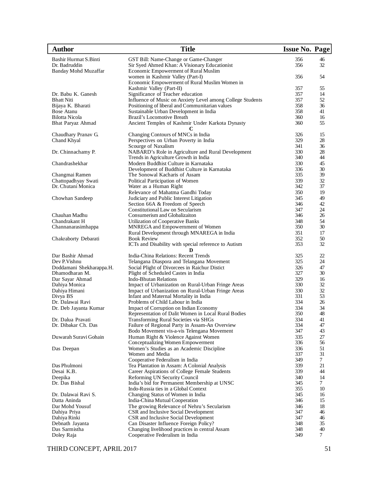| <b>Author</b>                         | <b>Title</b>                                                                                 | Issue No. Page |                 |
|---------------------------------------|----------------------------------------------------------------------------------------------|----------------|-----------------|
| Bashir Hurmat S.Binti                 | GST Bill: Name-Change or Game-Changer                                                        | 356            | 46              |
| Dr. Badruddin                         | Sir Syed Ahmed Khan: A Visionary Educationist                                                | 356            | 32              |
| <b>Banday Mohd Muzaffar</b>           | Economic Empowerment of Rural Muslim                                                         |                |                 |
|                                       | women in Kashmir Valley (Part-I)                                                             | 356            | 54              |
|                                       | Economic Empowerment of Rural Muslim Women in<br>Kashmir Valley (Part-II)                    | 357            | 55              |
| Dr. Babu K. Ganesh                    | Significance of Teacher education                                                            | 357            | 14              |
| <b>Bhatt Niti</b>                     | Influence of Music on Anxiety Level among College Students                                   | 357            | 52              |
| Bijaya K. Bharati                     | Positioning of liberal and Communitarian values                                              | 358            | 36              |
| Bose Atanu                            | Sustainable Urban Development in India                                                       | 358            | 41              |
| <b>Bilotta Nicola</b>                 | Brazil's Locomotive Breath                                                                   | 360            | 16              |
| <b>Bhat Paryaz Ahmad</b>              | Ancient Temples of Kashmir Under Karkota Dynasty<br>C                                        | 360            | 55              |
| Chaudhary Pranav G.                   | Changing Contours of MNCs in India                                                           | 326            | 15              |
| Chand Khyal                           | Perspectives on Urban Poverty in India                                                       | 329            | 28              |
|                                       | Scourge of Naxalism                                                                          | 341            | 36              |
| Dr. Chinnachamy P.                    | NABARD's Role in Agriculture and Rural Development                                           | 330            | 28              |
|                                       | Trends in Agriculture Growth in India                                                        | 340            | 44              |
| Chandrashekhar                        | Modern Buddhist Culture in Karnataka                                                         | 330            | 45              |
|                                       | Development of Buddhist Culture in Karnataka                                                 | 336            | 30              |
| Changmai Ramen<br>Chattopadhyay Swati | The Sonowal Kacharis of Assam<br>Political Participation of Women                            | 335<br>339     | 39<br>32        |
| Dr. Chutani Monica                    | Water as a Human Right                                                                       | 342            | 37              |
|                                       | Relevance of Mahatma Gandhi Today                                                            | 350            | 19              |
| Chowhan Sandeep                       | Judiciary and Public Interest Litigation                                                     | 345            | 49              |
|                                       | Section 66A & Freedom of Speech                                                              | 346            | 42              |
|                                       | Constitutional Law on Secularism                                                             | 347            | 24              |
| Chauhan Madhu                         | Consumerism and Globalizaiton                                                                | 346            | 26              |
| Chandrakant H                         | Utilization of Cooperative Banks                                                             | 348            | 54              |
| Channanarasimhappa                    | MNREGA and Empowernment of Women                                                             | 350            | 30              |
|                                       | Rural Development through MNAREGA in India                                                   | 351            | 17              |
| Chakraborty Debarati                  | <b>Book Review</b>                                                                           | 352            | 50              |
|                                       | ICTs and Disability with special reference to Autism                                         | 353            | 32              |
| Dar Bashir Ahmad                      | D<br>India-China Relations: Recent Trends                                                    | 325            | 22              |
| Dev P. Vishnu                         | Telangana Diaspora and Telangana Movement                                                    | 325            | 24              |
| Doddamani Shekharappa.H.              | Social Plight of Divorcees in Raichur Distict                                                | 326            | 47              |
| Dhamodharan M.                        | Plight of Scheduled Castes in India                                                          | 327            | 30              |
| Dar Sayar Ahmad                       | <b>Indo-Bhutan Relations</b>                                                                 | 329            | 16              |
| Dahiya Monica                         | Impact of Urbanization on Rural-Urban Fringe Areas                                           | 330            | 32              |
| Dahiya Himani                         | Impact of Urbanization on Rural-Urban Fringe Areas                                           | 330            | 32              |
| Divya BS                              | Infant and Maternal Mortality in India                                                       | 331            | 53              |
| Dr. Dalawai Ravi                      | Problems of Child Labour in India                                                            | 334            | 26              |
| Dr. Deb Jayanta Kumar                 | Impact of Corruption on Indian Economy                                                       | 334<br>350     | 34<br>48        |
| Dr. Dalua Pravati                     | Representation of Dalit Women in Local Rural Bodies<br>Transforming Rural Societies via SHGs | 334            | 41              |
| Dr. Dibakar Ch. Das                   | Failure of Regional Party in Assam-An Overview                                               | 334            | 47              |
|                                       | Bodo Movement vis-a-vis Telengana Movement                                                   | 347            | 43              |
| Duwarah Suravi Gohain                 | Human Right & Violence Against Women                                                         | 335            | 27              |
|                                       | Conceptualizing Women Empowerment                                                            | 336            | 56              |
| Das Deepan                            | Women's Studies as an Academic Discipline                                                    | 336            | 51              |
|                                       | Women and Media                                                                              | 337            | 31              |
|                                       | Cooperative Federalism in India                                                              | 349            | $\tau$          |
| Das Phulmoni                          | Tea Plantation in Assam: A Colonial Analysis                                                 | 339            | 21              |
| Desai K.B.                            | Career Aspirations of College Female Students                                                | 339            | 44              |
| Deepika<br>Dr. Das Bishal             | Reforming UN Security Council<br>India's bid for Permanent Membership at UNSC                | 340<br>345     | 14<br>7         |
|                                       | Indo-Russia ties in a Global Context                                                         | 355            | 10              |
| Dr. Dalawai Ravi S.                   | Changing Status of Women in India                                                            | 345            | 16              |
| Datta Aninda                          | India-China Mutual Cooperation                                                               | 346            | 15              |
| Dar Mohd Yousuf                       | The growing Relevance of Nehru's Secularism                                                  | 346            | 18              |
| Dahiya Priya                          | CSR and Inclusive Social Development                                                         | 347            | 46              |
| Dahiya Rinki                          | CSR and Inclusive Social Development                                                         | 347            | 46              |
| Debnath Jayanta                       | Can Disaster Influence Foreign Policy?                                                       | 348            | 35              |
| Das Sarmistha                         | Changing livelihood practices in central Assam                                               | 348            | 40              |
| Doley Raja                            | Cooperative Federalism in India                                                              | 349            | $7\overline{ }$ |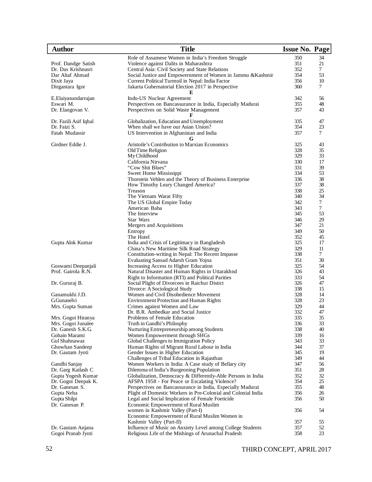| <b>Author</b>                         | <b>Title</b>                                                                                       | <b>Issue No. Page</b> |          |
|---------------------------------------|----------------------------------------------------------------------------------------------------|-----------------------|----------|
|                                       | Role of Assamese Women in India's Freedom Struggle                                                 | 350                   | 34       |
| Prof. Dandge Satish                   | Violence against Dalits in Maharashtra                                                             | 351                   | 21       |
| Dr. Das Krishnasri                    | Central Asia: Civil Society and State Relations                                                    | 352                   | $\tau$   |
| Dar Altaf Ahmad                       | Social Justice and Empowernment of Women in Jammu & Kashmir                                        | 354                   | 53       |
| Dixit Jaya                            | Current Political Turmoil in Nepal: India Factor                                                   | 356                   | 10       |
| Dirgantara Igor                       | Jakarta Gubernatorial Election 2017 in Perspective                                                 | 360                   | 7        |
| E.Elaiyasundarrajan                   | E<br>Indo-US Nuclear Agreement                                                                     | 342                   | 56       |
| Eswari M.                             | Perspectives on Bancassurance in India, Especially Madurai                                         | 355                   | 48       |
| Dr. Elangovan V.                      | Perspectives on Solid Waste Management                                                             | 357                   | 43       |
|                                       |                                                                                                    |                       |          |
| Dr. Fazili Asif Iqbal<br>Dr. Faizi S. | Globalization, Education and Unemployment<br>When shall we have our Asian Union?                   | 335<br>354            | 47<br>23 |
| Fatah Mudassir                        | US Intervention in Afghanistan and India                                                           | 357                   | 7        |
|                                       | G                                                                                                  |                       |          |
| Girdner Eddie J.                      | Aristotle's Contribution to Marxian Economics                                                      | 325                   | 43       |
|                                       | Old Time Religion                                                                                  | 328                   | 35       |
|                                       | My Childhood                                                                                       | 329                   | 33       |
|                                       | California Nirvana                                                                                 | 330                   | 17       |
|                                       | "Cow Shit Blues"                                                                                   | 331<br>334            | 39       |
|                                       | Sweet Home Mississippi<br>Thorstein Veblen and the Theory of Business Enterprise                   | 336                   | 53<br>38 |
|                                       | How Timothy Leary Changed America?                                                                 | 337                   | 38       |
|                                       | Treason                                                                                            | 338                   | 25       |
|                                       | The Vietnam Warat Fifty                                                                            | 340                   | 34       |
|                                       | The US Global Empire Today                                                                         | 342                   | 7        |
|                                       | American Baba                                                                                      | 343                   | $\tau$   |
|                                       | The Interview                                                                                      | 345                   | 53       |
|                                       | Star Wars                                                                                          | 346                   | 29       |
|                                       | Mergers and Acquisitions                                                                           | 347                   | 21       |
|                                       | Entropy                                                                                            | 349                   | 50       |
|                                       | The Hotel                                                                                          | 352                   | 45       |
| Gupta Alok Kumar                      | India and Crisis of Legitimacy in Bangladesh                                                       | 325                   | 17       |
|                                       | China's New Maritime Silk Road Strategy                                                            | 329                   | 11       |
|                                       | Constitution-writing in Nepal: The Recent Impasse                                                  | 338                   | 7        |
|                                       | Evaluating Sansad Adarsh Gram Yojna                                                                | 351                   | 30       |
| Goswami Deepanjali                    | Increasing Access to Higher Education                                                              | 325<br>326            | 54       |
| Prof. Gairola R.N.                    | Natural Disaster and Human Rights in Uttarakhnd                                                    | 333                   | 43<br>54 |
| Dr. Gururaj B.                        | Right to Information (RTI) and Political Parities<br>Social Plight of Divorcees in Raichur Distict | 326                   | 47       |
|                                       | Divorce: A Sociological Study                                                                      | 338                   | 15       |
| Ganamukhi J.D.                        | Women and Civil Disobedience Movement                                                              | 328                   | 14       |
| G.Gunaselvi                           | <b>Environment Protection and Human Rights</b>                                                     | 328                   | 23       |
| Mrs. Gupta Suman                      | Crimes against Women and Law                                                                       | 329                   | 44       |
|                                       | Dr. B.R. Ambedkar and Social Justice                                                               | 332                   | 47       |
| Mrs. Gogoi Hiranya                    | Problems of Female Education                                                                       | 335                   | 35       |
| Mrs. Gogoi Junalee                    | Truth in Gandhi's Philosphy                                                                        | 336                   | 33       |
| Dr. Ganesh S.K.G.                     | Nurturing Entrepreneurship among Students                                                          | 338                   | 40       |
| Gohain Marami                         | Women Empowerment through SHGs                                                                     | 339                   | 16       |
| Gul Shahnawaz                         | Global Challenges to Immigration Policy                                                            | 343                   | 33       |
| Ghowhan Sandeep                       | Human Rights of Migrant Rural Labour in India                                                      | 344                   | 37       |
| Dr. Gautam Jyoti                      | Gender Issues in Higher Education                                                                  | 345                   | 19       |
|                                       | Challenges of Tribal Education in Rajasthan                                                        | 349<br>347            | 44<br>56 |
| Gandhi Sanjay<br>Dr. Garg Kailash C   | Women Workers in India: A Case study of Bellary city<br>Dilemma of India's Burgeoning Population   | 351                   | 28       |
| Gupta Yogesh Kumar                    | Globalization, Democracy & Differently-Able Persons in India                                       | 352                   | 32       |
| Dr. Gogoi Deepak K.                   | AFSPA 1958 - For Peace or Escalating Violence?                                                     | 354                   | 25       |
| Dr. Ganesan S.                        | Perspectives on Bancassurance in India, Especially Madurai                                         | 355                   | 48       |
| Gupta Neha                            | Plight of Domestic Workers in Pre-Colonial and Colonial India                                      | 356                   | 26       |
| Gupta Shilpi                          | Legal and Social Implication of Female Foeticide                                                   | 356                   | 50       |
| Dr. Ganesan P.                        | Economic Empowerment of Rural Muslim                                                               |                       |          |
|                                       | women in Kashmir Valley (Part-I)                                                                   | 356                   | 54       |
|                                       | Economic Empowerment of Rural Muslim Women in                                                      |                       |          |
|                                       | Kashmir Valley (Part-II)                                                                           | 357                   | 55       |
| Dr. Gautam Anjana                     | Influence of Music on Anxiety Level among College Students                                         | 357                   | 52       |
| Gogoi Pranab Jyoti                    | Religious Life of the Mishings of Arunachal Pradesh                                                | 358                   | 23       |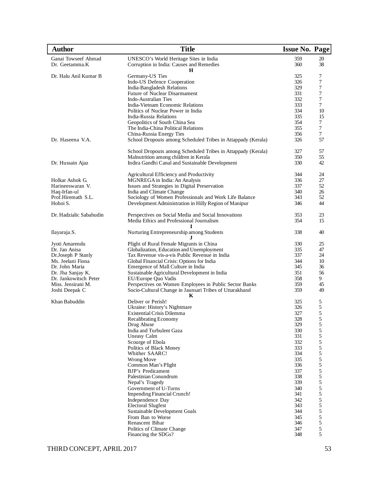| <b>Author</b>           | <b>Title</b>                                                                                                      | <b>Issue No. Page</b> |                                            |
|-------------------------|-------------------------------------------------------------------------------------------------------------------|-----------------------|--------------------------------------------|
| Ganai Towseef Ahmad     | UNESCO's World Heritage Sites in India                                                                            | 359                   | 20                                         |
| Dr. Geetamma.K          | Corruption in India: Causes and Remedies                                                                          | 360                   | 38                                         |
|                         | н                                                                                                                 |                       |                                            |
| Dr. Halu Anil Kumar B   | Germany-US Ties                                                                                                   | 325                   | 7                                          |
|                         | Indo-US Defence Cooperation                                                                                       | 326                   | $\overline{7}$                             |
|                         | India-Bangladesh Relations                                                                                        | 329                   | 7                                          |
|                         | Future of Nuclear Disarmament                                                                                     | 331                   | 7                                          |
|                         | <b>Indo-Australian Ties</b><br>India-Vietnam Economic Relations                                                   | 332<br>333            | 7<br>$\tau$                                |
|                         | Politics of Nuclear Power in India                                                                                | 334                   | 10                                         |
|                         | India-Russia Relations                                                                                            | 335                   | 15                                         |
|                         | Geopolitics of South China Sea                                                                                    | 354                   | 7                                          |
|                         | The India-China Political Relations                                                                               | 355                   | 7                                          |
|                         | China-Russia Energy Ties                                                                                          | 356                   | $\tau$                                     |
| Dr. Haseena V.A.        | School Dropouts among Scheduled Tribes in Attappady (Kerala)                                                      | 326                   | 57                                         |
|                         | School Dropouts among Scheduled Tribes in Attappady (Kerala)                                                      | 327                   | 57                                         |
|                         | Malnutrition among children in Kerala                                                                             | 350                   | 55                                         |
| Dr. Hussain Ajaz        | Indira Gandhi Canal and Sustainable Development                                                                   | 330                   | 42                                         |
|                         | Agricultural Efficiency and Productivity                                                                          | 344                   | 24                                         |
| Holkar Ashok G.         | MGNREGA in India: An Analysis                                                                                     | 336                   | 27                                         |
| Harineeswaran V.        | Issues and Strategies in Digital Preservation                                                                     | 337                   | 52                                         |
| Haq-Irfan-ul            | India and Climate Change                                                                                          | 340                   | 26                                         |
| Prof.Hiremath S.L.      | Sociology of Women Professionals and Work Life Balance                                                            | 343                   | 52                                         |
| Hohoi S.                | Development Administration in Hilly Region of Manipur                                                             | 346                   | 44                                         |
| Dr. Hadzialic Sabahudin | Perspectives on Social Media and Social Innovations                                                               | 353                   | 23                                         |
|                         | Media Ethics and Professional Journalism                                                                          | 354                   | 15                                         |
| Ilayaraja.S.            | Nurturing Entrepreneurship among Students                                                                         | 338                   | 40                                         |
| Jyoti Amarendu          | Plight of Rural Female Migrants in China                                                                          | 330                   | 25                                         |
| Dr. Jan Anisa           | Globalization, Education and Unemployment                                                                         | 335                   | 47                                         |
| Dr.Joseph P Stanly      | Tax Revenue vis-a-vis Public Revenue in India                                                                     | 337                   | 24                                         |
| Ms. Jeelani Fiona       | Global Financial Crisis: Options for India                                                                        | 344                   | 10                                         |
| Dr. John Maria          | Emergence of Mall Culture in India                                                                                | 345                   | 36                                         |
| Dr. Jha Sanjay K.       | Sustainable Agricultural Development in India                                                                     | 351                   | 56                                         |
| Dr. Jankowitsch Peter   | EU/Europe Quo Vadis                                                                                               | 358<br>359            | 9<br>45                                    |
| Miss. Jensirani M.      | Perspectives on Women Employees in Public Sector Banks<br>Socio-Cultural Change in Jaunsari Tribes of Uttarakhand | 359                   | 49                                         |
| Joshi Deepak C          | К                                                                                                                 |                       |                                            |
| Khan Babuddin           | Deliver or Perish!                                                                                                | 325                   | 5                                          |
|                         | Ukraine: History's Nightmare                                                                                      | 326                   | 5                                          |
|                         | <b>Existential Crisis Dilemma</b>                                                                                 | 327                   | 5                                          |
|                         | Recalibrating Economy                                                                                             | 328                   | 5                                          |
|                         | Drug Abuse                                                                                                        | 329                   | 5                                          |
|                         | India and Turbulent Gaza<br><b>Uneasy Calm</b>                                                                    | 330<br>331            | 5<br>5                                     |
|                         | Scourge of Ebola                                                                                                  | 332                   |                                            |
|                         | Politics of Black Money                                                                                           | 333                   |                                            |
|                         | Whither SAARC!                                                                                                    | 334                   |                                            |
|                         | Wrong Move                                                                                                        | 335                   |                                            |
|                         | Common Man's Plight                                                                                               | 336                   |                                            |
|                         | <b>BJP's Predicament</b>                                                                                          | 337                   |                                            |
|                         | Palestinian Conundrum                                                                                             | 338                   |                                            |
|                         | Nepal's Tragedy                                                                                                   | 339                   |                                            |
|                         | Government of U-Turns                                                                                             | 340                   | 55555555555                                |
|                         | <b>Impending Financial Crunch!</b>                                                                                | 341                   |                                            |
|                         | Independence Day                                                                                                  | 342                   |                                            |
|                         | <b>Electoral Slugfest</b>                                                                                         | 343                   |                                            |
|                         | Sustainable Development Goals                                                                                     | 344                   | $\begin{array}{c} 5 \\ 5 \\ 5 \end{array}$ |
|                         | From Ban to Worse                                                                                                 | 345                   |                                            |
|                         | Renascent Bihar                                                                                                   | 346                   |                                            |
|                         | Politics of Climate Change<br>Financing the SDGs?                                                                 | 347<br>348            | 5<br>5                                     |
|                         |                                                                                                                   |                       |                                            |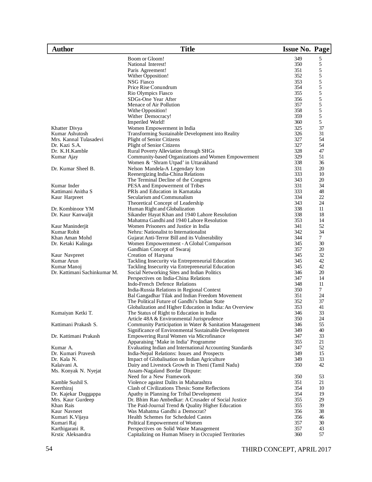| Author                       | <b>Title</b>                                             | <b>Issue No. Page</b> |    |
|------------------------------|----------------------------------------------------------|-----------------------|----|
|                              | Boom or Gloom!                                           | 349                   | 5  |
|                              | National Interest!                                       | 350                   | 5  |
|                              | Paris Agreement!                                         | 351                   | 5  |
|                              | Wither Opposition!                                       | 352                   | 5  |
|                              | <b>NSG Fiasco</b>                                        | 353                   | 5  |
|                              | Price Rise Conundrum                                     | 354                   | 5  |
|                              | Rio Olympics Fiasco                                      | 355                   | 5  |
|                              | SDGs-One Year After                                      | 356                   | 5  |
|                              | Menace of Air Pollution                                  | 357                   | 5  |
|                              | Withe Opposition!                                        | 358                   | 5  |
|                              | Wither Democracy!                                        | 359                   | 5  |
|                              | Imperiled World!                                         | 360                   | 5  |
| Khatter Divya                | Women Empowerment in India                               | 325                   | 37 |
| Kumar Ashutosh               | Transforming Sustainable Development into Reality        | 326                   | 31 |
| Mrs. Kannal Tulasadevi       | <b>Plight of Senior Citizens</b>                         | 327                   | 54 |
| Dr. Kazi S.A.                | Plight of Senior Citizens                                | 327                   | 54 |
| Dr. K.H.Kamble               | Rural Poverty Alleviation through SHGs                   | 328                   | 47 |
| Kumar Ajay                   | Community-based Organizations and Women Empowerment      | 329                   | 51 |
|                              | Women & 'Shram Utpad' in Uttarakhand                     | 338                   | 36 |
| Dr. Kumar Sheel B.           | Nelson Mandela-A Legendary Icon                          | 331                   | 20 |
|                              | Reenergizing India-China Relations                       | 333                   | 10 |
|                              | The Terminal Decline of the Congress                     | 343                   | 20 |
| Kumar Inder                  | PESA and Empowerment of Tribes                           | 331                   | 34 |
| Kattimani Anitha S           | PRIs and Education in Karnataka                          | 333                   | 48 |
| Kaur Harpreet                | Secularism and Communalism                               | 334                   | 22 |
|                              | Theoretical Concept of Leadership                        | 343                   | 24 |
| Dr. Kombinoor YM             | Human Right and Globalization                            | 338                   | 11 |
| Dr. Kaur Kanwaljit           | Sikander Hayat Khan and 1940 Lahore Resolution           | 338                   | 18 |
|                              | Mahatma Gandhi and 1940 Lahore Resolution                | 353                   | 14 |
| Kaur Maninderjit             | Women Prisoners and Justice in India                     | 341                   | 52 |
| Kumar Rohit                  | Nehru: Nationalist to Internationalist                   | 342                   | 34 |
| Khan Aman Mohd               | Gujarat Anti-Terror Bill and its Vulnerability           | 344                   | 7  |
| Dr. Ketaki Kalinga           | Women Empowernment - A Global Comparison                 | 345                   | 30 |
|                              | Gandhian Concept of Swaraj                               | 357                   | 20 |
| Kaur Navpreet                | Creation of Haryana                                      | 345                   | 32 |
| Kumar Arun                   | Tackling Insecurity via Entrepreneurial Education        | 345                   | 42 |
| Kumar Manoj                  | Tackling Insecurity via Entrepreneurial Education        | 345                   | 42 |
| Dr. Kattimani Sachinkumar M. | Social Networking Sites and Indian Politics              | 346                   | 20 |
|                              | Perspectives on India-China Relations                    | 347                   | 14 |
|                              | Indo-French Defence Relations                            | 348                   | 11 |
|                              | India-Russia Relations in Regional Context               | 350                   | 7  |
|                              | Bal Gangadhar Tilak and Indian Freedom Movement          | 351                   | 24 |
|                              | The Political Future of Gandhi's Indian State            | 352                   | 37 |
|                              | Globalization and Higher Education in India: An Overview | 353                   | 41 |
| Kumaiyan Ketki T.            | The Status of Right to Education in India                | 346                   | 33 |
|                              | Article 48A & Environmental Jurisprudence                | 350                   | 24 |
| Kattimani Prakash S.         | Community Participation in Water & Sanitation Management | 346                   | 55 |
|                              | Significance of Environmental Sustainable Development    | 349                   | 40 |
| Dr. Kattimani Prakash        | Empowering Rural Women via Microfinance                  | 347                   | 33 |
|                              | Apparaising 'Make in India' Programme                    | 355                   | 21 |
| Kumar A.                     | Evaluating Indian and International Accounting Standards | 347                   | 52 |
| Dr. Kumari Pravesh           | India-Nepal Relations: Issues and Prospects              | 349                   | 15 |
| Dr. Kala N.                  | Impact of Globalisation on Indian Agriculture            | 349                   | 33 |
| Kalaivani A.                 | Dairy and Livestock Growth in Theni (Tamil Nadu)         | 350                   | 42 |
| Ms. Konyak N. Nyejat         | Assam-Nagaland Bordar Dispute:                           |                       |    |
|                              | Need for a New Framework                                 | 350                   | 53 |
| Kamble Sushil S.             | Violence against Dalits in Maharashtra                   | 351                   | 21 |
| Keerthiraj                   | Clash of Civilizations Thesis: Some Reflections          | 354                   | 10 |
| Dr. Kajekar Duggappa         | Apathy in Planning for Tribal Development                | 354                   | 19 |
| Mrs. Kaur Gurdeep            | Dr. Bhim Rao Ambedkar: A Crusader of Social Justice      | 355                   | 29 |
| Khan Rais                    | The Paid-Journal Trend & Quality Higher Education        | 355                   | 39 |
| Kaur Navneet                 | Was Mahatma Gandhi a Democrat?                           | 356                   | 38 |
| Kumari K. Vijaya             | Health Schemes for Scheduled Castes                      | 356                   | 46 |
| Kumari Raj                   | Political Empowerment of Women                           | 357                   | 30 |
| Karthigarani R.              | Perspectives on Solid Waste Management                   | 357                   | 43 |
| Krstic Aleksandra            | Capitalizing on Human Misery in Occupied Territories     | 360                   | 57 |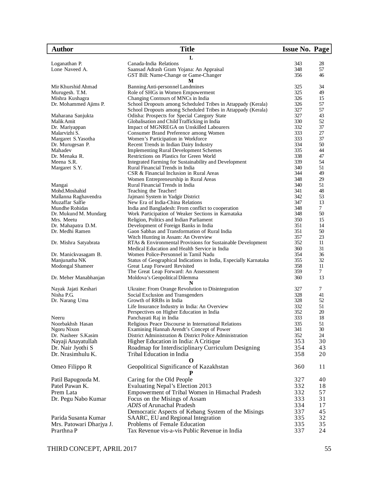| <b>Author</b>               | <b>Title</b>                                                                              | <b>Issue No. Page</b> |          |
|-----------------------------|-------------------------------------------------------------------------------------------|-----------------------|----------|
|                             | L                                                                                         |                       |          |
| Loganathan P.               | Canada-India Relations                                                                    | 343                   | 28       |
| Lone Naveed A.              | Saansad Adrash Gram Yojana: An Appraisal                                                  | 348                   | 57       |
|                             | GST Bill: Name-Change or Game-Changer                                                     | 356                   | 46       |
|                             | M                                                                                         |                       |          |
| Mir Khurshid Ahmad          | Banning Anti-personnel Landmines                                                          | 325                   | 34       |
| Murugesh. T.M.              | Role of SHGs in Women Empowerment                                                         | 325                   | 49       |
| Mishra Kushagra             | Changing Contours of MNCs in India                                                        | 326                   | 15       |
| Dr. Mohammed Ajims P.       | School Dropouts among Scheduled Tribes in Attappady (Kerala)                              | 326                   | 57       |
|                             | School Dropouts among Scheduled Tribes in Attappady (Kerala)                              | 327                   | 57       |
| Maharana Sanjukta           | Odisha: Prospects for Special Category State                                              | 327                   | 43       |
| Malik Amit                  | Globalisation and Child Trafficking in India                                              | 330                   | 52       |
| Dr. Mariyappan              | Impact of MGNREGA on Unskilled Labourers                                                  | 332                   | 37       |
| Malarvizhi S.               | Consumer Brand Preference among Women                                                     | 333                   | 27       |
| Margaret S. Yasotha         | Women's Participation in Workforce                                                        | 333                   | 37       |
| Dr. Murugesan P.<br>Mahadev | Recent Trends in Indian Dairy Industry                                                    | 334<br>335            | 50<br>44 |
| Dr. Menaka R.               | <b>Implementing Rural Development Schemes</b><br>Restrictions on Plastics for Green World | 338                   | 47       |
| Meena S.R.                  | Integrated Farming for Sustainability and Development                                     | 339                   | 54       |
|                             | Rural Financial Trends in India                                                           | 340                   | 51       |
| Margaret S.Y.               | CSR & Financial Inclusion in Rural Areas                                                  | 344                   | 49       |
|                             | Women Entrepreneurship in Rural Areas                                                     | 348                   | 29       |
| Mangai                      | Rural Financial Trends in India                                                           | 340                   | 51       |
| Mohd.Moshahid               | Teaching the Teacher!                                                                     | 341                   | 48       |
| Mallanna Raghavendra        | Jajmani System in Yadgir District                                                         | 342                   | 53       |
| Muzaffar Salfie             | New Era of India-China Relations                                                          | 347                   | 13       |
| Mundhe Rohidas              | India and Bangladesh: From conflict to cooperation                                        | 348                   | $\tau$   |
| Dr. Mukund M. Mundarg       | Work Participation of Weaker Sections in Karnataka                                        | 348                   | 50       |
| Mrs. Meetu                  | Religion, Politics and Indian Parliament                                                  | 350                   | 15       |
| Dr. Mahapatra D.M.          | Development of Foreign Banks in India                                                     | 351                   | 14       |
| Dr. Medhi Ramen             | Gaon Sabhas and Transformation of Rural India                                             | 351                   | 50       |
|                             | Witch Hunting in Assam: An Overview                                                       | 357                   | 23       |
| Dr. Mishra Satyabrata       | RTAs & Environmental Provisions for Sustainable Development                               | 352                   | 11       |
|                             | Medical Education and Health Service in India                                             | 360                   | 31       |
| Dr. Manickvasagam B.        | Women Police-Personnel in Tamil Nadu                                                      | 354                   | 36       |
| Manjunatha NK               | Status of Geographical Indications in India, Especially Karnataka                         | 355                   | 32       |
| Modongal Shameer            | Great Leap Forward Revisited                                                              | 358                   | 11       |
|                             | The Great Leap Forward: An Assessment                                                     | 359                   | 7        |
| Dr. Meher Manabhanjan       | Moldova's Geopolitical Dilemma                                                            | 360                   | 13       |
|                             |                                                                                           |                       |          |
| Nayak Jajati Keshari        | Ukraine: From Orange Revolution to Disintegration                                         | 327                   | 7        |
| Nisha P.G.                  | Social Exclusion and Transgenders                                                         | 328                   | 41       |
| Dr. Narang Uma              | Growth of RRBs in India                                                                   | 328                   | 52       |
|                             | Life Insurance Industry in India: An Overview                                             | 332                   | 51       |
|                             | Perspectives on Higher Education in India                                                 | 352                   | 20       |
| Neeru                       | Panchayati Raj in India                                                                   | 333                   | 18       |
| Noorbakhsh Hasan            | Religious Peace Discourse in International Relations                                      | 335                   | 51       |
| Ngoru Nixon                 | Examining Hannah Arendt's Concept of Power                                                | 341                   | 30       |
| Dr. Nasheer S.Kasim         | District Administration & District Police Administration                                  | 352                   | 24       |
| Nayaji Anayatullah          | Higher Education in India: A Critique                                                     | 353                   | 30       |
| Dr. Nair Jyothi S           | Roadmap for Interdisciplinary Curriculum Designing                                        | 354                   | 43       |
| Dr. Nrasimhulu K.           | Tribal Education in India                                                                 | 358                   | 20       |
| Omeo Filippo R              | Geopolitical Significance of Kazakhstan                                                   | 360                   | 11       |
|                             | P                                                                                         |                       |          |
| Patil Bapugouda M.          | Caring for the Old People                                                                 | 327                   | 40       |
| Patel Pawan K.              | Evaluating Nepal's Election 2013                                                          | 332                   | 18       |
| Prem Lata                   | Empowerment of Tribal Women in Himachal Pradesh                                           | 332                   | 57       |
| Dr. Pegu Nabo Kumar         | Focus on the Misings of Assam                                                             | 333                   | 31       |
|                             | ADIS of Arunachal Pradesh                                                                 | 334                   | 17       |
|                             | Democratic Aspects of Kebang System of the Misings                                        | 337                   | 45       |
| Parida Susanta Kumar        | SAARC, EU and Regional Integration                                                        | 335                   | 32       |
|                             | Problems of Female Education                                                              | 335                   | 35       |
| Mrs. Patowari Dharjya J.    |                                                                                           |                       |          |
| Prarthna P                  | Tax Revenue vis-a-vis Public Revenue in India                                             | 337                   | 24       |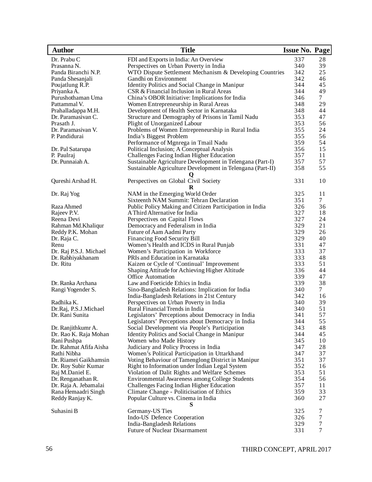| <b>Author</b>          | <b>Title</b>                                               | <b>Issue No. Page</b> |        |
|------------------------|------------------------------------------------------------|-----------------------|--------|
| Dr. Prabu C            | FDI and Exports in India: An Overview                      | 337                   | 28     |
| Prasanna N.            | Perspectives on Urban Poverty in India                     | 340                   | 39     |
| Panda Biranchi N.P.    | WTO Dispute Settlement Mechanism & Developing Countries    | 342                   | 25     |
| Panda Shesanjali       | Gandhi on Environment                                      | 342                   | 46     |
| Poujatlung R.P.        | Identity Politics and Social Change in Manipur             | 344                   | 45     |
| Priyanka A.            | CSR & Financial Inclusion in Rural Areas                   | 344                   | 49     |
| Purushothaman Uma      | China's OBOR Initiative: Implications for India            | 346                   | 7      |
| Pattammal V.           | Women Entrepreneurship in Rural Areas                      | 348                   | 29     |
| Prahalladappa M.H.     | Development of Health Sector in Karnataka                  | 348                   | 44     |
| Dr. Paramasivan C.     | Structure and Demography of Prisons in Tamil Nadu          | 353                   | 47     |
| Prasath J.             | Plight of Unorganized Labour                               | 353                   | 56     |
| Dr. Paramasivan V.     | Problems of Women Entrepreneurship in Rural India          | 355                   | 24     |
| P. Pandidurai          | India's Biggest Problem                                    | 355                   | 56     |
|                        | Performance of Mgnrega in Tmail Nadu                       | 359                   | 54     |
| Dr. Pal Satarupa       | Political Inclusion; A Conceptual Analysis                 | 356                   | 15     |
| P. Paulraj             | Challenges Facing Indian Higher Education                  | 357                   | 11     |
| Dr. Punnaiah A.        | Sustainable Agriculture Development in Telengana (Part-I)  | 357                   | 57     |
|                        | Sustainable Agriculture Development in Telengana (Part-II) | 358                   | 55     |
| Qureshi Arshad H.      | Perspectives on Global Civil Society<br>R                  | 331                   | 10     |
| Dr. Raj Yog            | NAM in the Emerging World Order                            | 325                   | 11     |
|                        | Sixteenth NAM Summit: Tehran Declaration                   | 351                   | 7      |
| Raza Ahmed             | Public Policy Making and Citizen Participation in India    | 326                   | 36     |
| Rajeev P.V.            | A Third Alternative for India                              | 327                   | 18     |
| Reena Devi             | Perspectives on Capital Flows                              | 327                   | 24     |
| Rahman Md.Khaliqur     | Democracy and Federalism in India                          | 329                   | 21     |
| Reddy P.K. Mohan       | Future of Aam Aadmi Party                                  | 329                   | 26     |
| Dr. Raja C.            | Financing Food Security Bill                               | 329                   | 40     |
| Renu                   | Women's Health and ICDS in Rural Punjab                    | 331                   | 47     |
| Dr. Raj P.S.J. Michael | Women's Participation in Workforce                         | 333                   | 37     |
| Dr. Rabhiyakhanam      | PRIs and Education in Karnataka                            | 333                   | 48     |
| Dr. Ritu               | Kaizen or Cycle of 'Continual' Improvement                 | 333                   | 51     |
|                        | Shaping Attitude for Achieving Higher Altitude             | 336                   | 44     |
|                        | Office Automation                                          | 339                   | 47     |
| Dr. Ranka Archana      | Law and Foeticide Ethics in India                          | 339                   | 38     |
| Rangi Yogender S.      | Sino-Bangladesh Relations: Implication for India           | 340                   | $\tau$ |
|                        | India-Bangladesh Relations in 21st Century                 | 342                   | 16     |
| Radhika K.             | Perspectives on Urban Poverty in India                     | 340                   | 39     |
| Dr.Raj, P.S.J.Michael  | Rural Financial Trends in India                            | 340                   | 51     |
| Dr. Rani Sunita        | Legislators' Perceptions about Democracy in India          | 341                   | 57     |
|                        | Legislators' Perceptions about Democracy in India          | 344                   | 55     |
| Dr. Ranjithkumr A.     | Social Development via People's Participation              | 343                   | 48     |
| Dr. Rao K. Raja Mohan  | Identity Politics and Social Change in Manipur             | 344                   | 45     |
| Rani Pushpa            | Women who Made History                                     | 345                   | 10     |
| Dr. Rahmat Afifa Aisha | Judiciary and Policy Process in India                      | 347                   | 28     |
| Rathi Nibha            | Women's Political Participation in Uttarkhand              | 347                   | 37     |
| Dr. Riamei Gaikhamsin  | Voting Behaviour of Tamenglong District in Manipur         | 351                   | 37     |
| Dr. Roy Subir Kumar    | Right to Information under Indian Legal System             | 352                   | 16     |
| Raj M.Daniel E.        | Violation of Dalit Rights and Welfare Schemes              | 353                   | 51     |
| Dr. Renganathan R.     | Environmental Awareness among College Students             | 354                   | 56     |
| Dr. Raja A. Jebamalai  | Challenges Facing Indian Higher Education                  | 357                   | 11     |
| Rana Hemaadri Singh    | Climate Change - Politicisation of Ethics                  | 359                   | 33     |
| Reddy Ranjay K.        | Popular Culture vs. Cinema in India                        | 360                   | 27     |
| Suhasini B             | Germany-US Ties                                            | 325                   | 7      |
|                        | Indo-US Defence Cooperation                                | 326                   | 7      |
|                        | India-Bangladesh Relations                                 | 329                   | $\tau$ |
|                        | <b>Future of Nuclear Disarmament</b>                       | 331                   | 7      |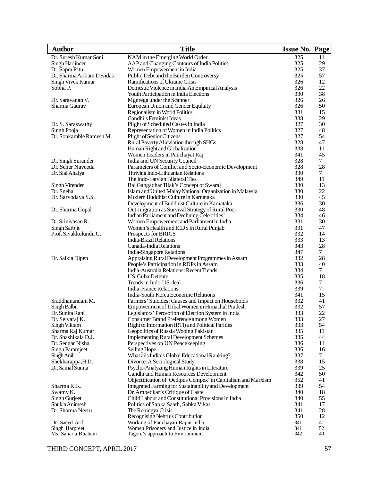| <b>Author</b>                         | <b>Title</b>                                                                               | <b>Issue No. Page</b> |                |
|---------------------------------------|--------------------------------------------------------------------------------------------|-----------------------|----------------|
| Dr. Suresh Kumar Soni                 | NAM in the Emerging World Order                                                            | 325                   | 11             |
| Singh Harjinder                       | AAP and Changing Contours of India Politics                                                | 325                   | 29             |
| Dr. Sapra Ritu                        | Women Empowerment in India                                                                 | 325                   | 37             |
| Dr. Sharma Aribam Devidas             | Public Debt and the Burden Controversy                                                     | 325                   | 57             |
| Singh Vivek Kumar                     | Ramifications of Ukraine Crisis                                                            | 326                   | 12             |
| Sobha P.                              | Domestic Violence in India An Empirical Analysis                                           | 326                   | 22             |
|                                       | Youth Participation in India Elections                                                     | 330                   | 38             |
| Dr. Saravanan V.                      | Mgnrega under the Scanner                                                                  | 326                   | 26             |
| Sharma Gaurav                         | European Union and Gender Equlaity                                                         | 326                   | 50             |
|                                       | Regionalism in World Politics                                                              | 331                   | 15             |
|                                       | Gandhi's Feminist Ideas                                                                    | 338                   | 29             |
| Dr. S. Saraswathy                     | Plight of Scheduled Castes in India                                                        | 327                   | 30             |
| Singh Pooja                           | Representation of Women in India Politics                                                  | 327                   | 48             |
| Dr. Sonkamble Ramesh M                | <b>Plight of Senior Citizens</b>                                                           | 327                   | 54             |
|                                       | Rural Poverty Alleviation through SHGs                                                     | 328                   | 47             |
|                                       | Human Right and Globalization                                                              | 338<br>341            | 11<br>45       |
| Dr. Singh Surander                    | Women Leaders in Panchayat Raj                                                             | 328                   | $\tau$         |
| Dr. Seher Naveeda                     | India and UN Security Council<br>Parameters of Conflict and Socio-Economic Development     | 328                   | 28             |
| Dr. Sial Ahalya                       | Thriving Indo-Lithuanian Relations                                                         | 330                   | $\tau$         |
|                                       | The Indo-Latvian Bilateral Ties                                                            | 349                   | 11             |
| Singh Virender                        | Bal Gangadhar Tilak's Concept of Swaraj                                                    | 330                   | 13             |
| Dr. Sneha                             | Islam and United Malay National Organization in Malaysia                                   | 330                   | 22             |
| Dr. Sarvodaya S.S.                    | Modern Buddhist Culture in Karnataka                                                       | 330                   | 45             |
|                                       | Development of Buddhist Culture in Karnataka                                               | 336                   | 30             |
| Dr. Sharma Gopal                      | Out-migration as Survival Strategy of Rural Poor                                           | 330                   | 48             |
|                                       | Indian Parliament and Declining Celebrities!                                               | 334                   | 46             |
| Dr. Srinivasan R.                     | Women Empowerment and Parliament in India                                                  | 331                   | 30             |
| Singh Sarbjit                         | Women's Health and ICDS in Rural Punjab                                                    | 331                   | 47             |
| Prof. Sivakkolundu C.                 | Prospects for BRICS                                                                        | 332                   | 14             |
|                                       | <b>India-Brazil Relations</b>                                                              | 333                   | 13             |
|                                       | Canada-India Relations                                                                     | 343                   | 28             |
|                                       | India-Singapore Relations                                                                  | 347                   | $\tau$         |
| Dr. Saikia Dipen                      | Appraising Rural Development Programmes in Assam                                           | 332                   | 28             |
|                                       | People's Participation in RDPs in Assam                                                    | 333                   | 40             |
|                                       | India-Australia Relations: Recent Trends                                                   | 334                   | $\overline{7}$ |
|                                       | <b>US-Cuba Detente</b>                                                                     | 335                   | 18             |
|                                       | Trends in Indo-US-deal                                                                     | 336                   | 7              |
|                                       | <b>India-France Relations</b>                                                              | 339                   | $\overline{7}$ |
|                                       | India-South Korea Economic Relations                                                       | 341                   | 15             |
| Sraddhanandam M.                      | Farmers' Suicides: Causes and Impact on Households                                         | 332                   | 41             |
| Singh Balbir<br>Dr. Sunita Rani       | Empowerment of Tribal Women in Himachal Pradesh                                            | 332<br>333            | 57<br>22       |
|                                       | Legislators' Perception of Election System in India                                        |                       |                |
| Dr. Selvaraj K.<br>Singh Vikram       | Consumer Brand Preference among Women<br>Right to Information (RTI) and Political Parities | 333<br>333            | 27<br>54       |
| Sharma Raj Kumar                      | Geopolitics of Russia Wooing Pakistan                                                      | 335                   | 11             |
| Dr. Shashikala D.J.                   | <b>Implementing Rural Development Schemes</b>                                              | 335                   | 44             |
| Dr. Sengar Nisha                      | Perspectives on UN Peacekeeping                                                            | 336                   | 11             |
| Singh Paramjeet                       | Selling Hope                                                                               | 336                   | 16             |
| Singh Anil                            | What ails India's Global Educational Ranking?                                              | 337                   | 7              |
| Shekharappa, H.D.                     | Divorce: A Sociological Study                                                              | 338                   | 15             |
| Dr. Samal Sunita                      | Psycho-Analyzing Human Rights in Literature                                                | 339                   | 25             |
|                                       | Gandhi and Human Resources Development                                                     | 342                   | 50             |
|                                       | Objectification of 'Oedipus Compex' in Capitalism and Marxism                              | 352                   | 41             |
| Sharma K.K.                           | Integrated Farming for Sustainability and Development                                      | 339                   | 54             |
| Swamy K.                              | Dr. Ambedkar's Critique of Caste                                                           | 340                   | 18             |
| Singh Gurjeet                         | Child Labour and Constitutional Provisions in India                                        | 340                   | 55             |
| Shukla Animesh                        | Politics of Sabka Saath, Sabka Vikas                                                       | 341                   | 17             |
| Dr. Sharma Neeru                      | The Rohingya Crisis                                                                        | 341                   | 28             |
|                                       | Recognising Nehru's Contribution                                                           | 350                   | 12             |
| Dr. Saeed Arif                        | Working of Panchayati Raj in India                                                         | 341                   | 41             |
| Singh Harpreet<br>Ms. Saharia Bhabani | Women Prisoners and Justice in India<br>Tagore's approach to Environment                   | 341<br>342            | 52<br>40       |
|                                       |                                                                                            |                       |                |